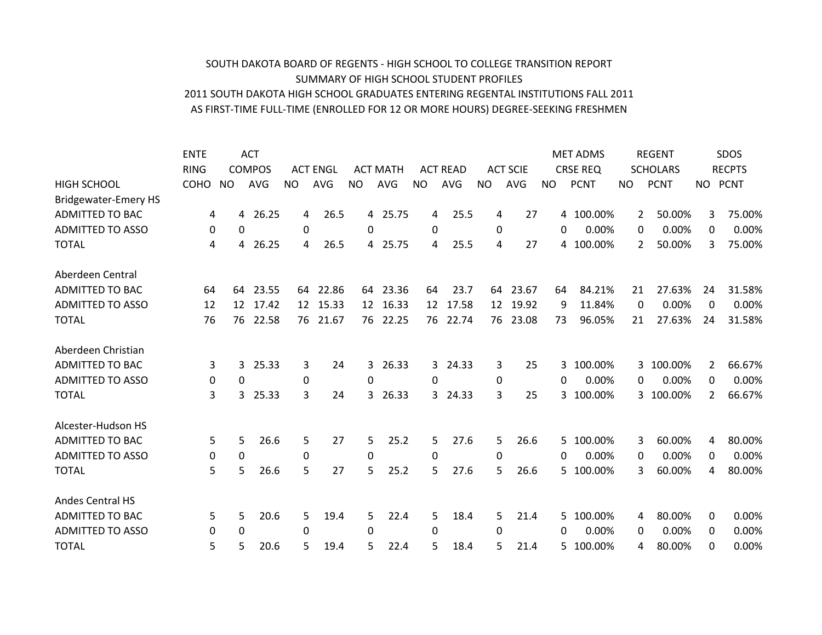## AS FIRST-TIME FULL-TIME (ENROLLED FOR 12 OR MORE HOURS) DEGREE-SEEKING FRESHMEN 2011 SOUTH DAKOTA HIGH SCHOOL GRADUATES ENTERING REGENTAL INSTITUTIONS FALL 2011 SUMMARY OF HIGH SCHOOL STUDENT PROFILES SOUTH DAKOTA BOARD OF REGENTS - HIGH SCHOOL TO COLLEGE TRANSITION REPORT

|                             | <b>ENTE</b> |           | <b>ACT</b>    |           |                 |           |                 |           |                 |              |                 |     | <b>MET ADMS</b> |     | <b>REGENT</b>   |                | SDOS          |
|-----------------------------|-------------|-----------|---------------|-----------|-----------------|-----------|-----------------|-----------|-----------------|--------------|-----------------|-----|-----------------|-----|-----------------|----------------|---------------|
|                             | <b>RING</b> |           | <b>COMPOS</b> |           | <b>ACT ENGL</b> |           | <b>ACT MATH</b> |           | <b>ACT READ</b> |              | <b>ACT SCIE</b> |     | <b>CRSE REQ</b> |     | <b>SCHOLARS</b> |                | <b>RECPTS</b> |
| <b>HIGH SCHOOL</b>          | <b>COHO</b> | <b>NO</b> | <b>AVG</b>    | <b>NO</b> | <b>AVG</b>      | <b>NO</b> | AVG             | <b>NO</b> | <b>AVG</b>      | <b>NO</b>    | <b>AVG</b>      | NO. | <b>PCNT</b>     | NO. | <b>PCNT</b>     | NO             | <b>PCNT</b>   |
| <b>Bridgewater-Emery HS</b> |             |           |               |           |                 |           |                 |           |                 |              |                 |     |                 |     |                 |                |               |
| <b>ADMITTED TO BAC</b>      | 4           | 4         | 26.25         | 4         | 26.5            | 4         | 25.75           | 4         | 25.5            | 4            | 27              | 4   | 100.00%         | 2   | 50.00%          | 3              | 75.00%        |
| <b>ADMITTED TO ASSO</b>     | 0           | 0         |               | 0         |                 | 0         |                 | 0         |                 | $\mathbf{0}$ |                 | 0   | 0.00%           | 0   | 0.00%           | 0              | 0.00%         |
| <b>TOTAL</b>                | 4           | 4         | 26.25         | 4         | 26.5            | 4         | 25.75           | 4         | 25.5            | 4            | 27              | 4   | 100.00%         | 2   | 50.00%          | 3              | 75.00%        |
| Aberdeen Central            |             |           |               |           |                 |           |                 |           |                 |              |                 |     |                 |     |                 |                |               |
| <b>ADMITTED TO BAC</b>      | 64          | 64        | 23.55         |           | 64 22.86        | 64        | 23.36           | 64        | 23.7            | 64           | 23.67           | 64  | 84.21%          | 21  | 27.63%          | 24             | 31.58%        |
| <b>ADMITTED TO ASSO</b>     | 12          | 12        | 17.42         | 12        | 15.33           | 12        | 16.33           | 12        | 17.58           | 12           | 19.92           | 9   | 11.84%          | 0   | 0.00%           | 0              | 0.00%         |
| <b>TOTAL</b>                | 76          | 76        | 22.58         | 76        | 21.67           | 76        | 22.25           | 76        | 22.74           | 76           | 23.08           | 73  | 96.05%          | 21  | 27.63%          | 24             | 31.58%        |
| Aberdeen Christian          |             |           |               |           |                 |           |                 |           |                 |              |                 |     |                 |     |                 |                |               |
| <b>ADMITTED TO BAC</b>      | 3           | 3         | 25.33         | 3         | 24              | 3         | 26.33           | 3         | 24.33           | 3            | 25              | 3   | 100.00%         | 3   | 100.00%         | 2              | 66.67%        |
| <b>ADMITTED TO ASSO</b>     | 0           | 0         |               | 0         |                 | 0         |                 | $\Omega$  |                 | 0            |                 | 0   | 0.00%           | 0   | 0.00%           | 0              | 0.00%         |
| <b>TOTAL</b>                | 3           | 3         | 25.33         | 3         | 24              | 3         | 26.33           | 3.        | 24.33           | 3            | 25              | 3   | 100.00%         | 3   | 100.00%         | $\overline{2}$ | 66.67%        |
| Alcester-Hudson HS          |             |           |               |           |                 |           |                 |           |                 |              |                 |     |                 |     |                 |                |               |
| <b>ADMITTED TO BAC</b>      | 5           | 5         | 26.6          | 5         | 27              | 5         | 25.2            | 5         | 27.6            | 5            | 26.6            | 5   | 100.00%         | 3   | 60.00%          | 4              | 80.00%        |
| <b>ADMITTED TO ASSO</b>     | 0           | 0         |               | 0         |                 | 0         |                 | 0         |                 | 0            |                 | 0   | 0.00%           | 0   | 0.00%           | 0              | 0.00%         |
| <b>TOTAL</b>                | 5           | 5         | 26.6          | 5         | 27              | 5         | 25.2            | 5.        | 27.6            | 5            | 26.6            | 5   | 100.00%         | 3   | 60.00%          | 4              | 80.00%        |
| <b>Andes Central HS</b>     |             |           |               |           |                 |           |                 |           |                 |              |                 |     |                 |     |                 |                |               |
| <b>ADMITTED TO BAC</b>      | 5           | 5         | 20.6          | 5         | 19.4            | 5         | 22.4            | 5         | 18.4            | 5            | 21.4            | 5.  | 100.00%         | 4   | 80.00%          | 0              | 0.00%         |
| <b>ADMITTED TO ASSO</b>     | 0           | 0         |               | 0         |                 | 0         |                 | 0         |                 | 0            |                 | 0   | 0.00%           | 0   | 0.00%           | 0              | 0.00%         |
| <b>TOTAL</b>                | 5           | 5         | 20.6          | 5         | 19.4            | 5.        | 22.4            | 5         | 18.4            | 5.           | 21.4            | 5   | 100.00%         | 4   | 80.00%          | 0              | 0.00%         |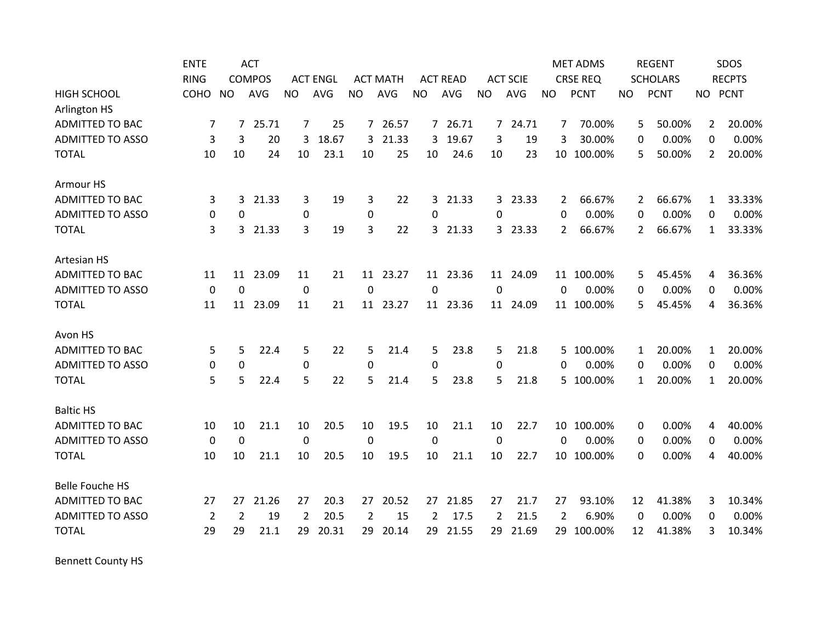|                         | <b>ENTE</b>    |                | <b>ACT</b>    |                |                 |                |                 |                |                 |                |                 |                | <b>MET ADMS</b> |             | <b>REGENT</b>   |                | SDOS          |
|-------------------------|----------------|----------------|---------------|----------------|-----------------|----------------|-----------------|----------------|-----------------|----------------|-----------------|----------------|-----------------|-------------|-----------------|----------------|---------------|
|                         | <b>RING</b>    |                | <b>COMPOS</b> |                | <b>ACT ENGL</b> |                | <b>ACT MATH</b> |                | <b>ACT READ</b> |                | <b>ACT SCIE</b> |                | <b>CRSE REQ</b> |             | <b>SCHOLARS</b> |                | <b>RECPTS</b> |
| <b>HIGH SCHOOL</b>      | COHO           | <b>NO</b>      | <b>AVG</b>    | <b>NO</b>      | <b>AVG</b>      | <b>NO</b>      | <b>AVG</b>      | <b>NO</b>      | <b>AVG</b>      | <b>NO</b>      | AVG             | <b>NO</b>      | <b>PCNT</b>     | NO          | <b>PCNT</b>     | NO PCNT        |               |
| Arlington HS            |                |                |               |                |                 |                |                 |                |                 |                |                 |                |                 |             |                 |                |               |
| <b>ADMITTED TO BAC</b>  | 7              | $\overline{7}$ | 25.71         | $\overline{7}$ | 25              | $\overline{7}$ | 26.57           |                | 7 26.71         |                | 7 24.71         | 7              | 70.00%          | 5           | 50.00%          | $\mathbf{2}$   | 20.00%        |
| <b>ADMITTED TO ASSO</b> | 3              | 3              | 20            | 3              | 18.67           | 3              | 21.33           | 3              | 19.67           | 3              | 19              | 3              | 30.00%          | 0           | 0.00%           | $\Omega$       | 0.00%         |
| <b>TOTAL</b>            | 10             | 10             | 24            | 10             | 23.1            | 10             | 25              | 10             | 24.6            | 10             | 23              | 10             | 100.00%         | 5           | 50.00%          | $\overline{2}$ | 20.00%        |
| Armour HS               |                |                |               |                |                 |                |                 |                |                 |                |                 |                |                 |             |                 |                |               |
| <b>ADMITTED TO BAC</b>  | 3              | 3              | 21.33         | 3              | 19              | 3              | 22              | $\mathbf{3}$   | 21.33           | $\mathbf{3}$   | 23.33           | 2              | 66.67%          | 2           | 66.67%          | $\mathbf{1}$   | 33.33%        |
| <b>ADMITTED TO ASSO</b> | 0              | $\mathbf 0$    |               | $\pmb{0}$      |                 | $\mathbf 0$    |                 | 0              |                 | $\Omega$       |                 | $\Omega$       | 0.00%           | 0           | 0.00%           | $\Omega$       | 0.00%         |
| <b>TOTAL</b>            | 3              | 3              | 21.33         | 3              | 19              | 3              | 22              | 3              | 21.33           |                | 3 23.33         | 2              | 66.67%          | 2           | 66.67%          | 1              | 33.33%        |
| Artesian HS             |                |                |               |                |                 |                |                 |                |                 |                |                 |                |                 |             |                 |                |               |
| <b>ADMITTED TO BAC</b>  | 11             | 11             | 23.09         | 11             | 21              | 11             | 23.27           |                | 11 23.36        | 11             | 24.09           |                | 11 100.00%      | 5           | 45.45%          | 4              | 36.36%        |
| <b>ADMITTED TO ASSO</b> | 0              | 0              |               | $\mathbf 0$    |                 | $\Omega$       |                 | $\Omega$       |                 | $\Omega$       |                 | $\Omega$       | 0.00%           | 0           | 0.00%           | 0              | 0.00%         |
| <b>TOTAL</b>            | 11             | 11             | 23.09         | 11             | 21              | 11             | 23.27           |                | 11 23.36        | 11             | 24.09           | 11             | 100.00%         | 5           | 45.45%          | 4              | 36.36%        |
| Avon HS                 |                |                |               |                |                 |                |                 |                |                 |                |                 |                |                 |             |                 |                |               |
| <b>ADMITTED TO BAC</b>  | 5              | 5              | 22.4          | 5              | 22              | 5              | 21.4            | 5              | 23.8            | 5              | 21.8            | 5.             | 100.00%         | 1           | 20.00%          | 1              | 20.00%        |
| <b>ADMITTED TO ASSO</b> | 0              | 0              |               | 0              |                 | $\Omega$       |                 | $\mathbf{0}$   |                 | 0              |                 | 0              | 0.00%           | 0           | 0.00%           | 0              | 0.00%         |
| <b>TOTAL</b>            | 5              | 5              | 22.4          | 5              | 22              | 5              | 21.4            | 5              | 23.8            | 5              | 21.8            | 5.             | 100.00%         | 1           | 20.00%          | $\mathbf{1}$   | 20.00%        |
| <b>Baltic HS</b>        |                |                |               |                |                 |                |                 |                |                 |                |                 |                |                 |             |                 |                |               |
| <b>ADMITTED TO BAC</b>  | 10             | 10             | 21.1          | 10             | 20.5            | 10             | 19.5            | 10             | 21.1            | 10             | 22.7            | 10             | 100.00%         | 0           | 0.00%           | 4              | 40.00%        |
| <b>ADMITTED TO ASSO</b> | $\mathbf 0$    | $\mathbf 0$    |               | 0              |                 | 0              |                 | $\mathbf 0$    |                 | $\mathbf 0$    |                 | $\Omega$       | 0.00%           | 0           | 0.00%           | $\Omega$       | 0.00%         |
| <b>TOTAL</b>            | 10             | 10             | 21.1          | 10             | 20.5            | 10             | 19.5            | 10             | 21.1            | 10             | 22.7            | 10             | 100.00%         | 0           | 0.00%           | 4              | 40.00%        |
| <b>Belle Fouche HS</b>  |                |                |               |                |                 |                |                 |                |                 |                |                 |                |                 |             |                 |                |               |
| <b>ADMITTED TO BAC</b>  | 27             | 27             | 21.26         | 27             | 20.3            | 27             | 20.52           | 27             | 21.85           | 27             | 21.7            | 27             | 93.10%          | 12          | 41.38%          | 3              | 10.34%        |
| <b>ADMITTED TO ASSO</b> | $\overline{2}$ | $\overline{2}$ | 19            | $\overline{2}$ | 20.5            | $\overline{2}$ | 15              | $\overline{2}$ | 17.5            | $\overline{2}$ | 21.5            | $\overline{2}$ | 6.90%           | $\mathbf 0$ | 0.00%           | 0              | 0.00%         |
| <b>TOTAL</b>            | 29             | 29             | 21.1          | 29             | 20.31           | 29             | 20.14           | 29             | 21.55           | 29             | 21.69           | 29             | 100.00%         | 12          | 41.38%          | 3              | 10.34%        |

Bennett County HS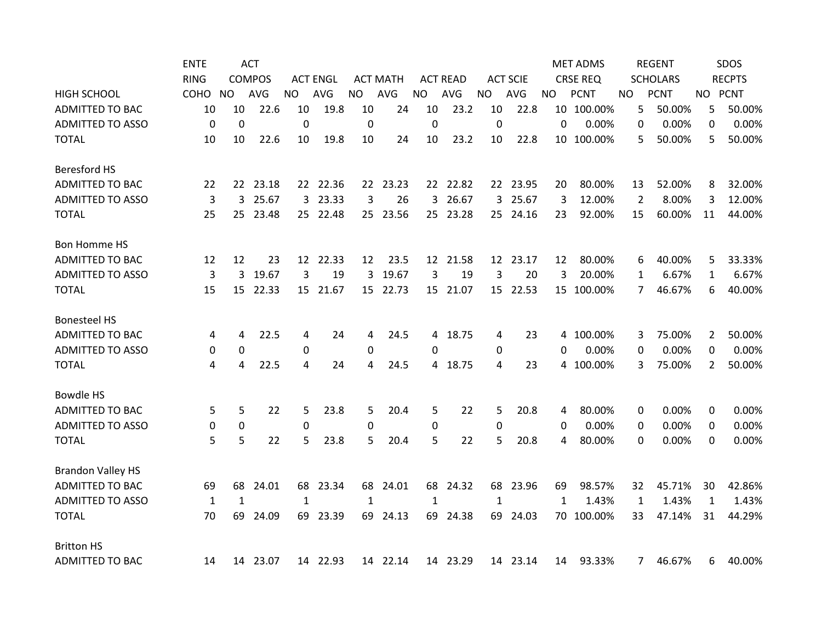|                          | <b>ENTE</b>  |              | <b>ACT</b>    |                  |                 |              |                 |             |                 |              |                 |              | <b>MET ADMS</b> |                | <b>REGENT</b>   |                | SDOS          |
|--------------------------|--------------|--------------|---------------|------------------|-----------------|--------------|-----------------|-------------|-----------------|--------------|-----------------|--------------|-----------------|----------------|-----------------|----------------|---------------|
|                          | <b>RING</b>  |              | <b>COMPOS</b> |                  | <b>ACT ENGL</b> |              | <b>ACT MATH</b> |             | <b>ACT READ</b> |              | <b>ACT SCIE</b> |              | <b>CRSE REQ</b> |                | <b>SCHOLARS</b> |                | <b>RECPTS</b> |
| <b>HIGH SCHOOL</b>       | COHO         | NO.          | <b>AVG</b>    | <b>NO</b>        | AVG             | <b>NO</b>    | AVG             | <b>NO</b>   | AVG             | <b>NO</b>    | AVG             | NO.          | <b>PCNT</b>     | NO.            | <b>PCNT</b>     |                | NO PCNT       |
| <b>ADMITTED TO BAC</b>   | 10           | 10           | 22.6          | 10               | 19.8            | 10           | 24              | 10          | 23.2            | 10           | 22.8            |              | 10 100.00%      | 5              | 50.00%          | 5              | 50.00%        |
| <b>ADMITTED TO ASSO</b>  | 0            | $\mathbf 0$  |               | $\mathbf 0$      |                 | $\mathbf 0$  |                 | $\mathbf 0$ |                 | $\mathbf 0$  |                 | 0            | 0.00%           | 0              | 0.00%           | 0              | 0.00%         |
| <b>TOTAL</b>             | 10           | 10           | 22.6          | 10               | 19.8            | 10           | 24              | 10          | 23.2            | 10           | 22.8            |              | 10 100.00%      | 5              | 50.00%          | 5              | 50.00%        |
| <b>Beresford HS</b>      |              |              |               |                  |                 |              |                 |             |                 |              |                 |              |                 |                |                 |                |               |
| <b>ADMITTED TO BAC</b>   | 22           |              | 22 23.18      |                  | 22 22.36        |              | 22 23.23        |             | 22 22.82        |              | 22 23.95        | 20           | 80.00%          | 13             | 52.00%          | 8              | 32.00%        |
| <b>ADMITTED TO ASSO</b>  | 3            | 3            | 25.67         |                  | 3 23.33         | 3            | 26              | 3           | 26.67           | 3            | 25.67           | 3            | 12.00%          | $\overline{2}$ | 8.00%           | 3              | 12.00%        |
| <b>TOTAL</b>             | 25           | 25           | 23.48         |                  | 25 22.48        |              | 25 23.56        | 25          | 23.28           |              | 25 24.16        | 23           | 92.00%          | 15             | 60.00%          | 11             | 44.00%        |
| <b>Bon Homme HS</b>      |              |              |               |                  |                 |              |                 |             |                 |              |                 |              |                 |                |                 |                |               |
| <b>ADMITTED TO BAC</b>   | 12           | 12           | 23            |                  | 12 22.33        | 12           | 23.5            |             | 12 21.58        |              | 12 23.17        | 12           | 80.00%          | 6              | 40.00%          | 5              | 33.33%        |
| <b>ADMITTED TO ASSO</b>  | 3            | 3            | 19.67         | 3                | 19              | 3            | 19.67           | 3           | 19              | 3            | 20              | 3            | 20.00%          | $\mathbf{1}$   | 6.67%           | 1              | 6.67%         |
| <b>TOTAL</b>             | 15           | 15           | 22.33         | 15               | 21.67           |              | 15 22.73        | 15          | 21.07           | 15           | 22.53           | 15           | 100.00%         | 7              | 46.67%          | 6              | 40.00%        |
| <b>Bonesteel HS</b>      |              |              |               |                  |                 |              |                 |             |                 |              |                 |              |                 |                |                 |                |               |
| <b>ADMITTED TO BAC</b>   | 4            | 4            | 22.5          | 4                | 24              | 4            | 24.5            |             | 4 18.75         | 4            | 23              | 4            | 100.00%         | 3              | 75.00%          | $\overline{2}$ | 50.00%        |
| <b>ADMITTED TO ASSO</b>  | 0            | 0            |               | 0                |                 | 0            |                 | 0           |                 | 0            |                 | 0            | 0.00%           | 0              | 0.00%           | 0              | 0.00%         |
| <b>TOTAL</b>             | 4            | 4            | 22.5          | 4                | 24              | 4            | 24.5            |             | 4 18.75         | 4            | 23              |              | 4 100.00%       | 3              | 75.00%          | $\overline{2}$ | 50.00%        |
| <b>Bowdle HS</b>         |              |              |               |                  |                 |              |                 |             |                 |              |                 |              |                 |                |                 |                |               |
| ADMITTED TO BAC          | 5            | 5            | 22            | 5                | 23.8            | 5            | 20.4            | 5           | 22              | 5            | 20.8            | 4            | 80.00%          | 0              | 0.00%           | 0              | 0.00%         |
| <b>ADMITTED TO ASSO</b>  | 0            | 0            |               | $\boldsymbol{0}$ |                 | $\mathbf 0$  |                 | 0           |                 | 0            |                 | 0            | 0.00%           | 0              | 0.00%           | 0              | 0.00%         |
| <b>TOTAL</b>             | 5            | 5            | 22            | 5                | 23.8            | 5            | 20.4            | 5           | 22              | 5            | 20.8            | 4            | 80.00%          | 0              | 0.00%           | 0              | 0.00%         |
| <b>Brandon Valley HS</b> |              |              |               |                  |                 |              |                 |             |                 |              |                 |              |                 |                |                 |                |               |
| <b>ADMITTED TO BAC</b>   | 69           | 68           | 24.01         | 68               | 23.34           | 68           | 24.01           | 68          | 24.32           | 68           | 23.96           | 69           | 98.57%          | 32             | 45.71%          | 30             | 42.86%        |
| <b>ADMITTED TO ASSO</b>  | $\mathbf{1}$ | $\mathbf{1}$ |               | $\mathbf{1}$     |                 | $\mathbf{1}$ |                 | 1           |                 | $\mathbf{1}$ |                 | $\mathbf{1}$ | 1.43%           | $\mathbf{1}$   | 1.43%           | 1              | 1.43%         |
| <b>TOTAL</b>             | 70           | 69           | 24.09         | 69.              | 23.39           | 69           | 24.13           | 69          | 24.38           | 69           | 24.03           |              | 70 100.00%      | 33             | 47.14%          | 31             | 44.29%        |
| <b>Britton HS</b>        |              |              |               |                  |                 |              |                 |             |                 |              |                 |              |                 |                |                 |                |               |
| <b>ADMITTED TO BAC</b>   | 14           | 14           | 23.07         |                  | 14 22.93        |              | 14 22.14        |             | 14 23.29        |              | 14 23.14        | 14           | 93.33%          | 7              | 46.67%          | 6              | 40.00%        |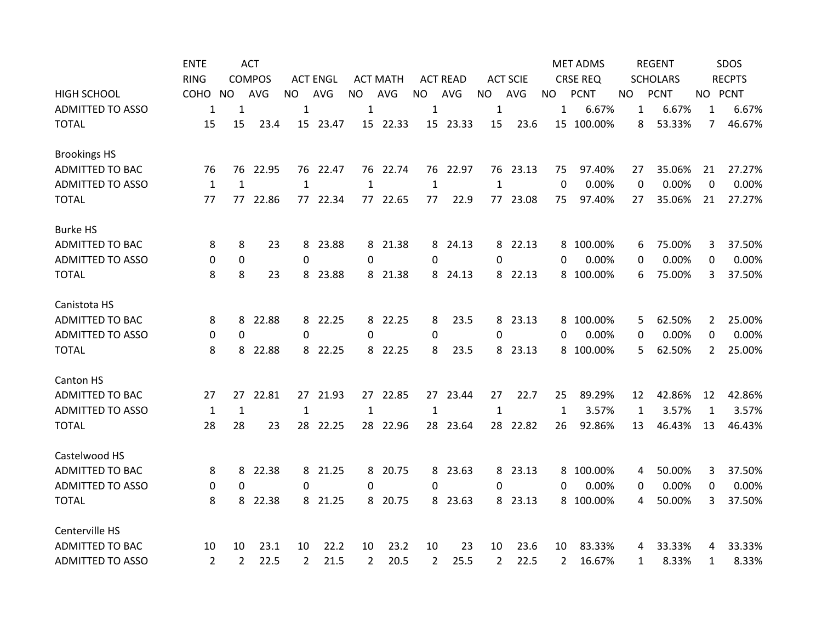|                         | <b>ENTE</b>    |                | <b>ACT</b>    |                |                 |                |                 |              |                 |                |                 |              | <b>MET ADMS</b> |              | <b>REGENT</b>   |              | SDOS          |
|-------------------------|----------------|----------------|---------------|----------------|-----------------|----------------|-----------------|--------------|-----------------|----------------|-----------------|--------------|-----------------|--------------|-----------------|--------------|---------------|
|                         | <b>RING</b>    |                | <b>COMPOS</b> |                | <b>ACT ENGL</b> |                | <b>ACT MATH</b> |              | <b>ACT READ</b> |                | <b>ACT SCIE</b> |              | <b>CRSE REQ</b> |              | <b>SCHOLARS</b> |              | <b>RECPTS</b> |
| <b>HIGH SCHOOL</b>      | COHO           | <b>NO</b>      | <b>AVG</b>    | <b>NO</b>      | AVG             | <b>NO</b>      | AVG             | <b>NO</b>    | AVG             | <b>NO</b>      | AVG             | <b>NO</b>    | <b>PCNT</b>     | NO.          | <b>PCNT</b>     |              | NO PCNT       |
| <b>ADMITTED TO ASSO</b> | 1              | 1              |               | 1              |                 | 1              |                 | 1            |                 | $\mathbf 1$    |                 | $\mathbf{1}$ | 6.67%           | 1            | 6.67%           | 1            | 6.67%         |
| <b>TOTAL</b>            | 15             | 15             | 23.4          |                | 15 23.47        |                | 15 22.33        |              | 15 23.33        | 15             | 23.6            |              | 15 100.00%      | 8            | 53.33%          | 7            | 46.67%        |
| <b>Brookings HS</b>     |                |                |               |                |                 |                |                 |              |                 |                |                 |              |                 |              |                 |              |               |
| ADMITTED TO BAC         | 76             | 76             | 22.95         |                | 76 22.47        |                | 76 22.74        |              | 76 22.97        |                | 76 23.13        | 75           | 97.40%          | 27           | 35.06%          | 21           | 27.27%        |
| <b>ADMITTED TO ASSO</b> | 1              | $\mathbf{1}$   |               | 1              |                 | 1              |                 | 1            |                 | 1              |                 | $\Omega$     | 0.00%           | 0            | 0.00%           | 0            | 0.00%         |
| <b>TOTAL</b>            | 77             | 77             | 22.86         |                | 77 22.34        | 77             | 22.65           | 77           | 22.9            | 77             | 23.08           | 75           | 97.40%          | 27           | 35.06%          | 21           | 27.27%        |
| <b>Burke HS</b>         |                |                |               |                |                 |                |                 |              |                 |                |                 |              |                 |              |                 |              |               |
| <b>ADMITTED TO BAC</b>  | 8              | 8              | 23            |                | 8 23.88         |                | 8 21.38         |              | 8 24.13         |                | 8 22.13         |              | 8 100.00%       | 6            | 75.00%          | 3            | 37.50%        |
| <b>ADMITTED TO ASSO</b> | 0              | 0              |               | $\Omega$       |                 | $\Omega$       |                 | 0            |                 | $\Omega$       |                 | $\Omega$     | 0.00%           | 0            | 0.00%           | 0            | 0.00%         |
| <b>TOTAL</b>            | 8              | 8              | 23            | 8              | 23.88           | 8              | 21.38           |              | 8 24.13         |                | 8 22.13         | 8            | 100.00%         | 6            | 75.00%          | 3            | 37.50%        |
| Canistota HS            |                |                |               |                |                 |                |                 |              |                 |                |                 |              |                 |              |                 |              |               |
| <b>ADMITTED TO BAC</b>  | 8              | 8              | 22.88         |                | 8 22.25         | 8              | 22.25           | 8            | 23.5            |                | 8 23.13         |              | 8 100.00%       | 5            | 62.50%          | 2            | 25.00%        |
| <b>ADMITTED TO ASSO</b> | 0              | $\Omega$       |               | $\Omega$       |                 | $\Omega$       |                 | $\Omega$     |                 | $\Omega$       |                 | 0            | 0.00%           | 0            | 0.00%           | 0            | 0.00%         |
| <b>TOTAL</b>            | 8              | 8              | 22.88         |                | 8 22.25         | 8              | 22.25           | 8            | 23.5            |                | 8 23.13         | 8            | 100.00%         | 5            | 62.50%          | $\mathbf{2}$ | 25.00%        |
| Canton HS               |                |                |               |                |                 |                |                 |              |                 |                |                 |              |                 |              |                 |              |               |
| <b>ADMITTED TO BAC</b>  | 27             | 27             | 22.81         |                | 27 21.93        |                | 27 22.85        |              | 27 23.44        | 27             | 22.7            | 25           | 89.29%          | 12           | 42.86%          | 12           | 42.86%        |
| <b>ADMITTED TO ASSO</b> | $\mathbf{1}$   | $\mathbf{1}$   |               | $\mathbf{1}$   |                 | $\mathbf{1}$   |                 | $\mathbf{1}$ |                 | $\mathbf{1}$   |                 | $\mathbf{1}$ | 3.57%           | $\mathbf{1}$ | 3.57%           | 1            | 3.57%         |
| <b>TOTAL</b>            | 28             | 28             | 23            |                | 28 22.25        | 28             | 22.96           |              | 28 23.64        | 28             | 22.82           | 26           | 92.86%          | 13           | 46.43%          | 13           | 46.43%        |
| Castelwood HS           |                |                |               |                |                 |                |                 |              |                 |                |                 |              |                 |              |                 |              |               |
| <b>ADMITTED TO BAC</b>  | 8              | 8              | 22.38         |                | 8 21.25         | 8              | 20.75           |              | 8 23.63         |                | 8 23.13         |              | 8 100.00%       | 4            | 50.00%          | 3            | 37.50%        |
| <b>ADMITTED TO ASSO</b> | 0              | 0              |               | $\Omega$       |                 | $\Omega$       |                 | 0            |                 | 0              |                 | 0            | 0.00%           | 0            | 0.00%           | 0            | 0.00%         |
| <b>TOTAL</b>            | 8              | 8              | 22.38         |                | 8 21.25         | 8              | 20.75           |              | 8 23.63         |                | 8 23.13         |              | 8 100.00%       | 4            | 50.00%          | 3            | 37.50%        |
| Centerville HS          |                |                |               |                |                 |                |                 |              |                 |                |                 |              |                 |              |                 |              |               |
| <b>ADMITTED TO BAC</b>  | 10             | 10             | 23.1          | 10             | 22.2            | 10             | 23.2            | 10           | 23              | 10             | 23.6            | 10           | 83.33%          | 4            | 33.33%          | 4            | 33.33%        |
| <b>ADMITTED TO ASSO</b> | $\overline{2}$ | $\overline{2}$ | 22.5          | $\overline{2}$ | 21.5            | $\overline{2}$ | 20.5            | 2            | 25.5            | $\overline{2}$ | 22.5            | 2            | 16.67%          | 1            | 8.33%           | 1            | 8.33%         |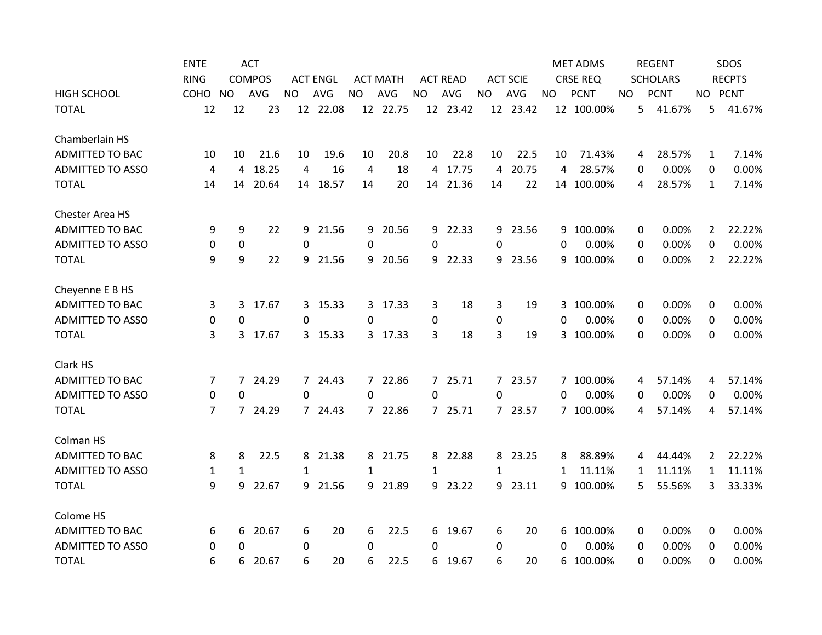|                         | <b>ENTE</b> |              | <b>ACT</b>    |           |                 |             |                 |           |                 |                |                 |          | <b>MET ADMS</b> |     | <b>REGENT</b> |                 |                | SDOS          |
|-------------------------|-------------|--------------|---------------|-----------|-----------------|-------------|-----------------|-----------|-----------------|----------------|-----------------|----------|-----------------|-----|---------------|-----------------|----------------|---------------|
|                         | <b>RING</b> |              | <b>COMPOS</b> |           | <b>ACT ENGL</b> |             | <b>ACT MATH</b> |           | <b>ACT READ</b> |                | <b>ACT SCIE</b> |          | <b>CRSE REQ</b> |     |               | <b>SCHOLARS</b> |                | <b>RECPTS</b> |
| <b>HIGH SCHOOL</b>      | COHO        | <b>NO</b>    | AVG           | <b>NO</b> | AVG             | <b>NO</b>   | AVG             | <b>NO</b> | AVG             | <b>NO</b>      | AVG             | NO.      | <b>PCNT</b>     | NO. |               | <b>PCNT</b>     | NO PCNT        |               |
| <b>TOTAL</b>            | 12          | 12           | 23            |           | 12 22.08        |             | 12 22.75        |           | 12 23.42        |                | 12 23.42        |          | 12 100.00%      |     | 5             | 41.67%          | 5              | 41.67%        |
| Chamberlain HS          |             |              |               |           |                 |             |                 |           |                 |                |                 |          |                 |     |               |                 |                |               |
| ADMITTED TO BAC         | 10          | 10           | 21.6          | 10        | 19.6            | 10          | 20.8            | 10        | 22.8            | 10             | 22.5            | 10       | 71.43%          |     | 4             | 28.57%          | 1              | 7.14%         |
| <b>ADMITTED TO ASSO</b> | 4           | 4            | 18.25         | 4         | 16              | 4           | 18              |           | 4 17.75         | $\overline{4}$ | 20.75           | 4        | 28.57%          |     | 0             | 0.00%           | 0              | 0.00%         |
| <b>TOTAL</b>            | 14          | 14           | 20.64         | 14        | 18.57           | 14          | 20              | 14        | 21.36           | 14             | 22              | 14       | 100.00%         |     | 4             | 28.57%          | 1              | 7.14%         |
| Chester Area HS         |             |              |               |           |                 |             |                 |           |                 |                |                 |          |                 |     |               |                 |                |               |
| <b>ADMITTED TO BAC</b>  | 9           | 9            | 22            |           | 9 21.56         | 9           | 20.56           |           | 9 22.33         |                | 9 23.56         |          | 9 100.00%       |     | 0             | 0.00%           | 2              | 22.22%        |
| <b>ADMITTED TO ASSO</b> | 0           | 0            |               | $\Omega$  |                 | $\Omega$    |                 | 0         |                 | $\mathbf{0}$   |                 | 0        | 0.00%           |     | 0             | 0.00%           | 0              | 0.00%         |
| <b>TOTAL</b>            | 9           | 9            | 22            |           | 9 21.56         | 9           | 20.56           | 9         | 22.33           |                | 9 23.56         | 9        | 100.00%         |     | $\Omega$      | 0.00%           | $\overline{2}$ | 22.22%        |
| Cheyenne E B HS         |             |              |               |           |                 |             |                 |           |                 |                |                 |          |                 |     |               |                 |                |               |
| <b>ADMITTED TO BAC</b>  | 3           | 3            | 17.67         |           | 3 15.33         |             | 3 17.33         | 3         | 18              | 3              | 19              |          | 3 100.00%       |     | 0             | 0.00%           | 0              | 0.00%         |
| <b>ADMITTED TO ASSO</b> | 0           | 0            |               | 0         |                 | $\Omega$    |                 | 0         |                 | 0              |                 | 0        | 0.00%           |     | 0             | 0.00%           | 0              | 0.00%         |
| <b>TOTAL</b>            | 3           | 3            | 17.67         |           | 3 15.33         | 3           | 17.33           | 3         | 18              | 3              | 19              | 3        | 100.00%         |     | $\Omega$      | 0.00%           | $\Omega$       | 0.00%         |
| Clark HS                |             |              |               |           |                 |             |                 |           |                 |                |                 |          |                 |     |               |                 |                |               |
| <b>ADMITTED TO BAC</b>  | 7           |              | 7 24.29       |           | 7 24.43         |             | 7 22.86         |           | 7 25.71         |                | 7 23.57         |          | 7 100.00%       |     | 4             | 57.14%          | 4              | 57.14%        |
| <b>ADMITTED TO ASSO</b> | 0           | 0            |               | $\Omega$  |                 | $\Omega$    |                 | 0         |                 | $\Omega$       |                 | 0        | 0.00%           |     | 0             | 0.00%           | 0              | 0.00%         |
| <b>TOTAL</b>            | 7           | $7^{\circ}$  | 24.29         |           | 7 24.43         | $7^{\circ}$ | 22.86           |           | 7 25.71         |                | 7 23.57         |          | 7 100.00%       |     | 4             | 57.14%          | 4              | 57.14%        |
| Colman HS               |             |              |               |           |                 |             |                 |           |                 |                |                 |          |                 |     |               |                 |                |               |
| <b>ADMITTED TO BAC</b>  | 8           | 8            | 22.5          |           | 8 21.38         |             | 8 21.75         |           | 8 22.88         |                | 8 23.25         | 8        | 88.89%          |     | 4             | 44.44%          | $\overline{2}$ | 22.22%        |
| <b>ADMITTED TO ASSO</b> | 1           | $\mathbf{1}$ |               | 1         |                 | 1           |                 | 1         |                 | 1              |                 | 1        | 11.11%          |     | 1             | 11.11%          | $\mathbf{1}$   | 11.11%        |
| <b>TOTAL</b>            | 9           | 9            | 22.67         |           | 9 21.56         | 9           | 21.89           |           | 9 23.22         | 9              | 23.11           | 9        | 100.00%         |     | 5             | 55.56%          | 3              | 33.33%        |
| Colome HS               |             |              |               |           |                 |             |                 |           |                 |                |                 |          |                 |     |               |                 |                |               |
| <b>ADMITTED TO BAC</b>  | 6           | 6            | 20.67         | 6         | 20              | 6           | 22.5            |           | 6 19.67         | 6              | 20              | 6        | 100.00%         |     | 0             | 0.00%           | 0              | 0.00%         |
| <b>ADMITTED TO ASSO</b> | 0           | $\Omega$     |               | 0         |                 | 0           |                 | 0         |                 | $\Omega$       |                 | $\Omega$ | 0.00%           |     | 0             | 0.00%           | 0              | 0.00%         |
| <b>TOTAL</b>            | 6           | 6            | 20.67         | 6         | 20              | 6           | 22.5            | 6         | 19.67           | 6              | 20              | 6        | 100.00%         |     | 0             | 0.00%           | 0              | 0.00%         |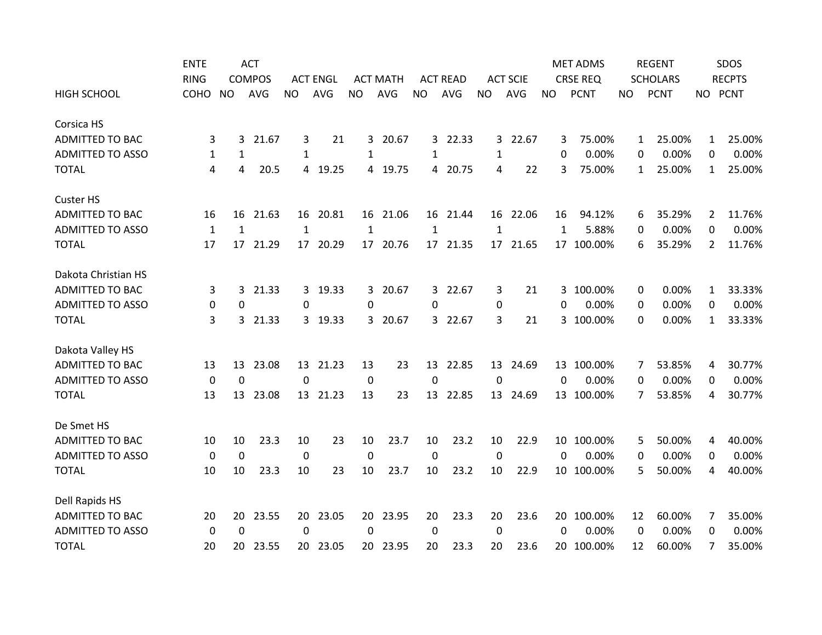|                         | <b>ENTE</b>  |              | <b>ACT</b>    |             |                 |              |                 |              |                 |                 |                 |              | <b>MET ADMS</b> |    | <b>REGENT</b>     |                | SDOS          |
|-------------------------|--------------|--------------|---------------|-------------|-----------------|--------------|-----------------|--------------|-----------------|-----------------|-----------------|--------------|-----------------|----|-------------------|----------------|---------------|
|                         | <b>RING</b>  |              | <b>COMPOS</b> |             | <b>ACT ENGL</b> |              | <b>ACT MATH</b> |              | <b>ACT READ</b> |                 | <b>ACT SCIE</b> |              | <b>CRSE REQ</b> |    | <b>SCHOLARS</b>   |                | <b>RECPTS</b> |
| <b>HIGH SCHOOL</b>      | COHO         | <b>NO</b>    | <b>AVG</b>    | <b>NO</b>   | AVG             | <b>NO</b>    | <b>AVG</b>      | <b>NO</b>    | AVG             | <b>NO</b>       | AVG             | <b>NO</b>    | <b>PCNT</b>     | NO | <b>PCNT</b>       | NO PCNT        |               |
| Corsica HS              |              |              |               |             |                 |              |                 |              |                 |                 |                 |              |                 |    |                   |                |               |
| ADMITTED TO BAC         | 3            | 3            | 21.67         | 3           | 21              | 3.           | 20.67           |              | 3 22.33         |                 | 3 22.67         | 3            | 75.00%          |    | 25.00%<br>1       | $\mathbf{1}$   | 25.00%        |
| <b>ADMITTED TO ASSO</b> | 1            | 1            |               | 1           |                 | 1            |                 | 1            |                 | 1               |                 | 0            | 0.00%           |    | 0.00%<br>0        | 0              | 0.00%         |
| <b>TOTAL</b>            | 4            | 4            | 20.5          |             | 4 19.25         | 4            | 19.75           |              | 4 20.75         | 4               | 22              | 3            | 75.00%          |    | 25.00%<br>1       | $\mathbf{1}$   | 25.00%        |
| <b>Custer HS</b>        |              |              |               |             |                 |              |                 |              |                 |                 |                 |              |                 |    |                   |                |               |
| <b>ADMITTED TO BAC</b>  | 16           | 16           | 21.63         | 16          | 20.81           |              | 16 21.06        |              | 16 21.44        |                 | 16 22.06        | 16           | 94.12%          |    | 35.29%<br>6       | $\overline{2}$ | 11.76%        |
| <b>ADMITTED TO ASSO</b> | $\mathbf{1}$ | $\mathbf{1}$ |               | 1           |                 | $\mathbf{1}$ |                 | $\mathbf{1}$ |                 | 1               |                 | 1            | 5.88%           |    | 0.00%<br>0        | 0              | 0.00%         |
| <b>TOTAL</b>            | 17           | 17           | 21.29         | 17          | 20.29           | 17           | 20.76           |              | 17 21.35        | 17 <sup>2</sup> | 21.65           |              | 17 100.00%      |    | 35.29%<br>6       | 2              | 11.76%        |
| Dakota Christian HS     |              |              |               |             |                 |              |                 |              |                 |                 |                 |              |                 |    |                   |                |               |
| <b>ADMITTED TO BAC</b>  | 3            | 3            | 21.33         |             | 3 19.33         | 3            | 20.67           | 3            | 22.67           | 3               | 21              | 3            | 100.00%         |    | 0.00%<br>0        | $\mathbf{1}$   | 33.33%        |
| <b>ADMITTED TO ASSO</b> | 0            | 0            |               | 0           |                 | 0            |                 | 0            |                 | 0               |                 | 0            | 0.00%           |    | 0.00%<br>0        | $\Omega$       | 0.00%         |
| <b>TOTAL</b>            | 3            | $\mathbf{3}$ | 21.33         |             | 3 19.33         | 3            | 20.67           |              | 3 22.67         | 3               | 21              |              | 3 100.00%       |    | 0.00%<br>$\Omega$ | $\mathbf{1}$   | 33.33%        |
| Dakota Valley HS        |              |              |               |             |                 |              |                 |              |                 |                 |                 |              |                 |    |                   |                |               |
| <b>ADMITTED TO BAC</b>  | 13           | 13           | 23.08         |             | 13 21.23        | 13           | 23              | 13           | 22.85           | 13              | 24.69           | 13           | 100.00%         |    | 53.85%<br>7       | 4              | 30.77%        |
| <b>ADMITTED TO ASSO</b> | 0            | $\Omega$     |               | $\Omega$    |                 | 0            |                 | $\Omega$     |                 | $\Omega$        |                 | 0            | 0.00%           |    | 0.00%<br>0        | $\Omega$       | 0.00%         |
| <b>TOTAL</b>            | 13           | 13           | 23.08         | 13          | 21.23           | 13           | 23              | 13           | 22.85           |                 | 13 24.69        | 13           | 100.00%         |    | 53.85%<br>7       | 4              | 30.77%        |
| De Smet HS              |              |              |               |             |                 |              |                 |              |                 |                 |                 |              |                 |    |                   |                |               |
| <b>ADMITTED TO BAC</b>  | 10           | 10           | 23.3          | 10          | 23              | 10           | 23.7            | 10           | 23.2            | 10              | 22.9            | 10           | 100.00%         |    | 50.00%<br>5       | 4              | 40.00%        |
| <b>ADMITTED TO ASSO</b> | $\mathbf 0$  | $\mathbf 0$  |               | $\mathbf 0$ |                 | $\mathbf 0$  |                 | 0            |                 | $\mathbf 0$     |                 | 0            | 0.00%           |    | 0.00%<br>0        | 0              | 0.00%         |
| <b>TOTAL</b>            | 10           | 10           | 23.3          | 10          | 23              | 10           | 23.7            | 10           | 23.2            | 10              | 22.9            |              | 10 100.00%      |    | 50.00%<br>5       | 4              | 40.00%        |
| Dell Rapids HS          |              |              |               |             |                 |              |                 |              |                 |                 |                 |              |                 |    |                   |                |               |
| <b>ADMITTED TO BAC</b>  | 20           | 20           | 23.55         | 20          | 23.05           | 20           | 23.95           | 20           | 23.3            | 20              | 23.6            | 20           | 100.00%         | 12 | 60.00%            | 7              | 35.00%        |
| <b>ADMITTED TO ASSO</b> | 0            | $\Omega$     |               | $\mathbf 0$ |                 | 0            |                 | 0            |                 | 0               |                 | $\mathbf{0}$ | 0.00%           |    | 0.00%<br>0        | $\Omega$       | 0.00%         |
| <b>TOTAL</b>            | 20           | 20           | 23.55         | 20          | 23.05           | 20           | 23.95           | 20           | 23.3            | 20              | 23.6            | 20           | 100.00%         | 12 | 60.00%            | 7              | 35.00%        |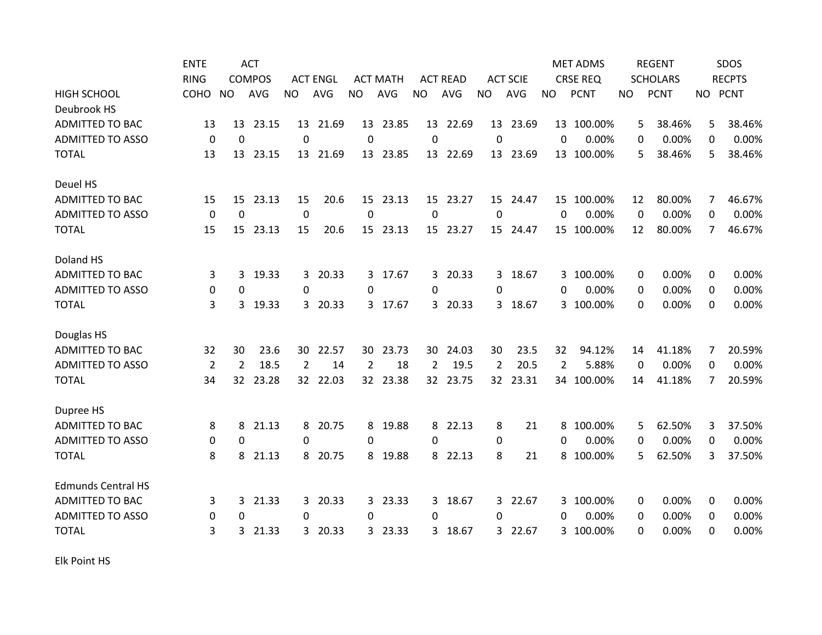|                           | <b>ENTE</b>    |                | <b>ACT</b>    |           |                 |                 |                 |                |                 |                 |                 |                | <b>MET ADMS</b> |          | <b>REGENT</b>   |                | SDOS          |
|---------------------------|----------------|----------------|---------------|-----------|-----------------|-----------------|-----------------|----------------|-----------------|-----------------|-----------------|----------------|-----------------|----------|-----------------|----------------|---------------|
|                           | <b>RING</b>    |                | <b>COMPOS</b> |           | <b>ACT ENGL</b> |                 | <b>ACT MATH</b> |                | <b>ACT READ</b> |                 | <b>ACT SCIE</b> |                | <b>CRSE REQ</b> |          | <b>SCHOLARS</b> |                | <b>RECPTS</b> |
| <b>HIGH SCHOOL</b>        | COHO           | <b>NO</b>      | <b>AVG</b>    | <b>NO</b> | <b>AVG</b>      | <b>NO</b>       | <b>AVG</b>      | <b>NO</b>      | <b>AVG</b>      | <b>NO</b>       | <b>AVG</b>      | <b>NO</b>      | <b>PCNT</b>     | NO.      | <b>PCNT</b>     | NO PCNT        |               |
| Deubrook HS               |                |                |               |           |                 |                 |                 |                |                 |                 |                 |                |                 |          |                 |                |               |
| <b>ADMITTED TO BAC</b>    | 13             | 13             | 23.15         |           | 13 21.69        |                 | 13 23.85        |                | 13 22.69        |                 | 13 23.69        |                | 13 100.00%      | 5        | 38.46%          | 5.             | 38.46%        |
| <b>ADMITTED TO ASSO</b>   | 0              | $\mathbf 0$    |               | 0         |                 | 0               |                 | 0              |                 | 0               |                 | 0              | 0.00%           | 0        | 0.00%           | 0              | 0.00%         |
| <b>TOTAL</b>              | 13             | 13             | 23.15         |           | 13 21.69        |                 | 13 23.85        |                | 13 22.69        | 13              | 23.69           |                | 13 100.00%      | 5        | 38.46%          | 5              | 38.46%        |
| Deuel HS                  |                |                |               |           |                 |                 |                 |                |                 |                 |                 |                |                 |          |                 |                |               |
| <b>ADMITTED TO BAC</b>    | 15             | 15             | 23.13         | 15        | 20.6            | 15              | 23.13           | 15             | 23.27           | 15              | 24.47           |                | 15 100.00%      | 12       | 80.00%          | 7              | 46.67%        |
| <b>ADMITTED TO ASSO</b>   | 0              | $\mathbf 0$    |               | $\pmb{0}$ |                 | 0               |                 | 0              |                 | 0               |                 | $\Omega$       | 0.00%           | $\Omega$ | 0.00%           | 0              | 0.00%         |
| <b>TOTAL</b>              | 15             | 15             | 23.13         | 15        | 20.6            | 15 <sub>1</sub> | 23.13           |                | 15 23.27        | 15              | 24.47           |                | 15 100.00%      | 12       | 80.00%          | $\overline{7}$ | 46.67%        |
| Doland HS                 |                |                |               |           |                 |                 |                 |                |                 |                 |                 |                |                 |          |                 |                |               |
| <b>ADMITTED TO BAC</b>    | 3              | 3              | 19.33         |           | 3 20.33         |                 | 3 17.67         |                | 3 20.33         |                 | 3 18.67         |                | 3 100.00%       | 0        | 0.00%           | 0              | 0.00%         |
| <b>ADMITTED TO ASSO</b>   | 0              | 0              |               | $\Omega$  |                 | $\Omega$        |                 | 0              |                 | $\Omega$        |                 | $\Omega$       | 0.00%           | 0        | 0.00%           | $\Omega$       | 0.00%         |
| <b>TOTAL</b>              | 3              | 3              | 19.33         |           | 3 20.33         | 3               | 17.67           | 3              | 20.33           | 3               | 18.67           | 3              | 100.00%         | 0        | 0.00%           | 0              | 0.00%         |
| Douglas HS                |                |                |               |           |                 |                 |                 |                |                 |                 |                 |                |                 |          |                 |                |               |
| <b>ADMITTED TO BAC</b>    | 32             | 30             | 23.6          | 30-       | 22.57           | 30              | 23.73           | 30             | 24.03           | 30              | 23.5            | 32             | 94.12%          | 14       | 41.18%          | 7              | 20.59%        |
| <b>ADMITTED TO ASSO</b>   | $\overline{2}$ | $\overline{2}$ | 18.5          | 2         | 14              | 2               | 18              | $\overline{2}$ | 19.5            | $\overline{2}$  | 20.5            | $\overline{2}$ | 5.88%           | $\Omega$ | 0.00%           | $\Omega$       | 0.00%         |
| <b>TOTAL</b>              | 34             | 32             | 23.28         |           | 32 22.03        | 32              | 23.38           |                | 32 23.75        | 32 <sup>2</sup> | 23.31           |                | 34 100.00%      | 14       | 41.18%          | 7              | 20.59%        |
| Dupree HS                 |                |                |               |           |                 |                 |                 |                |                 |                 |                 |                |                 |          |                 |                |               |
| <b>ADMITTED TO BAC</b>    | 8              | 8              | 21.13         |           | 8 20.75         | 8               | 19.88           |                | 8 22.13         | 8               | 21              | 8              | 100.00%         | 5        | 62.50%          | 3              | 37.50%        |
| <b>ADMITTED TO ASSO</b>   | 0              | 0              |               | 0         |                 | 0               |                 | 0              |                 | 0               |                 | 0              | 0.00%           | 0        | 0.00%           | 0              | 0.00%         |
| <b>TOTAL</b>              | 8              | 8              | 21.13         |           | 8 20.75         | 8               | 19.88           | 8              | 22.13           | 8               | 21              | 8              | 100.00%         | 5        | 62.50%          | 3              | 37.50%        |
| <b>Edmunds Central HS</b> |                |                |               |           |                 |                 |                 |                |                 |                 |                 |                |                 |          |                 |                |               |
| <b>ADMITTED TO BAC</b>    | 3              | 3              | 21.33         | 3         | 20.33           | 3               | 23.33           | 3              | 18.67           | 3               | 22.67           | 3              | 100.00%         | 0        | 0.00%           | 0              | 0.00%         |
| <b>ADMITTED TO ASSO</b>   | 0              | 0              |               | 0         |                 | 0               |                 | 0              |                 | $\Omega$        |                 | 0              | 0.00%           | 0        | 0.00%           | 0              | 0.00%         |
| <b>TOTAL</b>              | 3              | 3              | 21.33         | 3         | 20.33           | 3               | 23.33           | 3              | 18.67           | 3               | 22.67           | 3              | 100.00%         | 0        | 0.00%           | $\Omega$       | 0.00%         |

Elk Point HS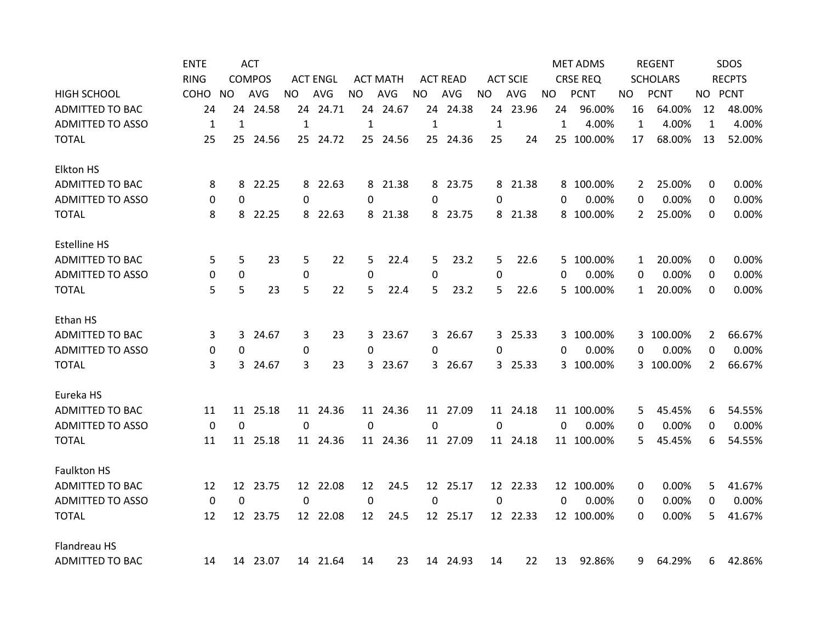|                         | <b>ENTE</b>      |                 | <b>ACT</b>    |              |                 |              |                 |                  |                 |              |                 |              | <b>MET ADMS</b> |              | <b>REGENT</b>   |                | SDOS          |
|-------------------------|------------------|-----------------|---------------|--------------|-----------------|--------------|-----------------|------------------|-----------------|--------------|-----------------|--------------|-----------------|--------------|-----------------|----------------|---------------|
|                         | <b>RING</b>      |                 | <b>COMPOS</b> |              | <b>ACT ENGL</b> |              | <b>ACT MATH</b> |                  | <b>ACT READ</b> |              | <b>ACT SCIE</b> |              | <b>CRSE REQ</b> |              | <b>SCHOLARS</b> |                | <b>RECPTS</b> |
| <b>HIGH SCHOOL</b>      | соно             | NO.             | <b>AVG</b>    | <b>NO</b>    | <b>AVG</b>      | <b>NO</b>    | AVG             | <b>NO</b>        | AVG             | <b>NO</b>    | AVG             | <b>NO</b>    | <b>PCNT</b>     | NO.          | <b>PCNT</b>     |                | NO PCNT       |
| <b>ADMITTED TO BAC</b>  | 24               |                 | 24 24.58      |              | 24 24.71        |              | 24 24.67        |                  | 24 24.38        |              | 24 23.96        | 24           | 96.00%          | 16           | 64.00%          | 12             | 48.00%        |
| <b>ADMITTED TO ASSO</b> | $\mathbf{1}$     | $\mathbf{1}$    |               | $\mathbf{1}$ |                 | $\mathbf{1}$ |                 | $\mathbf{1}$     |                 | $\mathbf{1}$ |                 | $\mathbf{1}$ | 4.00%           | $\mathbf{1}$ | 4.00%           | $\mathbf{1}$   | 4.00%         |
| <b>TOTAL</b>            | 25               |                 | 25 24.56      |              | 25 24.72        |              | 25 24.56        |                  | 25 24.36        | 25           | 24              |              | 25 100.00%      | 17           | 68.00%          | 13             | 52.00%        |
| <b>Elkton HS</b>        |                  |                 |               |              |                 |              |                 |                  |                 |              |                 |              |                 |              |                 |                |               |
| ADMITTED TO BAC         | 8                | 8               | 22.25         |              | 8 22.63         |              | 8 21.38         |                  | 8 23.75         |              | 8 21.38         |              | 8 100.00%       | 2            | 25.00%          | 0              | 0.00%         |
| <b>ADMITTED TO ASSO</b> | 0                | 0               |               | $\Omega$     |                 | $\Omega$     |                 | 0                |                 | $\Omega$     |                 | 0            | 0.00%           | 0            | 0.00%           | 0              | 0.00%         |
| <b>TOTAL</b>            | 8                | 8               | 22.25         |              | 8 22.63         |              | 8 21.38         |                  | 8 23.75         |              | 8 21.38         |              | 8 100.00%       | 2            | 25.00%          | 0              | 0.00%         |
| <b>Estelline HS</b>     |                  |                 |               |              |                 |              |                 |                  |                 |              |                 |              |                 |              |                 |                |               |
| <b>ADMITTED TO BAC</b>  | 5                | 5               | 23            | 5            | 22              | 5            | 22.4            | 5                | 23.2            | 5            | 22.6            |              | 5 100.00%       | 1            | 20.00%          | 0              | 0.00%         |
| <b>ADMITTED TO ASSO</b> | 0                | 0               |               | $\pmb{0}$    |                 | 0            |                 | 0                |                 | 0            |                 | $\Omega$     | 0.00%           | 0            | 0.00%           | $\Omega$       | 0.00%         |
| <b>TOTAL</b>            | 5                | 5               | 23            | 5            | 22              | 5            | 22.4            | 5                | 23.2            | 5            | 22.6            |              | 5 100.00%       | $\mathbf{1}$ | 20.00%          | 0              | 0.00%         |
| Ethan HS                |                  |                 |               |              |                 |              |                 |                  |                 |              |                 |              |                 |              |                 |                |               |
| <b>ADMITTED TO BAC</b>  | 3                | 3               | 24.67         | 3            | 23              | 3            | 23.67           |                  | 3 26.67         |              | 3 25.33         | 3.           | 100.00%         | 3            | 100.00%         | $\overline{2}$ | 66.67%        |
| <b>ADMITTED TO ASSO</b> | 0                | $\mathbf{0}$    |               | $\pmb{0}$    |                 | $\Omega$     |                 | 0                |                 | $\Omega$     |                 | 0            | 0.00%           | 0            | 0.00%           | 0              | 0.00%         |
| <b>TOTAL</b>            | 3                | 3               | 24.67         | 3            | 23              |              | 3 23.67         |                  | 3 26.67         |              | 3 25.33         |              | 3 100.00%       |              | 3 100.00%       | $\overline{2}$ | 66.67%        |
| Eureka HS               |                  |                 |               |              |                 |              |                 |                  |                 |              |                 |              |                 |              |                 |                |               |
| <b>ADMITTED TO BAC</b>  | 11               |                 | 11 25.18      |              | 11 24.36        |              | 11 24.36        |                  | 11 27.09        |              | 11 24.18        |              | 11 100.00%      | 5            | 45.45%          | 6              | 54.55%        |
| <b>ADMITTED TO ASSO</b> | $\boldsymbol{0}$ | $\mathbf 0$     |               | $\mathbf 0$  |                 | $\mathbf{0}$ |                 | $\boldsymbol{0}$ |                 | $\mathbf 0$  |                 | $\mathbf{0}$ | 0.00%           | 0            | 0.00%           | 0              | 0.00%         |
| <b>TOTAL</b>            | 11               | 11              | 25.18         |              | 11 24.36        |              | 11 24.36        |                  | 11 27.09        |              | 11 24.18        |              | 11 100.00%      | 5            | 45.45%          | 6              | 54.55%        |
| <b>Faulkton HS</b>      |                  |                 |               |              |                 |              |                 |                  |                 |              |                 |              |                 |              |                 |                |               |
| <b>ADMITTED TO BAC</b>  | 12               | 12 <sup>7</sup> | 23.75         |              | 12 22.08        | 12           | 24.5            |                  | 12 25.17        |              | 12 22.33        |              | 12 100.00%      | 0            | 0.00%           | 5.             | 41.67%        |
| <b>ADMITTED TO ASSO</b> | $\mathbf 0$      | $\mathbf 0$     |               | 0            |                 | $\mathbf 0$  |                 | 0                |                 | 0            |                 | $\mathbf{0}$ | 0.00%           | 0            | 0.00%           | 0              | 0.00%         |
| <b>TOTAL</b>            | 12               |                 | 12 23.75      |              | 12 22.08        | 12           | 24.5            |                  | 12 25.17        |              | 12 22.33        |              | 12 100.00%      | 0            | 0.00%           | 5              | 41.67%        |
| Flandreau HS            |                  |                 |               |              |                 |              |                 |                  |                 |              |                 |              |                 |              |                 |                |               |
| <b>ADMITTED TO BAC</b>  | 14               |                 | 14 23.07      |              | 14 21.64        | 14           | 23              |                  | 14 24.93        | 14           | 22              | 13           | 92.86%          | 9            | 64.29%          | 6              | 42.86%        |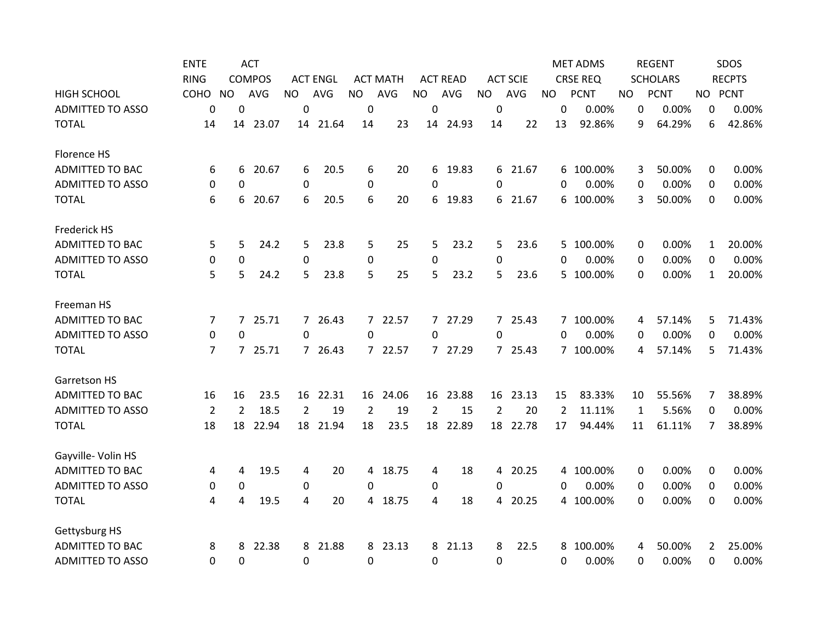|                         | <b>ENTE</b>    |                | <b>ACT</b>    |                |                 |                |                 |                |                 |                |                 |                | <b>MET ADMS</b> |              | <b>REGENT</b>   |              | SDOS          |
|-------------------------|----------------|----------------|---------------|----------------|-----------------|----------------|-----------------|----------------|-----------------|----------------|-----------------|----------------|-----------------|--------------|-----------------|--------------|---------------|
|                         | <b>RING</b>    |                | <b>COMPOS</b> |                | <b>ACT ENGL</b> |                | <b>ACT MATH</b> |                | <b>ACT READ</b> |                | <b>ACT SCIE</b> |                | <b>CRSE REQ</b> |              | <b>SCHOLARS</b> |              | <b>RECPTS</b> |
| <b>HIGH SCHOOL</b>      | COHO           | <b>NO</b>      | AVG           | <b>NO</b>      | AVG             | <b>NO</b>      | AVG             | <b>NO</b>      | AVG             | <b>NO</b>      | AVG             | <b>NO</b>      | <b>PCNT</b>     | NO.          | <b>PCNT</b>     |              | NO PCNT       |
| <b>ADMITTED TO ASSO</b> | $\mathbf 0$    | $\Omega$       |               | $\Omega$       |                 | $\Omega$       |                 | 0              |                 | 0              |                 | 0              | 0.00%           | $\mathbf 0$  | 0.00%           | 0            | 0.00%         |
| <b>TOTAL</b>            | 14             | 14             | 23.07         |                | 14 21.64        | 14             | 23              |                | 14 24.93        | 14             | 22              | 13             | 92.86%          | 9            | 64.29%          | 6            | 42.86%        |
| Florence HS             |                |                |               |                |                 |                |                 |                |                 |                |                 |                |                 |              |                 |              |               |
| <b>ADMITTED TO BAC</b>  | 6              | 6              | 20.67         | 6              | 20.5            | 6              | 20              | 6              | 19.83           |                | 6 21.67         | 6              | 100.00%         | 3            | 50.00%          | 0            | 0.00%         |
| <b>ADMITTED TO ASSO</b> | 0              | 0              |               | $\mathbf 0$    |                 | 0              |                 | 0              |                 | $\Omega$       |                 | 0              | 0.00%           | 0            | 0.00%           | 0            | 0.00%         |
| <b>TOTAL</b>            | 6              | 6              | 20.67         | 6              | 20.5            | 6              | 20              | 6              | 19.83           |                | 6 21.67         | 6              | 100.00%         | 3            | 50.00%          | $\Omega$     | 0.00%         |
| Frederick HS            |                |                |               |                |                 |                |                 |                |                 |                |                 |                |                 |              |                 |              |               |
| <b>ADMITTED TO BAC</b>  | 5              | 5              | 24.2          | 5              | 23.8            | 5              | 25              | 5              | 23.2            | 5              | 23.6            |                | 5 100.00%       | 0            | 0.00%           | 1            | 20.00%        |
| <b>ADMITTED TO ASSO</b> | 0              | $\mathbf 0$    |               | $\mathbf 0$    |                 | 0              |                 | 0              |                 | 0              |                 | $\Omega$       | 0.00%           | 0            | 0.00%           | 0            | 0.00%         |
| <b>TOTAL</b>            | 5              | 5              | 24.2          | 5              | 23.8            | 5              | 25              | 5              | 23.2            | 5              | 23.6            | 5.             | 100.00%         | 0            | 0.00%           | $\mathbf{1}$ | 20.00%        |
| Freeman HS              |                |                |               |                |                 |                |                 |                |                 |                |                 |                |                 |              |                 |              |               |
| <b>ADMITTED TO BAC</b>  | 7              | $\overline{7}$ | 25.71         |                | 7 26.43         | $\overline{7}$ | 22.57           |                | 7 27.29         |                | 7 25.43         |                | 7 100.00%       | 4            | 57.14%          | 5            | 71.43%        |
| <b>ADMITTED TO ASSO</b> | 0              | 0              |               | $\Omega$       |                 | $\Omega$       |                 | $\Omega$       |                 | $\Omega$       |                 | $\Omega$       | 0.00%           | 0            | 0.00%           | 0            | 0.00%         |
| <b>TOTAL</b>            | 7              | $7^{\circ}$    | 25.71         |                | 7 26.43         | $\overline{7}$ | 22.57           |                | 7 27.29         |                | 7 25.43         |                | 7 100.00%       | 4            | 57.14%          | 5            | 71.43%        |
| <b>Garretson HS</b>     |                |                |               |                |                 |                |                 |                |                 |                |                 |                |                 |              |                 |              |               |
| <b>ADMITTED TO BAC</b>  | 16             | 16             | 23.5          |                | 16 22.31        | 16             | 24.06           | 16             | 23.88           |                | 16 23.13        | 15             | 83.33%          | 10           | 55.56%          | 7            | 38.89%        |
| <b>ADMITTED TO ASSO</b> | $\overline{2}$ | $\overline{2}$ | 18.5          | $\overline{2}$ | 19              | $\overline{2}$ | 19              | $\overline{2}$ | 15              | $\overline{2}$ | 20              | $\overline{2}$ | 11.11%          | $\mathbf{1}$ | 5.56%           | 0            | 0.00%         |
| <b>TOTAL</b>            | 18             | 18             | 22.94         | 18             | 21.94           | 18             | 23.5            | 18             | 22.89           | 18             | 22.78           | 17             | 94.44%          | 11           | 61.11%          | 7            | 38.89%        |
| Gayville- Volin HS      |                |                |               |                |                 |                |                 |                |                 |                |                 |                |                 |              |                 |              |               |
| ADMITTED TO BAC         | 4              | 4              | 19.5          | 4              | 20              | 4              | 18.75           | 4              | 18              |                | 4 20.25         | 4              | 100.00%         | 0            | 0.00%           | 0            | 0.00%         |
| <b>ADMITTED TO ASSO</b> | 0              | 0              |               | 0              |                 | $\Omega$       |                 | 0              |                 | 0              |                 | 0              | 0.00%           | 0            | 0.00%           | 0            | 0.00%         |
| <b>TOTAL</b>            | 4              | 4              | 19.5          | 4              | 20              | 4              | 18.75           | 4              | 18              |                | 4 20.25         |                | 4 100.00%       | $\Omega$     | 0.00%           | 0            | 0.00%         |
| Gettysburg HS           |                |                |               |                |                 |                |                 |                |                 |                |                 |                |                 |              |                 |              |               |
| <b>ADMITTED TO BAC</b>  | 8              | 8              | 22.38         | 8              | 21.88           | 8              | 23.13           | 8              | 21.13           | 8              | 22.5            | 8              | 100.00%         | 4            | 50.00%          | 2            | 25.00%        |
| <b>ADMITTED TO ASSO</b> | 0              | 0              |               | $\mathbf 0$    |                 | 0              |                 | 0              |                 | 0              |                 | 0              | 0.00%           | 0            | 0.00%           | 0            | 0.00%         |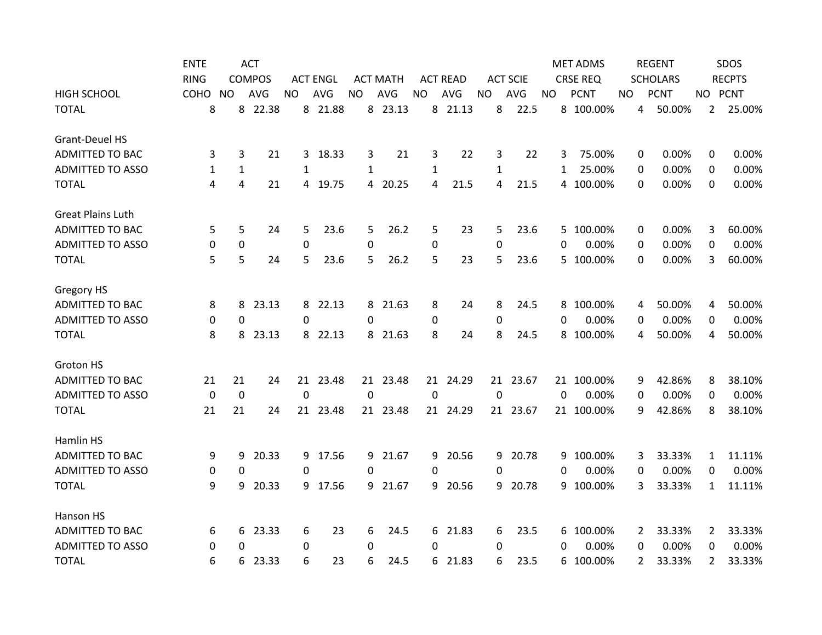|                          | <b>ENTE</b> |              | <b>ACT</b>    |             |                 |           |                 |              |                 |              |                 |           | <b>MET ADMS</b> |     | <b>REGENT</b>            |                | SDOS          |
|--------------------------|-------------|--------------|---------------|-------------|-----------------|-----------|-----------------|--------------|-----------------|--------------|-----------------|-----------|-----------------|-----|--------------------------|----------------|---------------|
|                          | <b>RING</b> |              | <b>COMPOS</b> |             | <b>ACT ENGL</b> |           | <b>ACT MATH</b> |              | <b>ACT READ</b> |              | <b>ACT SCIE</b> |           | <b>CRSE REQ</b> |     | <b>SCHOLARS</b>          |                | <b>RECPTS</b> |
| <b>HIGH SCHOOL</b>       | COHO NO     |              | <b>AVG</b>    | <b>NO</b>   | AVG             | <b>NO</b> | AVG             | <b>NO</b>    | AVG             | <b>NO</b>    | AVG             | <b>NO</b> | <b>PCNT</b>     | NO. | <b>PCNT</b>              |                | NO PCNT       |
| <b>TOTAL</b>             | 8           |              | 8 22.38       |             | 8 21.88         |           | 8 23.13         |              | 8 21.13         | 8            | 22.5            |           | 8 100.00%       |     | 50.00%<br>4              |                | 2 25.00%      |
| <b>Grant-Deuel HS</b>    |             |              |               |             |                 |           |                 |              |                 |              |                 |           |                 |     |                          |                |               |
| ADMITTED TO BAC          | 3           | 3            | 21            |             | 3 18.33         | 3         | 21              | 3            | 22              | 3            | 22              | 3         | 75.00%          |     | 0.00%<br>0               | $\Omega$       | 0.00%         |
| <b>ADMITTED TO ASSO</b>  | 1           | $\mathbf{1}$ |               | 1           |                 | 1         |                 | $\mathbf{1}$ |                 | $\mathbf{1}$ |                 | 1         | 25.00%          |     | 0.00%<br>0               | 0              | 0.00%         |
| <b>TOTAL</b>             | 4           | 4            | 21            |             | 4 19.75         | 4         | 20.25           | 4            | 21.5            | 4            | 21.5            |           | 4 100.00%       |     | 0.00%<br>0               | 0              | 0.00%         |
| <b>Great Plains Luth</b> |             |              |               |             |                 |           |                 |              |                 |              |                 |           |                 |     |                          |                |               |
| ADMITTED TO BAC          | 5           | 5            | 24            | 5           | 23.6            | 5         | 26.2            | 5            | 23              | 5            | 23.6            |           | 5 100.00%       |     | 0.00%<br>0               | 3              | 60.00%        |
| <b>ADMITTED TO ASSO</b>  | 0           | 0            |               | $\mathbf 0$ |                 | 0         |                 | 0            |                 | 0            |                 | 0         | 0.00%           |     | 0.00%<br>0               | 0              | 0.00%         |
| <b>TOTAL</b>             | 5           | 5            | 24            | 5           | 23.6            | 5         | 26.2            | 5            | 23              | 5            | 23.6            |           | 5 100.00%       |     | 0.00%<br>0               | 3              | 60.00%        |
| Gregory HS               |             |              |               |             |                 |           |                 |              |                 |              |                 |           |                 |     |                          |                |               |
| <b>ADMITTED TO BAC</b>   | 8           | 8            | 23.13         |             | 8 22.13         | 8         | 21.63           | 8            | 24              | 8            | 24.5            | 8         | 100.00%         |     | 50.00%<br>4              | 4              | 50.00%        |
| <b>ADMITTED TO ASSO</b>  | 0           | 0            |               | $\mathbf 0$ |                 | 0         |                 | 0            |                 | 0            |                 | 0         | 0.00%           |     | 0.00%<br>0               | 0              | 0.00%         |
| <b>TOTAL</b>             | 8           | 8            | 23.13         | 8           | 22.13           | 8         | 21.63           | 8            | 24              | 8            | 24.5            | 8         | 100.00%         |     | 50.00%<br>4              | 4              | 50.00%        |
| Groton HS                |             |              |               |             |                 |           |                 |              |                 |              |                 |           |                 |     |                          |                |               |
| <b>ADMITTED TO BAC</b>   | 21          | 21           | 24            |             | 21 23.48        |           | 21 23.48        |              | 21 24.29        |              | 21 23.67        |           | 21 100.00%      |     | 42.86%<br>9              | 8              | 38.10%        |
| <b>ADMITTED TO ASSO</b>  | $\mathbf 0$ | $\mathbf 0$  |               | $\mathbf 0$ |                 | $\Omega$  |                 | $\mathbf 0$  |                 | $\Omega$     |                 | $\Omega$  | 0.00%           |     | 0.00%<br>0               | 0              | 0.00%         |
| <b>TOTAL</b>             | 21          | 21           | 24            |             | 21 23.48        |           | 21 23.48        |              | 21 24.29        |              | 21 23.67        |           | 21 100.00%      |     | 42.86%<br>9              | 8              | 38.10%        |
| Hamlin HS                |             |              |               |             |                 |           |                 |              |                 |              |                 |           |                 |     |                          |                |               |
| <b>ADMITTED TO BAC</b>   | 9           | 9            | 20.33         |             | 9 17.56         | 9         | 21.67           | 9            | 20.56           | 9            | 20.78           | 9         | 100.00%         |     | 33.33%<br>3              | $\mathbf{1}$   | 11.11%        |
| <b>ADMITTED TO ASSO</b>  | 0           | 0            |               | $\Omega$    |                 | $\Omega$  |                 | 0            |                 | $\mathbf{0}$ |                 | 0         | 0.00%           |     | 0.00%<br>0               | 0              | 0.00%         |
| <b>TOTAL</b>             | 9           | 9            | 20.33         | 9.          | 17.56           | 9         | 21.67           | 9.           | 20.56           | 9            | 20.78           | 9         | 100.00%         |     | 33.33%<br>3              | $\mathbf{1}$   | 11.11%        |
| Hanson HS                |             |              |               |             |                 |           |                 |              |                 |              |                 |           |                 |     |                          |                |               |
| <b>ADMITTED TO BAC</b>   | 6           | 6            | 23.33         | 6           | 23              | 6         | 24.5            |              | 6 21.83         | 6            | 23.5            | 6         | 100.00%         |     | 33.33%<br>$\overline{2}$ | $\overline{2}$ | 33.33%        |
| <b>ADMITTED TO ASSO</b>  | 0           | 0            |               | 0           |                 | $\Omega$  |                 | 0            |                 | 0            |                 | 0         | 0.00%           |     | 0.00%<br>0               | 0              | 0.00%         |
| <b>TOTAL</b>             | 6           | 6            | 23.33         | 6           | 23              | 6         | 24.5            | 6.           | 21.83           | 6            | 23.5            | 6         | 100.00%         |     | 33.33%<br>$\overline{2}$ | $\overline{2}$ | 33.33%        |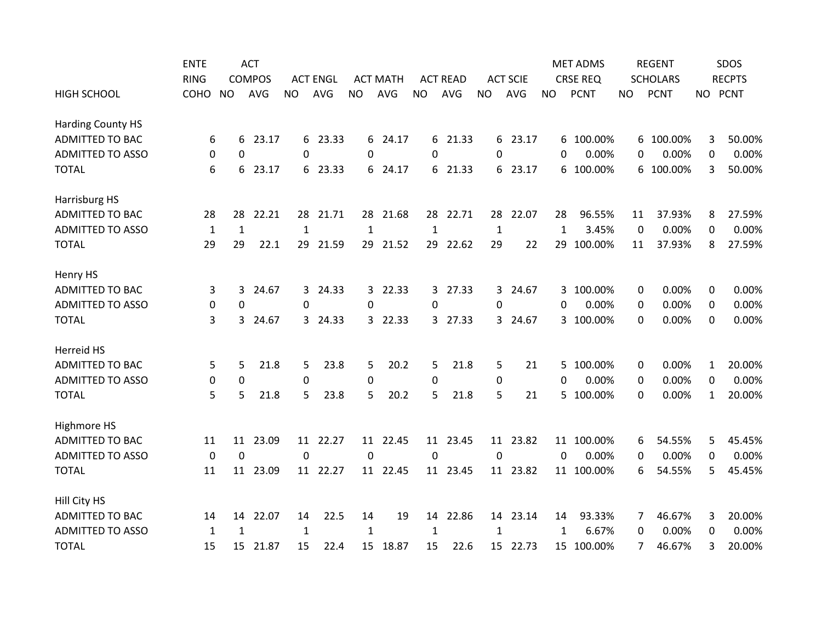|                          | <b>ENTE</b>      |              | <b>ACT</b>    |              |                 |              |                 |             |                 |              |                 |              | <b>MET ADMS</b> |             | <b>REGENT</b>   |              | SDOS          |
|--------------------------|------------------|--------------|---------------|--------------|-----------------|--------------|-----------------|-------------|-----------------|--------------|-----------------|--------------|-----------------|-------------|-----------------|--------------|---------------|
|                          | <b>RING</b>      |              | <b>COMPOS</b> |              | <b>ACT ENGL</b> |              | <b>ACT MATH</b> |             | <b>ACT READ</b> |              | <b>ACT SCIE</b> |              | <b>CRSE REQ</b> |             | <b>SCHOLARS</b> |              | <b>RECPTS</b> |
| <b>HIGH SCHOOL</b>       | <b>COHO</b>      | <b>NO</b>    | <b>AVG</b>    | <b>NO</b>    | <b>AVG</b>      | <b>NO</b>    | <b>AVG</b>      | <b>NO</b>   | AVG             | <b>NO</b>    | AVG             | NO.          | <b>PCNT</b>     | <b>NO</b>   | <b>PCNT</b>     |              | NO PCNT       |
| <b>Harding County HS</b> |                  |              |               |              |                 |              |                 |             |                 |              |                 |              |                 |             |                 |              |               |
| <b>ADMITTED TO BAC</b>   | 6                | 6            | 23.17         |              | 6 23.33         | 6            | 24.17           |             | 6 21.33         |              | 6 23.17         |              | 6 100.00%       |             | 6 100.00%       | 3            | 50.00%        |
| <b>ADMITTED TO ASSO</b>  | 0                | 0            |               | $\mathbf 0$  |                 | 0            |                 | 0           |                 | 0            |                 | 0            | 0.00%           | 0           | 0.00%           | 0            | 0.00%         |
| <b>TOTAL</b>             | 6                | 6            | 23.17         | 6            | 23.33           | 6            | 24.17           |             | 6 21.33         |              | 6 23.17         | 6            | 100.00%         | 6           | 100.00%         | 3            | 50.00%        |
| Harrisburg HS            |                  |              |               |              |                 |              |                 |             |                 |              |                 |              |                 |             |                 |              |               |
| <b>ADMITTED TO BAC</b>   | 28               | 28           | 22.21         |              | 28 21.71        | 28           | 21.68           | 28          | 22.71           | 28           | 22.07           | 28           | 96.55%          | 11          | 37.93%          | 8            | 27.59%        |
| <b>ADMITTED TO ASSO</b>  | $\mathbf{1}$     | $1\,$        |               | $\mathbf{1}$ |                 | $\mathbf{1}$ |                 | 1           |                 | $\mathbf{1}$ |                 | $\mathbf{1}$ | 3.45%           | $\mathbf 0$ | 0.00%           | 0            | 0.00%         |
| <b>TOTAL</b>             | 29               | 29           | 22.1          |              | 29 21.59        | 29           | 21.52           | 29          | 22.62           | 29           | 22              | 29           | 100.00%         | 11          | 37.93%          | 8            | 27.59%        |
| Henry HS                 |                  |              |               |              |                 |              |                 |             |                 |              |                 |              |                 |             |                 |              |               |
| <b>ADMITTED TO BAC</b>   | 3                | 3            | 24.67         |              | 3 24.33         | 3            | 22.33           |             | 3 27.33         | 3            | 24.67           | 3            | 100.00%         | 0           | 0.00%           | 0            | 0.00%         |
| <b>ADMITTED TO ASSO</b>  | $\boldsymbol{0}$ | 0            |               | $\mathbf 0$  |                 | 0            |                 | 0           |                 | $\Omega$     |                 | 0            | 0.00%           | 0           | 0.00%           | 0            | 0.00%         |
| <b>TOTAL</b>             | 3                | 3            | 24.67         |              | 3 24.33         | 3            | 22.33           | 3           | 27.33           | 3            | 24.67           | 3            | 100.00%         | 0           | 0.00%           | 0            | 0.00%         |
| Herreid HS               |                  |              |               |              |                 |              |                 |             |                 |              |                 |              |                 |             |                 |              |               |
| <b>ADMITTED TO BAC</b>   | 5                | 5            | 21.8          | 5            | 23.8            | 5            | 20.2            | 5           | 21.8            | 5            | 21              | 5.           | 100.00%         | 0           | 0.00%           | 1            | 20.00%        |
| <b>ADMITTED TO ASSO</b>  | $\boldsymbol{0}$ | 0            |               | $\mathbf 0$  |                 | $\mathbf 0$  |                 | 0           |                 | 0            |                 | 0            | 0.00%           | 0           | 0.00%           | 0            | 0.00%         |
| <b>TOTAL</b>             | 5                | 5            | 21.8          | 5            | 23.8            | 5            | 20.2            | 5           | 21.8            | 5            | 21              | 5.           | 100.00%         | 0           | 0.00%           | $\mathbf{1}$ | 20.00%        |
| Highmore HS              |                  |              |               |              |                 |              |                 |             |                 |              |                 |              |                 |             |                 |              |               |
| <b>ADMITTED TO BAC</b>   | 11               | 11           | 23.09         |              | 11 22.27        | 11           | 22.45           | 11          | 23.45           |              | 11 23.82        |              | 11 100.00%      | 6           | 54.55%          | 5            | 45.45%        |
| <b>ADMITTED TO ASSO</b>  | 0                | $\mathbf 0$  |               | 0            |                 | 0            |                 | $\mathbf 0$ |                 | $\mathbf{0}$ |                 | 0            | 0.00%           | 0           | 0.00%           | 0            | 0.00%         |
| <b>TOTAL</b>             | 11               |              | 11 23.09      |              | 11 22.27        |              | 11 22.45        |             | 11 23.45        |              | 11 23.82        |              | 11 100.00%      | 6           | 54.55%          | 5            | 45.45%        |
| Hill City HS             |                  |              |               |              |                 |              |                 |             |                 |              |                 |              |                 |             |                 |              |               |
| <b>ADMITTED TO BAC</b>   | 14               | 14           | 22.07         | 14           | 22.5            | 14           | 19              | 14          | 22.86           |              | 14 23.14        | 14           | 93.33%          | 7           | 46.67%          | 3            | 20.00%        |
| <b>ADMITTED TO ASSO</b>  | 1                | $\mathbf{1}$ |               | 1            |                 | $\mathbf{1}$ |                 | 1           |                 | $\mathbf{1}$ |                 | 1            | 6.67%           | 0           | 0.00%           | 0            | 0.00%         |
| <b>TOTAL</b>             | 15               | 15           | 21.87         | 15           | 22.4            | 15           | 18.87           | 15          | 22.6            |              | 15 22.73        |              | 15 100.00%      | 7           | 46.67%          | 3            | 20.00%        |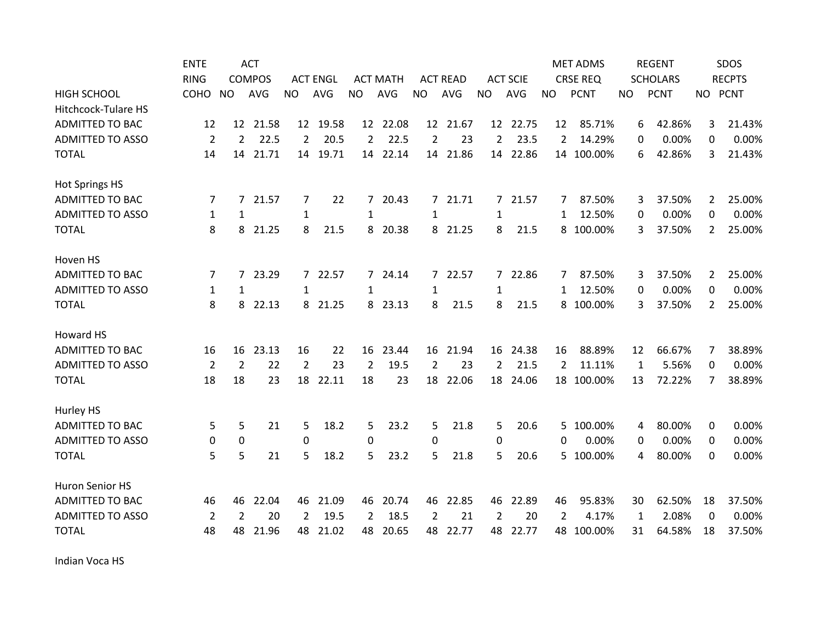|                            | <b>ENTE</b>    |                | <b>ACT</b>    |                |                 |                |                 |                |                 |                |                 |                | <b>MET ADMS</b> |           | <b>REGENT</b>   |                       | SDOS          |
|----------------------------|----------------|----------------|---------------|----------------|-----------------|----------------|-----------------|----------------|-----------------|----------------|-----------------|----------------|-----------------|-----------|-----------------|-----------------------|---------------|
|                            | <b>RING</b>    |                | <b>COMPOS</b> |                | <b>ACT ENGL</b> |                | <b>ACT MATH</b> |                | <b>ACT READ</b> |                | <b>ACT SCIE</b> |                | <b>CRSE REQ</b> |           | <b>SCHOLARS</b> |                       | <b>RECPTS</b> |
| <b>HIGH SCHOOL</b>         | COHO           | <b>NO</b>      | <b>AVG</b>    | <b>NO</b>      | <b>AVG</b>      | <b>NO</b>      | <b>AVG</b>      | <b>NO</b>      | <b>AVG</b>      | <b>NO</b>      | AVG             | <b>NO</b>      | <b>PCNT</b>     | <b>NO</b> | <b>PCNT</b>     | NO PCNT               |               |
| <b>Hitchcock-Tulare HS</b> |                |                |               |                |                 |                |                 |                |                 |                |                 |                |                 |           |                 |                       |               |
| <b>ADMITTED TO BAC</b>     | 12             |                | 12 21.58      |                | 12 19.58        |                | 12 22.08        |                | 12 21.67        |                | 12 22.75        | 12             | 85.71%          |           | 42.86%<br>6     | 3                     | 21.43%        |
| <b>ADMITTED TO ASSO</b>    | $\overline{2}$ | 2              | 22.5          | $\overline{2}$ | 20.5            | $\overline{2}$ | 22.5            | $\overline{2}$ | 23              | $\overline{2}$ | 23.5            | 2              | 14.29%          |           | 0.00%<br>0      | 0                     | 0.00%         |
| <b>TOTAL</b>               | 14             | 14             | 21.71         | 14             | 19.71           | 14             | 22.14           | 14             | 21.86           | 14             | 22.86           |                | 14 100.00%      | 6         | 42.86%          | 3                     | 21.43%        |
| <b>Hot Springs HS</b>      |                |                |               |                |                 |                |                 |                |                 |                |                 |                |                 |           |                 |                       |               |
| <b>ADMITTED TO BAC</b>     | 7              | 7              | 21.57         | 7              | 22              | $\overline{7}$ | 20.43           |                | 7 21.71         |                | 7 21.57         | 7              | 87.50%          |           | 37.50%<br>3     | $\mathbf{2}$          | 25.00%        |
| <b>ADMITTED TO ASSO</b>    | 1              | 1              |               | $\mathbf{1}$   |                 | 1              |                 | 1              |                 | 1              |                 | 1              | 12.50%          |           | 0.00%<br>0      | 0                     | 0.00%         |
| <b>TOTAL</b>               | 8              | 8              | 21.25         | 8              | 21.5            | 8              | 20.38           |                | 8 21.25         | 8              | 21.5            |                | 8 100.00%       |           | 37.50%<br>3     | $\mathbf{2}$          | 25.00%        |
| Hoven HS                   |                |                |               |                |                 |                |                 |                |                 |                |                 |                |                 |           |                 |                       |               |
| <b>ADMITTED TO BAC</b>     | 7              |                | 7 23.29       |                | 7 22.57         |                | 7 24.14         |                | 7 22.57         |                | 7 22.86         | 7              | 87.50%          |           | 37.50%<br>3     | $\mathbf{2}^{\prime}$ | 25.00%        |
| <b>ADMITTED TO ASSO</b>    | $\mathbf{1}$   | $\mathbf{1}$   |               | $\mathbf{1}$   |                 | $\mathbf{1}$   |                 | $\mathbf{1}$   |                 | $\mathbf{1}$   |                 | 1              | 12.50%          |           | 0.00%<br>0      | $\Omega$              | 0.00%         |
| <b>TOTAL</b>               | 8              | 8              | 22.13         |                | 8 21.25         | 8              | 23.13           | 8              | 21.5            | 8              | 21.5            | 8              | 100.00%         |           | 37.50%<br>3     | $\mathbf{2}$          | 25.00%        |
| Howard HS                  |                |                |               |                |                 |                |                 |                |                 |                |                 |                |                 |           |                 |                       |               |
| <b>ADMITTED TO BAC</b>     | 16             | 16             | 23.13         | 16             | 22              | 16             | 23.44           | 16             | 21.94           | 16             | 24.38           | 16             | 88.89%          | 12        | 66.67%          | 7                     | 38.89%        |
| <b>ADMITTED TO ASSO</b>    | 2              | $\overline{2}$ | 22            | $\overline{2}$ | 23              | $\overline{2}$ | 19.5            | $\overline{2}$ | 23              | $\overline{2}$ | 21.5            | $\overline{2}$ | 11.11%          | 1         | 5.56%           | $\Omega$              | 0.00%         |
| <b>TOTAL</b>               | 18             | 18             | 23            | 18             | 22.11           | 18             | 23              | 18             | 22.06           | 18             | 24.06           | 18             | 100.00%         | 13        | 72.22%          | 7                     | 38.89%        |
| Hurley HS                  |                |                |               |                |                 |                |                 |                |                 |                |                 |                |                 |           |                 |                       |               |
| <b>ADMITTED TO BAC</b>     | 5              | 5              | 21            | 5              | 18.2            | 5              | 23.2            | 5              | 21.8            | 5              | 20.6            | 5.             | 100.00%         |           | 80.00%<br>4     | 0                     | 0.00%         |
| <b>ADMITTED TO ASSO</b>    | 0              | 0              |               | 0              |                 | 0              |                 | 0              |                 | 0              |                 | 0              | 0.00%           |           | 0.00%<br>0      | 0                     | 0.00%         |
| <b>TOTAL</b>               | 5              | 5              | 21            | 5              | 18.2            | 5              | 23.2            | 5              | 21.8            | 5              | 20.6            | 5              | 100.00%         |           | 80.00%<br>4     | 0                     | 0.00%         |
| Huron Senior HS            |                |                |               |                |                 |                |                 |                |                 |                |                 |                |                 |           |                 |                       |               |
| <b>ADMITTED TO BAC</b>     | 46             | 46             | 22.04         | 46             | 21.09           | 46             | 20.74           | 46             | 22.85           | 46             | 22.89           | 46             | 95.83%          | 30        | 62.50%          | 18                    | 37.50%        |
| <b>ADMITTED TO ASSO</b>    | 2              | $\overline{2}$ | 20            | 2              | 19.5            | $\overline{2}$ | 18.5            | 2              | 21              | $\overline{2}$ | 20              | 2              | 4.17%           | 1         | 2.08%           | 0                     | 0.00%         |
| <b>TOTAL</b>               | 48             | 48             | 21.96         | 48             | 21.02           | 48             | 20.65           | 48             | 22.77           | 48             | 22.77           | 48             | 100.00%         | 31        | 64.58%          | 18                    | 37.50%        |

Indian Voca HS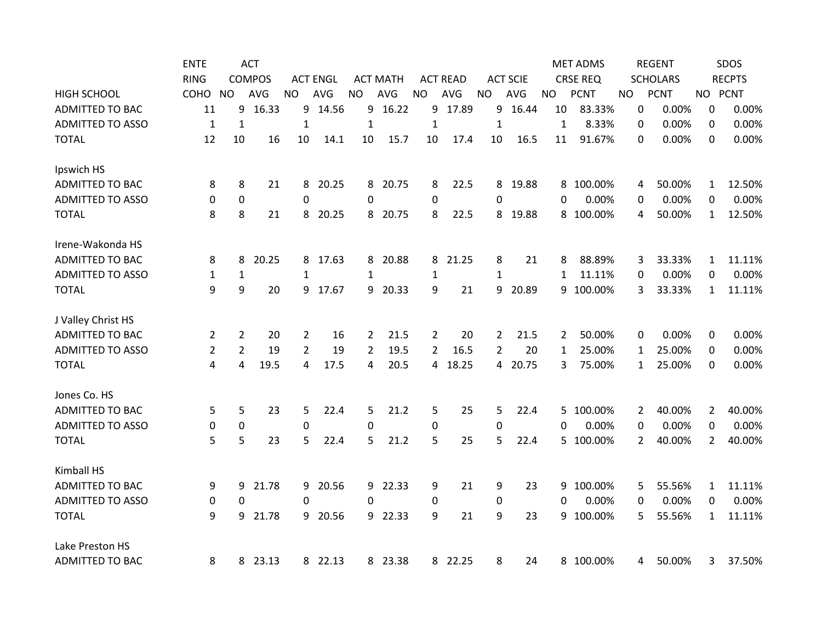|                         | <b>ENTE</b>    |                  | <b>ACT</b>    |                  |                 |                |                 |                |                 |                |                 |              | <b>MET ADMS</b> |     | <b>REGENT</b>   |                | SDOS          |
|-------------------------|----------------|------------------|---------------|------------------|-----------------|----------------|-----------------|----------------|-----------------|----------------|-----------------|--------------|-----------------|-----|-----------------|----------------|---------------|
|                         | <b>RING</b>    |                  | <b>COMPOS</b> |                  | <b>ACT ENGL</b> |                | <b>ACT MATH</b> |                | <b>ACT READ</b> |                | <b>ACT SCIE</b> |              | <b>CRSE REQ</b> |     | <b>SCHOLARS</b> |                | <b>RECPTS</b> |
| <b>HIGH SCHOOL</b>      | COHO           | <b>NO</b>        | <b>AVG</b>    | <b>NO</b>        | <b>AVG</b>      | <b>NO</b>      | AVG             | <b>NO</b>      | AVG             | <b>NO</b>      | AVG             | <b>NO</b>    | <b>PCNT</b>     | NO. | <b>PCNT</b>     |                | NO PCNT       |
| <b>ADMITTED TO BAC</b>  | 11             | 9                | 16.33         | 9.               | 14.56           | 9              | 16.22           | 9              | 17.89           | 9              | 16.44           | 10           | 83.33%          |     | 0.00%<br>0      | 0              | 0.00%         |
| <b>ADMITTED TO ASSO</b> | $\mathbf{1}$   | $\mathbf{1}$     |               | $\mathbf{1}$     |                 | $\mathbf{1}$   |                 | $\mathbf 1$    |                 | $\mathbf{1}$   |                 | $\mathbf{1}$ | 8.33%           | 0   | 0.00%           | 0              | 0.00%         |
| <b>TOTAL</b>            | 12             | 10               | 16            | 10               | 14.1            | 10             | 15.7            | 10             | 17.4            | 10             | 16.5            | 11           | 91.67%          |     | 0.00%<br>0      | 0              | 0.00%         |
| Ipswich HS              |                |                  |               |                  |                 |                |                 |                |                 |                |                 |              |                 |     |                 |                |               |
| <b>ADMITTED TO BAC</b>  | 8              | 8                | 21            | 8                | 20.25           | 8              | 20.75           | 8              | 22.5            |                | 8 19.88         | 8            | 100.00%         | 4   | 50.00%          | 1              | 12.50%        |
| <b>ADMITTED TO ASSO</b> | $\mathbf 0$    | 0                |               | $\Omega$         |                 | $\Omega$       |                 | 0              |                 | $\Omega$       |                 | 0            | 0.00%           | 0   | 0.00%           | 0              | 0.00%         |
| <b>TOTAL</b>            | 8              | 8                | 21            | 8                | 20.25           | 8              | 20.75           | 8              | 22.5            |                | 8 19.88         | 8            | 100.00%         | 4   | 50.00%          | $\mathbf{1}$   | 12.50%        |
| Irene-Wakonda HS        |                |                  |               |                  |                 |                |                 |                |                 |                |                 |              |                 |     |                 |                |               |
| <b>ADMITTED TO BAC</b>  | 8              | 8                | 20.25         |                  | 8 17.63         | 8              | 20.88           |                | 8 21.25         | 8              | 21              | 8            | 88.89%          | 3   | 33.33%          | 1              | 11.11%        |
| <b>ADMITTED TO ASSO</b> | 1              | $\mathbf{1}$     |               | $\mathbf{1}$     |                 | $\mathbf{1}$   |                 | 1              |                 | 1              |                 | 1            | 11.11%          | 0   | 0.00%           | 0              | 0.00%         |
| <b>TOTAL</b>            | 9              | 9                | 20            |                  | 9 17.67         | 9              | 20.33           | 9              | 21              | 9              | 20.89           | 9            | 100.00%         | 3   | 33.33%          | $\mathbf{1}$   | 11.11%        |
| J Valley Christ HS      |                |                  |               |                  |                 |                |                 |                |                 |                |                 |              |                 |     |                 |                |               |
| <b>ADMITTED TO BAC</b>  | 2              | $\overline{2}$   | 20            | $\overline{2}$   | 16              | 2              | 21.5            | $\overline{2}$ | 20              | $\overline{2}$ | 21.5            | 2            | 50.00%          |     | 0<br>0.00%      | 0              | 0.00%         |
| <b>ADMITTED TO ASSO</b> | $\overline{2}$ | $\overline{2}$   | 19            | $\overline{2}$   | 19              | $\overline{2}$ | 19.5            | $\overline{2}$ | 16.5            | $\overline{2}$ | 20              | 1            | 25.00%          | 1   | 25.00%          | 0              | 0.00%         |
| <b>TOTAL</b>            | 4              | 4                | 19.5          | 4                | 17.5            | 4              | 20.5            | 4              | 18.25           |                | 4 20.75         | 3            | 75.00%          | 1   | 25.00%          | 0              | 0.00%         |
| Jones Co. HS            |                |                  |               |                  |                 |                |                 |                |                 |                |                 |              |                 |     |                 |                |               |
| <b>ADMITTED TO BAC</b>  | 5              | 5                | 23            | 5                | 22.4            | 5              | 21.2            | 5              | 25              | 5              | 22.4            | 5            | 100.00%         |     | 40.00%<br>2     | 2              | 40.00%        |
| <b>ADMITTED TO ASSO</b> | 0              | $\boldsymbol{0}$ |               | $\boldsymbol{0}$ |                 | 0              |                 | 0              |                 | 0              |                 | 0            | 0.00%           |     | 0<br>0.00%      | 0              | 0.00%         |
| <b>TOTAL</b>            | 5              | 5                | 23            | 5                | 22.4            | 5              | 21.2            | 5              | 25              | 5              | 22.4            | 5.           | 100.00%         | 2   | 40.00%          | $\overline{2}$ | 40.00%        |
| Kimball HS              |                |                  |               |                  |                 |                |                 |                |                 |                |                 |              |                 |     |                 |                |               |
| <b>ADMITTED TO BAC</b>  | 9              | 9                | 21.78         | 9                | 20.56           | 9              | 22.33           | 9              | 21              | 9              | 23              | 9            | 100.00%         | 5   | 55.56%          | $\mathbf{1}$   | 11.11%        |
| <b>ADMITTED TO ASSO</b> | 0              | 0                |               | 0                |                 | 0              |                 | $\pmb{0}$      |                 | 0              |                 | 0            | 0.00%           | 0   | 0.00%           | 0              | 0.00%         |
| <b>TOTAL</b>            | 9              | 9                | 21.78         | 9                | 20.56           | 9              | 22.33           | 9              | 21              | 9              | 23              | 9            | 100.00%         | 5   | 55.56%          | $\mathbf{1}$   | 11.11%        |
| Lake Preston HS         |                |                  |               |                  |                 |                |                 |                |                 |                |                 |              |                 |     |                 |                |               |
| <b>ADMITTED TO BAC</b>  | 8              | 8                | 23.13         |                  | 8 22.13         |                | 8 23.38         |                | 8 22.25         | 8              | 24              |              | 8 100.00%       |     | 50.00%<br>4     | 3              | 37.50%        |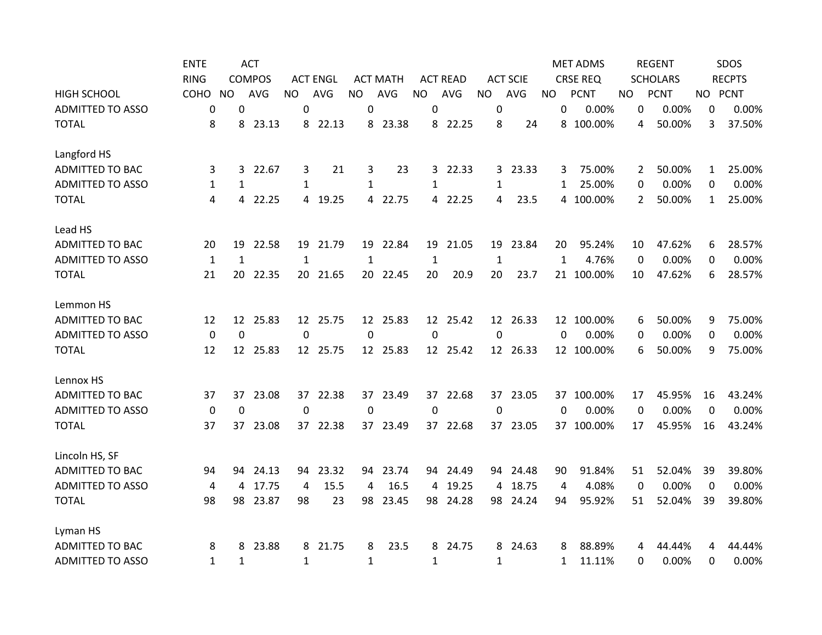|                         | <b>ENTE</b>    |                 | <b>ACT</b>    |              |                 |              |                 |              |                 |                  |                 |              | <b>MET ADMS</b> |                  | <b>REGENT</b>   |              | SDOS          |
|-------------------------|----------------|-----------------|---------------|--------------|-----------------|--------------|-----------------|--------------|-----------------|------------------|-----------------|--------------|-----------------|------------------|-----------------|--------------|---------------|
|                         | <b>RING</b>    |                 | <b>COMPOS</b> |              | <b>ACT ENGL</b> |              | <b>ACT MATH</b> |              | <b>ACT READ</b> |                  | <b>ACT SCIE</b> |              | <b>CRSE REQ</b> |                  | <b>SCHOLARS</b> |              | <b>RECPTS</b> |
| <b>HIGH SCHOOL</b>      | COHO           | NO.             | <b>AVG</b>    | <b>NO</b>    | AVG             | <b>NO</b>    | AVG             | <b>NO</b>    | AVG             | <b>NO</b>        | AVG             | <b>NO</b>    | <b>PCNT</b>     | NO.              | <b>PCNT</b>     |              | NO PCNT       |
| <b>ADMITTED TO ASSO</b> | 0              | 0               |               | 0            |                 | 0            |                 | 0            |                 | 0                |                 | 0            | 0.00%           | $\boldsymbol{0}$ | 0.00%           | 0            | 0.00%         |
| <b>TOTAL</b>            | 8              | 8               | 23.13         |              | 8 22.13         | 8            | 23.38           |              | 8 22.25         | 8                | 24              | 8            | 100.00%         | 4                | 50.00%          | 3            | 37.50%        |
| Langford HS             |                |                 |               |              |                 |              |                 |              |                 |                  |                 |              |                 |                  |                 |              |               |
| <b>ADMITTED TO BAC</b>  | 3              | 3               | 22.67         | 3            | 21              | 3            | 23              |              | 3 22.33         |                  | 3 23.33         | 3            | 75.00%          | 2                | 50.00%          | $\mathbf{1}$ | 25.00%        |
| <b>ADMITTED TO ASSO</b> | 1              | 1               |               | $\mathbf{1}$ |                 | 1            |                 | 1            |                 | 1                |                 | 1            | 25.00%          | 0                | 0.00%           | 0            | 0.00%         |
| <b>TOTAL</b>            | 4              | 4               | 22.25         | 4            | 19.25           | 4            | 22.75           |              | 4 22.25         | 4                | 23.5            |              | 4 100.00%       | 2                | 50.00%          | $\mathbf{1}$ | 25.00%        |
| Lead HS                 |                |                 |               |              |                 |              |                 |              |                 |                  |                 |              |                 |                  |                 |              |               |
| <b>ADMITTED TO BAC</b>  | 20             | 19              | 22.58         |              | 19 21.79        |              | 19 22.84        | 19           | 21.05           |                  | 19 23.84        | 20           | 95.24%          | 10               | 47.62%          | 6            | 28.57%        |
| <b>ADMITTED TO ASSO</b> | $\mathbf{1}$   | $\mathbf{1}$    |               | $\mathbf{1}$ |                 | $\mathbf{1}$ |                 | $\mathbf{1}$ |                 | $\mathbf{1}$     |                 | $\mathbf{1}$ | 4.76%           | $\mathbf 0$      | 0.00%           | 0            | 0.00%         |
| <b>TOTAL</b>            | 21             | 20              | 22.35         |              | 20 21.65        | 20           | 22.45           | 20           | 20.9            | 20               | 23.7            |              | 21 100.00%      | 10               | 47.62%          | 6            | 28.57%        |
| Lemmon HS               |                |                 |               |              |                 |              |                 |              |                 |                  |                 |              |                 |                  |                 |              |               |
| <b>ADMITTED TO BAC</b>  | 12             |                 | 12 25.83      |              | 12 25.75        |              | 12 25.83        |              | 12 25.42        |                  | 12 26.33        |              | 12 100.00%      | 6                | 50.00%          | 9            | 75.00%        |
| <b>ADMITTED TO ASSO</b> | $\mathbf 0$    | $\mathbf 0$     |               | $\mathbf 0$  |                 | 0            |                 | $\mathbf 0$  |                 | $\Omega$         |                 | $\Omega$     | 0.00%           | 0                | 0.00%           | 0            | 0.00%         |
| <b>TOTAL</b>            | 12             | 12 <sup>2</sup> | 25.83         |              | 12 25.75        |              | 12 25.83        |              | 12 25.42        |                  | 12 26.33        |              | 12 100.00%      | 6                | 50.00%          | 9            | 75.00%        |
| Lennox HS               |                |                 |               |              |                 |              |                 |              |                 |                  |                 |              |                 |                  |                 |              |               |
| ADMITTED TO BAC         | 37             | 37              | 23.08         |              | 37 22.38        |              | 37 23.49        |              | 37 22.68        |                  | 37 23.05        |              | 37 100.00%      | 17               | 45.95%          | 16           | 43.24%        |
| <b>ADMITTED TO ASSO</b> | $\mathbf 0$    | $\mathbf 0$     |               | $\mathbf 0$  |                 | $\Omega$     |                 | $\mathbf 0$  |                 | $\boldsymbol{0}$ |                 | $\mathbf{0}$ | 0.00%           | $\mathbf{0}$     | 0.00%           | 0            | 0.00%         |
| <b>TOTAL</b>            | 37             | 37              | 23.08         |              | 37 22.38        | 37           | 23.49           |              | 37 22.68        | 37               | 23.05           |              | 37 100.00%      | 17               | 45.95%          | 16           | 43.24%        |
| Lincoln HS, SF          |                |                 |               |              |                 |              |                 |              |                 |                  |                 |              |                 |                  |                 |              |               |
| <b>ADMITTED TO BAC</b>  | 94             | 94              | 24.13         | 94           | 23.32           | 94           | 23.74           |              | 94 24.49        |                  | 94 24.48        | 90           | 91.84%          | 51               | 52.04%          | 39           | 39.80%        |
| <b>ADMITTED TO ASSO</b> | $\overline{4}$ | 4               | 17.75         | 4            | 15.5            | 4            | 16.5            | 4            | 19.25           |                  | 4 18.75         | 4            | 4.08%           | 0                | 0.00%           | 0            | 0.00%         |
| <b>TOTAL</b>            | 98             | 98              | 23.87         | 98           | 23              | 98           | 23.45           | 98           | 24.28           | 98               | 24.24           | 94           | 95.92%          | 51               | 52.04%          | 39           | 39.80%        |
| Lyman HS                |                |                 |               |              |                 |              |                 |              |                 |                  |                 |              |                 |                  |                 |              |               |
| <b>ADMITTED TO BAC</b>  | 8              | 8               | 23.88         | 8            | 21.75           | 8            | 23.5            | 8            | 24.75           | 8                | 24.63           | 8            | 88.89%          | 4                | 44.44%          | 4            | 44.44%        |
| <b>ADMITTED TO ASSO</b> | $\mathbf{1}$   | $\mathbf{1}$    |               | $\mathbf{1}$ |                 | $\mathbf{1}$ |                 | 1            |                 | $\mathbf{1}$     |                 | 1            | 11.11%          | 0                | 0.00%           | 0            | 0.00%         |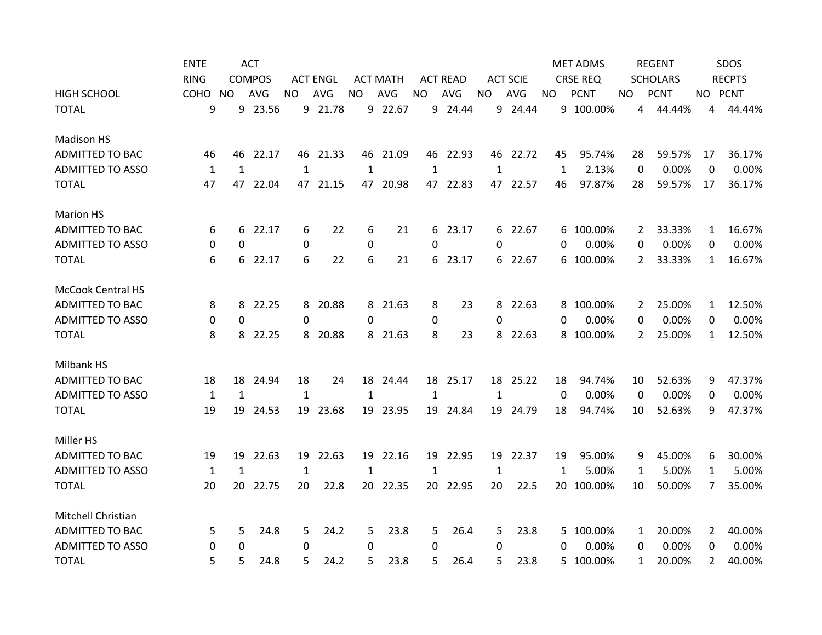|                          | <b>ENTE</b>  |              | <b>ACT</b>    |              |                 |             |                 |              |                 |           |                 |          | <b>MET ADMS</b> |                | <b>REGENT</b>   |                | SDOS          |
|--------------------------|--------------|--------------|---------------|--------------|-----------------|-------------|-----------------|--------------|-----------------|-----------|-----------------|----------|-----------------|----------------|-----------------|----------------|---------------|
|                          | <b>RING</b>  |              | <b>COMPOS</b> |              | <b>ACT ENGL</b> |             | <b>ACT MATH</b> |              | <b>ACT READ</b> |           | <b>ACT SCIE</b> |          | <b>CRSE REQ</b> |                | <b>SCHOLARS</b> |                | <b>RECPTS</b> |
| <b>HIGH SCHOOL</b>       | COHO         | NO.          | <b>AVG</b>    | NO.          | AVG             | <b>NO</b>   | AVG             | <b>NO</b>    | AVG             | <b>NO</b> | AVG             | NO.      | <b>PCNT</b>     | NO.            | <b>PCNT</b>     |                | NO PCNT       |
| <b>TOTAL</b>             | 9            | 9            | 23.56         |              | 9 21.78         |             | 9 22.67         |              | 9 24.44         |           | 9 24.44         |          | 9 100.00%       | 4              | 44.44%          | 4              | 44.44%        |
| <b>Madison HS</b>        |              |              |               |              |                 |             |                 |              |                 |           |                 |          |                 |                |                 |                |               |
| <b>ADMITTED TO BAC</b>   | 46           | 46           | 22.17         |              | 46 21.33        | 46          | 21.09           |              | 46 22.93        |           | 46 22.72        | 45       | 95.74%          | 28             | 59.57%          | 17             | 36.17%        |
| <b>ADMITTED TO ASSO</b>  | $\mathbf{1}$ | $\mathbf{1}$ |               | $\mathbf{1}$ |                 | $\mathbf 1$ |                 | 1            |                 | 1         |                 | 1        | 2.13%           | 0              | 0.00%           | 0              | 0.00%         |
| <b>TOTAL</b>             | 47           | 47           | 22.04         |              | 47 21.15        | 47          | 20.98           | 47           | 22.83           |           | 47 22.57        | 46       | 97.87%          | 28             | 59.57%          | 17             | 36.17%        |
| <b>Marion HS</b>         |              |              |               |              |                 |             |                 |              |                 |           |                 |          |                 |                |                 |                |               |
| <b>ADMITTED TO BAC</b>   | 6            | 6            | 22.17         | 6            | 22              | 6           | 21              | 6            | 23.17           |           | 6 22.67         |          | 6 100.00%       | 2              | 33.33%          | 1              | 16.67%        |
| <b>ADMITTED TO ASSO</b>  | 0            | 0            |               | $\mathbf 0$  |                 | 0           |                 | 0            |                 | 0         |                 | 0        | 0.00%           | 0              | 0.00%           | 0              | 0.00%         |
| <b>TOTAL</b>             | 6            | 6            | 22.17         | 6            | 22              | 6           | 21              | 6            | 23.17           |           | 6 22.67         | 6        | 100.00%         | $\overline{2}$ | 33.33%          | $\mathbf{1}$   | 16.67%        |
| <b>McCook Central HS</b> |              |              |               |              |                 |             |                 |              |                 |           |                 |          |                 |                |                 |                |               |
| <b>ADMITTED TO BAC</b>   | 8            | 8            | 22.25         |              | 8 20.88         | 8           | 21.63           | 8            | 23              | 8         | 22.63           | 8        | 100.00%         | 2              | 25.00%          | 1              | 12.50%        |
| <b>ADMITTED TO ASSO</b>  | 0            | $\Omega$     |               | $\Omega$     |                 | $\Omega$    |                 | 0            |                 | 0         |                 | 0        | 0.00%           | 0              | 0.00%           | 0              | 0.00%         |
| <b>TOTAL</b>             | 8            | 8            | 22.25         | 8            | 20.88           | 8           | 21.63           | 8            | 23              | 8         | 22.63           | 8        | 100.00%         | $\overline{2}$ | 25.00%          | $\mathbf{1}$   | 12.50%        |
| Milbank HS               |              |              |               |              |                 |             |                 |              |                 |           |                 |          |                 |                |                 |                |               |
| <b>ADMITTED TO BAC</b>   | 18           | 18           | 24.94         | 18           | 24              |             | 18 24.44        |              | 18 25.17        |           | 18 25.22        | 18       | 94.74%          | 10             | 52.63%          | 9              | 47.37%        |
| <b>ADMITTED TO ASSO</b>  | 1            | 1            |               | $\mathbf{1}$ |                 | 1           |                 | 1            |                 | 1         |                 | $\Omega$ | 0.00%           | $\Omega$       | 0.00%           | 0              | 0.00%         |
| <b>TOTAL</b>             | 19           | 19           | 24.53         | 19           | 23.68           | 19          | 23.95           |              | 19 24.84        | 19        | 24.79           | 18       | 94.74%          | 10             | 52.63%          | 9              | 47.37%        |
| Miller HS                |              |              |               |              |                 |             |                 |              |                 |           |                 |          |                 |                |                 |                |               |
| <b>ADMITTED TO BAC</b>   | 19           | 19           | 22.63         |              | 19 22.63        |             | 19 22.16        |              | 19 22.95        | 19        | 22.37           | 19       | 95.00%          | 9              | 45.00%          | 6              | 30.00%        |
| <b>ADMITTED TO ASSO</b>  | 1            | 1            |               | 1            |                 | 1           |                 | $\mathbf{1}$ |                 | 1         |                 | 1        | 5.00%           | 1              | 5.00%           | 1              | 5.00%         |
| <b>TOTAL</b>             | 20           | 20           | 22.75         | 20           | 22.8            | 20          | 22.35           | 20           | 22.95           | 20        | 22.5            | 20       | 100.00%         | 10             | 50.00%          | 7              | 35.00%        |
| Mitchell Christian       |              |              |               |              |                 |             |                 |              |                 |           |                 |          |                 |                |                 |                |               |
| <b>ADMITTED TO BAC</b>   | 5            | 5            | 24.8          | 5            | 24.2            | 5           | 23.8            | 5            | 26.4            | 5         | 23.8            |          | 5 100.00%       | 1              | 20.00%          | $\overline{2}$ | 40.00%        |
| <b>ADMITTED TO ASSO</b>  | 0            | 0            |               | 0            |                 | 0           |                 | 0            |                 | 0         |                 | 0        | 0.00%           | 0              | 0.00%           | 0              | 0.00%         |
| <b>TOTAL</b>             | 5            | 5            | 24.8          | 5            | 24.2            | 5           | 23.8            | 5            | 26.4            | 5         | 23.8            | 5.       | 100.00%         | 1              | 20.00%          | $\overline{2}$ | 40.00%        |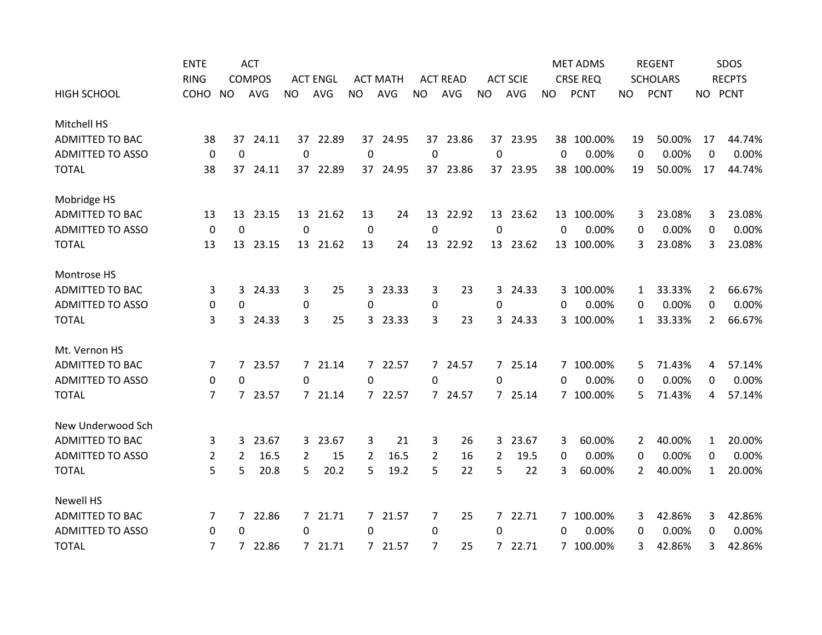|                         | <b>ENTE</b>    |                | <b>ACT</b>    |                  |                 |                |                 |                |                 |                |                 |           | <b>MET ADMS</b> |                | <b>REGENT</b>   |                | SDOS          |
|-------------------------|----------------|----------------|---------------|------------------|-----------------|----------------|-----------------|----------------|-----------------|----------------|-----------------|-----------|-----------------|----------------|-----------------|----------------|---------------|
|                         | <b>RING</b>    |                | <b>COMPOS</b> |                  | <b>ACT ENGL</b> |                | <b>ACT MATH</b> |                | <b>ACT READ</b> |                | <b>ACT SCIE</b> |           | <b>CRSE REQ</b> |                | <b>SCHOLARS</b> |                | <b>RECPTS</b> |
| <b>HIGH SCHOOL</b>      | COHO           | <b>NO</b>      | <b>AVG</b>    | <b>NO</b>        | AVG             | <b>NO</b>      | AVG             | <b>NO</b>      | AVG             | <b>NO</b>      | AVG             | <b>NO</b> | <b>PCNT</b>     | NO             | <b>PCNT</b>     |                | NO PCNT       |
| Mitchell HS             |                |                |               |                  |                 |                |                 |                |                 |                |                 |           |                 |                |                 |                |               |
| <b>ADMITTED TO BAC</b>  | 38             | 37             | 24.11         |                  | 37 22.89        |                | 37 24.95        |                | 37 23.86        |                | 37 23.95        |           | 38 100.00%      | 19             | 50.00%          | 17             | 44.74%        |
| <b>ADMITTED TO ASSO</b> | 0              | 0              |               | $\mathbf 0$      |                 | 0              |                 | 0              |                 | 0              |                 | 0         | 0.00%           | 0              | 0.00%           | 0              | 0.00%         |
| <b>TOTAL</b>            | 38             | 37             | 24.11         |                  | 37 22.89        |                | 37 24.95        |                | 37 23.86        |                | 37 23.95        |           | 38 100.00%      | 19             | 50.00%          | 17             | 44.74%        |
| Mobridge HS             |                |                |               |                  |                 |                |                 |                |                 |                |                 |           |                 |                |                 |                |               |
| <b>ADMITTED TO BAC</b>  | 13             | 13             | 23.15         |                  | 13 21.62        | 13             | 24              | 13             | 22.92           |                | 13 23.62        |           | 13 100.00%      | 3              | 23.08%          | 3              | 23.08%        |
| <b>ADMITTED TO ASSO</b> | $\mathbf 0$    | $\mathbf 0$    |               | $\mathbf 0$      |                 | $\mathbf 0$    |                 | $\mathbf 0$    |                 | 0              |                 | 0         | 0.00%           | $\Omega$       | 0.00%           | 0              | 0.00%         |
| <b>TOTAL</b>            | 13             | 13             | 23.15         |                  | 13 21.62        | 13             | 24              | 13             | 22.92           |                | 13 23.62        |           | 13 100.00%      | 3              | 23.08%          | 3              | 23.08%        |
| Montrose HS             |                |                |               |                  |                 |                |                 |                |                 |                |                 |           |                 |                |                 |                |               |
| <b>ADMITTED TO BAC</b>  | 3              | 3              | 24.33         | 3                | 25              | 3              | 23.33           | 3              | 23              | 3              | 24.33           | 3         | 100.00%         | 1              | 33.33%          | 2              | 66.67%        |
| <b>ADMITTED TO ASSO</b> | 0              | 0              |               | $\boldsymbol{0}$ |                 | 0              |                 | 0              |                 | 0              |                 | 0         | 0.00%           | 0              | 0.00%           | 0              | 0.00%         |
| <b>TOTAL</b>            | 3              | $\mathbf{3}$   | 24.33         | 3                | 25              | 3              | 23.33           | 3              | 23              | $\overline{3}$ | 24.33           |           | 3 100.00%       | $\mathbf{1}$   | 33.33%          | $\overline{2}$ | 66.67%        |
| Mt. Vernon HS           |                |                |               |                  |                 |                |                 |                |                 |                |                 |           |                 |                |                 |                |               |
| ADMITTED TO BAC         | 7              |                | 7 23.57       |                  | 7 21.14         |                | 7 22.57         |                | 7 24.57         |                | 7 25.14         |           | 7 100.00%       | 5              | 71.43%          | 4              | 57.14%        |
| <b>ADMITTED TO ASSO</b> | 0              | $\Omega$       |               | 0                |                 | 0              |                 | 0              |                 | 0              |                 | 0         | 0.00%           | 0              | 0.00%           | $\Omega$       | 0.00%         |
| <b>TOTAL</b>            | 7              |                | 7 23.57       |                  | 7 21.14         | $7^{\circ}$    | 22.57           |                | 7 24.57         |                | 7 25.14         |           | 7 100.00%       | 5              | 71.43%          | 4              | 57.14%        |
| New Underwood Sch       |                |                |               |                  |                 |                |                 |                |                 |                |                 |           |                 |                |                 |                |               |
| <b>ADMITTED TO BAC</b>  | 3              | 3              | 23.67         | 3                | 23.67           | 3              | 21              | 3              | 26              | 3              | 23.67           | 3         | 60.00%          | $\overline{2}$ | 40.00%          | $\mathbf{1}$   | 20.00%        |
| <b>ADMITTED TO ASSO</b> | $\overline{2}$ | $\overline{2}$ | 16.5          | 2                | 15              | 2              | 16.5            | $\overline{2}$ | 16              | $\overline{2}$ | 19.5            | 0         | 0.00%           | 0              | 0.00%           | 0              | 0.00%         |
| <b>TOTAL</b>            | 5              | 5              | 20.8          | 5                | 20.2            | 5              | 19.2            | 5              | 22              | 5              | 22              | 3         | 60.00%          | $\overline{2}$ | 40.00%          | $\mathbf{1}$   | 20.00%        |
| <b>Newell HS</b>        |                |                |               |                  |                 |                |                 |                |                 |                |                 |           |                 |                |                 |                |               |
| <b>ADMITTED TO BAC</b>  | 7              | 7              | 22.86         |                  | 7 21.71         | 7              | 21.57           | 7              | 25              |                | 7 22.71         |           | 7 100.00%       | 3              | 42.86%          | 3              | 42.86%        |
| <b>ADMITTED TO ASSO</b> | 0              | 0              |               | $\Omega$         |                 | 0              |                 | 0              |                 | 0              |                 | 0         | 0.00%           | 0              | 0.00%           | $\Omega$       | 0.00%         |
| <b>TOTAL</b>            | $\overline{7}$ | 7              | 22.86         |                  | 7 21.71         | $\overline{7}$ | 21.57           | 7              | 25              |                | 7 22.71         |           | 7 100.00%       | 3              | 42.86%          | 3              | 42.86%        |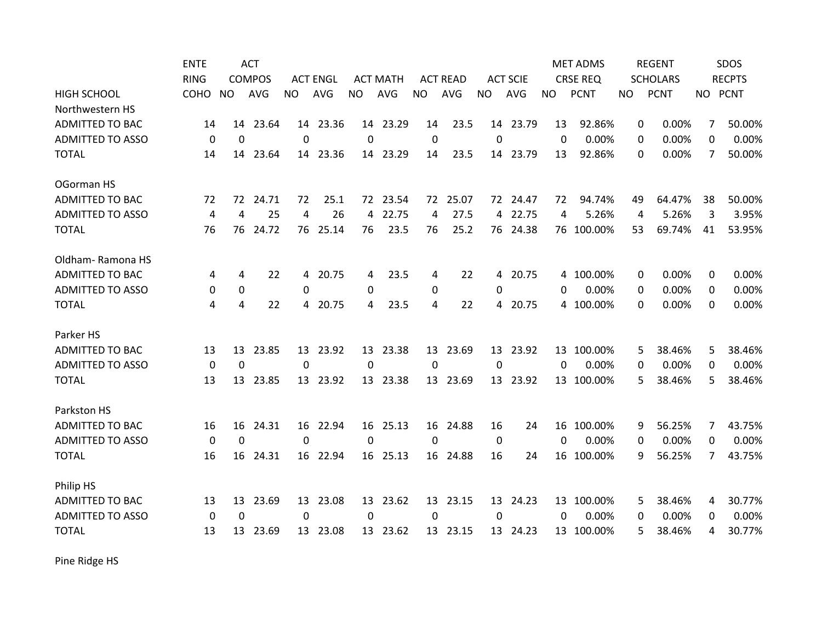|                         | <b>ENTE</b> |                | <b>ACT</b>    |           |                 |             |                 |             |                 |                |                 |           | <b>MET ADMS</b> |           | <b>REGENT</b>   |          | SDOS          |
|-------------------------|-------------|----------------|---------------|-----------|-----------------|-------------|-----------------|-------------|-----------------|----------------|-----------------|-----------|-----------------|-----------|-----------------|----------|---------------|
|                         | <b>RING</b> |                | <b>COMPOS</b> |           | <b>ACT ENGL</b> |             | <b>ACT MATH</b> |             | <b>ACT READ</b> |                | <b>ACT SCIE</b> |           | <b>CRSE REQ</b> |           | <b>SCHOLARS</b> |          | <b>RECPTS</b> |
| <b>HIGH SCHOOL</b>      | COHO        | <b>NO</b>      | <b>AVG</b>    | <b>NO</b> | AVG             | <b>NO</b>   | <b>AVG</b>      | <b>NO</b>   | <b>AVG</b>      | <b>NO</b>      | AVG             | <b>NO</b> | <b>PCNT</b>     | <b>NO</b> | <b>PCNT</b>     | NO PCNT  |               |
| Northwestern HS         |             |                |               |           |                 |             |                 |             |                 |                |                 |           |                 |           |                 |          |               |
| <b>ADMITTED TO BAC</b>  | 14          | 14             | 23.64         |           | 14 23.36        | 14          | 23.29           | 14          | 23.5            | 14             | 23.79           | 13        | 92.86%          | 0         | 0.00%           | 7        | 50.00%        |
| <b>ADMITTED TO ASSO</b> | 0           | $\mathbf{0}$   |               | 0         |                 | 0           |                 | 0           |                 | 0              |                 | $\Omega$  | 0.00%           | $\Omega$  | 0.00%           | $\Omega$ | 0.00%         |
| <b>TOTAL</b>            | 14          | 14             | 23.64         | 14        | 23.36           | 14          | 23.29           | 14          | 23.5            | 14             | 23.79           | 13        | 92.86%          | 0         | 0.00%           | 7        | 50.00%        |
| OGorman HS              |             |                |               |           |                 |             |                 |             |                 |                |                 |           |                 |           |                 |          |               |
| <b>ADMITTED TO BAC</b>  | 72          | 72             | 24.71         | 72        | 25.1            | 72          | 23.54           | 72          | 25.07           | 72             | 24.47           | 72        | 94.74%          | 49        | 64.47%          | 38       | 50.00%        |
| <b>ADMITTED TO ASSO</b> | 4           | $\overline{4}$ | 25            | 4         | 26              | 4           | 22.75           | 4           | 27.5            | 4              | 22.75           | 4         | 5.26%           | 4         | 5.26%           | 3        | 3.95%         |
| <b>TOTAL</b>            | 76          | 76             | 24.72         |           | 76 25.14        | 76          | 23.5            | 76          | 25.2            |                | 76 24.38        |           | 76 100.00%      | 53        | 69.74%          | 41       | 53.95%        |
| Oldham-Ramona HS        |             |                |               |           |                 |             |                 |             |                 |                |                 |           |                 |           |                 |          |               |
| <b>ADMITTED TO BAC</b>  | 4           | 4              | 22            |           | 4 20.75         | 4           | 23.5            | 4           | 22              | $\overline{4}$ | 20.75           |           | 4 100.00%       | 0         | 0.00%           | $\Omega$ | 0.00%         |
| <b>ADMITTED TO ASSO</b> | 0           | 0              |               | $\Omega$  |                 | 0           |                 | 0           |                 | 0              |                 | 0         | 0.00%           | 0         | 0.00%           | $\Omega$ | 0.00%         |
| <b>TOTAL</b>            | 4           | 4              | 22            | 4         | 20.75           | 4           | 23.5            | 4           | 22              | 4              | 20.75           | 4         | 100.00%         | 0         | 0.00%           | 0        | 0.00%         |
| Parker HS               |             |                |               |           |                 |             |                 |             |                 |                |                 |           |                 |           |                 |          |               |
| <b>ADMITTED TO BAC</b>  | 13          | 13             | 23.85         | 13        | 23.92           | 13          | 23.38           | 13          | 23.69           | 13             | 23.92           |           | 13 100.00%      | 5         | 38.46%          | 5        | 38.46%        |
| <b>ADMITTED TO ASSO</b> | 0           | $\mathbf 0$    |               | $\Omega$  |                 | $\mathbf 0$ |                 | $\mathbf 0$ |                 | $\Omega$       |                 | $\Omega$  | 0.00%           | 0         | 0.00%           | $\Omega$ | 0.00%         |
| <b>TOTAL</b>            | 13          | 13             | 23.85         |           | 13 23.92        |             | 13 23.38        |             | 13 23.69        |                | 13 23.92        |           | 13 100.00%      | 5         | 38.46%          | 5        | 38.46%        |
| Parkston HS             |             |                |               |           |                 |             |                 |             |                 |                |                 |           |                 |           |                 |          |               |
| <b>ADMITTED TO BAC</b>  | 16          | 16             | 24.31         |           | 16 22.94        |             | 16 25.13        |             | 16 24.88        | 16             | 24              |           | 16 100.00%      | 9         | 56.25%          | 7        | 43.75%        |
| <b>ADMITTED TO ASSO</b> | 0           | $\Omega$       |               | 0         |                 | $\Omega$    |                 | 0           |                 | $\mathbf 0$    |                 | $\Omega$  | 0.00%           | 0         | 0.00%           | 0        | 0.00%         |
| <b>TOTAL</b>            | 16          | 16             | 24.31         | 16        | 22.94           |             | 16 25.13        | 16          | 24.88           | 16             | 24              |           | 16 100.00%      | 9         | 56.25%          | 7        | 43.75%        |
| Philip HS               |             |                |               |           |                 |             |                 |             |                 |                |                 |           |                 |           |                 |          |               |
| <b>ADMITTED TO BAC</b>  | 13          | 13             | 23.69         | 13        | 23.08           | 13          | 23.62           | 13          | 23.15           | 13             | 24.23           |           | 13 100.00%      | 5         | 38.46%          | 4        | 30.77%        |
| <b>ADMITTED TO ASSO</b> | 0           | 0              |               | 0         |                 | 0           |                 | 0           |                 | 0              |                 | 0         | 0.00%           | 0         | 0.00%           | 0        | 0.00%         |
| <b>TOTAL</b>            | 13          | 13             | 23.69         |           | 13 23.08        | 13          | 23.62           |             | 13 23.15        |                | 13 24.23        |           | 13 100.00%      | 5         | 38.46%          | 4        | 30.77%        |

Pine Ridge HS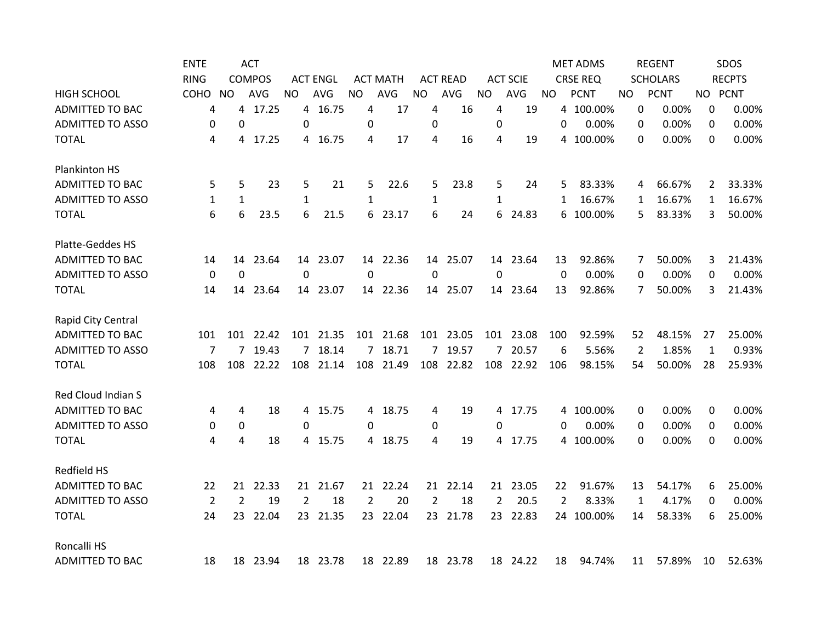|                         | <b>ENTE</b>      |                | <b>ACT</b>    |              |                 |                |                 |                |                 |                |                 |           | <b>MET ADMS</b> |     | <b>REGENT</b>   |              | SDOS          |
|-------------------------|------------------|----------------|---------------|--------------|-----------------|----------------|-----------------|----------------|-----------------|----------------|-----------------|-----------|-----------------|-----|-----------------|--------------|---------------|
|                         | <b>RING</b>      |                | <b>COMPOS</b> |              | <b>ACT ENGL</b> |                | <b>ACT MATH</b> |                | <b>ACT READ</b> |                | <b>ACT SCIE</b> |           | <b>CRSE REQ</b> |     | <b>SCHOLARS</b> |              | <b>RECPTS</b> |
| <b>HIGH SCHOOL</b>      | COHO             | <b>NO</b>      | <b>AVG</b>    | NO.          | <b>AVG</b>      | NO.            | AVG             | <b>NO</b>      | AVG             | <b>NO</b>      | AVG             | <b>NO</b> | <b>PCNT</b>     | NO. | <b>PCNT</b>     |              | NO PCNT       |
| <b>ADMITTED TO BAC</b>  | 4                | 4              | 17.25         | 4            | 16.75           | 4              | 17              | 4              | 16              | 4              | 19              |           | 4 100.00%       | 0   | 0.00%           | 0            | 0.00%         |
| <b>ADMITTED TO ASSO</b> | 0                | $\overline{0}$ |               | 0            |                 | 0              |                 | 0              |                 | 0              |                 | 0         | 0.00%           | 0   | 0.00%           | 0            | 0.00%         |
| <b>TOTAL</b>            | 4                | 4              | 17.25         |              | 4 16.75         | 4              | 17              | 4              | 16              | 4              | 19              |           | 4 100.00%       | 0   | 0.00%           | 0            | 0.00%         |
| <b>Plankinton HS</b>    |                  |                |               |              |                 |                |                 |                |                 |                |                 |           |                 |     |                 |              |               |
| <b>ADMITTED TO BAC</b>  | 5                | 5              | 23            | 5            | 21              | 5              | 22.6            | 5              | 23.8            | 5              | 24              | 5         | 83.33%          | 4   | 66.67%          | 2            | 33.33%        |
| <b>ADMITTED TO ASSO</b> | 1                | $\mathbf{1}$   |               | $\mathbf{1}$ |                 | $\mathbf{1}$   |                 | $\mathbf{1}$   |                 | $\mathbf{1}$   |                 | 1         | 16.67%          | 1   | 16.67%          | $\mathbf{1}$ | 16.67%        |
| <b>TOTAL</b>            | 6                | 6              | 23.5          | 6            | 21.5            | 6              | 23.17           | 6              | 24              | 6              | 24.83           | 6         | 100.00%         | 5   | 83.33%          | 3            | 50.00%        |
| Platte-Geddes HS        |                  |                |               |              |                 |                |                 |                |                 |                |                 |           |                 |     |                 |              |               |
| ADMITTED TO BAC         | 14               | 14             | 23.64         |              | 14 23.07        |                | 14 22.36        |                | 14 25.07        |                | 14 23.64        | 13        | 92.86%          | 7   | 50.00%          | 3            | 21.43%        |
| <b>ADMITTED TO ASSO</b> | $\boldsymbol{0}$ | $\mathbf 0$    |               | $\mathbf 0$  |                 | 0              |                 | 0              |                 | 0              |                 | 0         | 0.00%           | 0   | 0.00%           | 0            | 0.00%         |
| <b>TOTAL</b>            | 14               | 14             | 23.64         |              | 14 23.07        |                | 14 22.36        |                | 14 25.07        |                | 14 23.64        | 13        | 92.86%          | 7   | 50.00%          | 3            | 21.43%        |
| Rapid City Central      |                  |                |               |              |                 |                |                 |                |                 |                |                 |           |                 |     |                 |              |               |
| ADMITTED TO BAC         | 101              |                | 101 22.42     |              | 101 21.35       |                | 101 21.68       |                | 101 23.05       |                | 101 23.08       | 100       | 92.59%          | 52  | 48.15%          | 27           | 25.00%        |
| <b>ADMITTED TO ASSO</b> | 7                | 7              | 19.43         |              | 7 18.14         | $\overline{7}$ | 18.71           | 7              | 19.57           | $\overline{7}$ | 20.57           | 6         | 5.56%           | 2   | 1.85%           | 1            | 0.93%         |
| <b>TOTAL</b>            | 108              | 108            | 22.22         |              | 108 21.14       | 108            | 21.49           | 108            | 22.82           | 108            | 22.92           | 106       | 98.15%          | 54  | 50.00%          | 28           | 25.93%        |
| Red Cloud Indian S      |                  |                |               |              |                 |                |                 |                |                 |                |                 |           |                 |     |                 |              |               |
| <b>ADMITTED TO BAC</b>  | 4                | 4              | 18            | 4            | 15.75           | 4              | 18.75           | 4              | 19              |                | 4 17.75         |           | 4 100.00%       | 0   | 0.00%           | 0            | 0.00%         |
| <b>ADMITTED TO ASSO</b> | 0                | 0              |               | $\mathbf 0$  |                 | $\Omega$       |                 | 0              |                 | 0              |                 | 0         | 0.00%           | 0   | 0.00%           | 0            | 0.00%         |
| <b>TOTAL</b>            | 4                | 4              | 18            |              | 4 15.75         | 4              | 18.75           | 4              | 19              |                | 4 17.75         |           | 4 100.00%       | 0   | 0.00%           | 0            | 0.00%         |
| Redfield HS             |                  |                |               |              |                 |                |                 |                |                 |                |                 |           |                 |     |                 |              |               |
| <b>ADMITTED TO BAC</b>  | 22               | 21             | 22.33         |              | 21 21.67        | 21             | 22.24           |                | 21 22.14        |                | 21 23.05        | 22        | 91.67%          | 13  | 54.17%          | 6            | 25.00%        |
| <b>ADMITTED TO ASSO</b> | 2                | $\overline{2}$ | 19            | 2            | 18              | 2              | 20              | $\overline{2}$ | 18              | $\overline{2}$ | 20.5            | 2         | 8.33%           | 1   | 4.17%           | 0            | 0.00%         |
| <b>TOTAL</b>            | 24               | 23             | 22.04         |              | 23 21.35        |                | 23 22.04        |                | 23 21.78        |                | 23 22.83        |           | 24 100.00%      | 14  | 58.33%          | 6            | 25.00%        |
| Roncalli HS             |                  |                |               |              |                 |                |                 |                |                 |                |                 |           |                 |     |                 |              |               |
| <b>ADMITTED TO BAC</b>  | 18               | 18             | 23.94         |              | 18 23.78        |                | 18 22.89        |                | 18 23.78        |                | 18 24.22        | 18        | 94.74%          | 11  | 57.89%          | 10           | 52.63%        |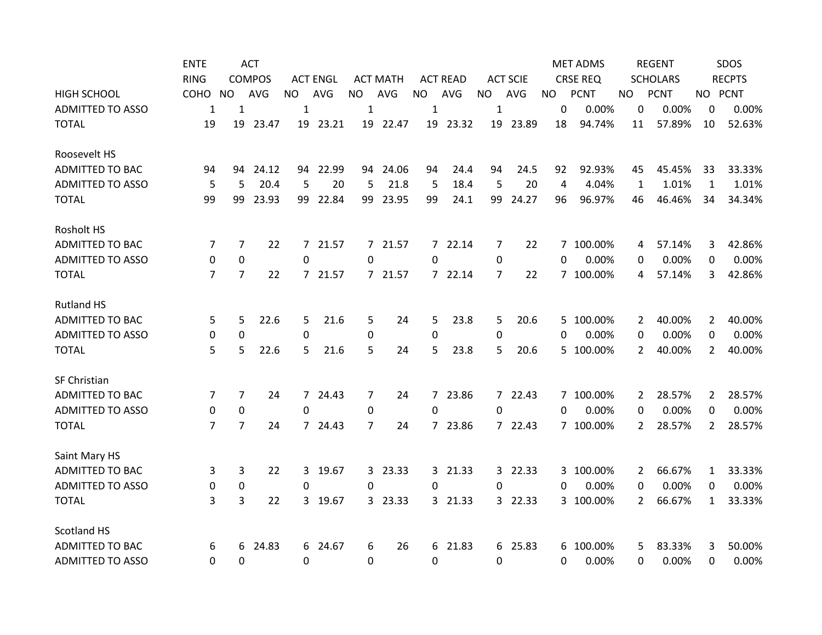|                         | <b>ENTE</b> |                | <b>ACT</b>    |                  |                 |           |                 |           |                 |           |                 |           | <b>MET ADMS</b> |              | <b>REGENT</b>   |                | SDOS          |
|-------------------------|-------------|----------------|---------------|------------------|-----------------|-----------|-----------------|-----------|-----------------|-----------|-----------------|-----------|-----------------|--------------|-----------------|----------------|---------------|
|                         | <b>RING</b> |                | <b>COMPOS</b> |                  | <b>ACT ENGL</b> |           | <b>ACT MATH</b> |           | <b>ACT READ</b> |           | <b>ACT SCIE</b> |           | <b>CRSE REQ</b> |              | <b>SCHOLARS</b> |                | <b>RECPTS</b> |
| <b>HIGH SCHOOL</b>      | COHO        | <b>NO</b>      | AVG           | <b>NO</b>        | <b>AVG</b>      | <b>NO</b> | AVG             | <b>NO</b> | AVG             | <b>NO</b> | AVG             | <b>NO</b> | <b>PCNT</b>     | NO.          | <b>PCNT</b>     |                | NO PCNT       |
| <b>ADMITTED TO ASSO</b> | 1           | $\mathbf{1}$   |               | $\mathbf{1}$     |                 | 1         |                 | 1         |                 | 1         |                 | 0         | 0.00%           | 0            | 0.00%           | 0              | 0.00%         |
| <b>TOTAL</b>            | 19          | 19             | 23.47         |                  | 19 23.21        |           | 19 22.47        |           | 19 23.32        | 19        | 23.89           | 18        | 94.74%          | 11           | 57.89%          | 10             | 52.63%        |
| Roosevelt HS            |             |                |               |                  |                 |           |                 |           |                 |           |                 |           |                 |              |                 |                |               |
| <b>ADMITTED TO BAC</b>  | 94          | 94             | 24.12         |                  | 94 22.99        |           | 94 24.06        | 94        | 24.4            | 94        | 24.5            | 92        | 92.93%          | 45           | 45.45%          | 33             | 33.33%        |
| <b>ADMITTED TO ASSO</b> | 5           | 5              | 20.4          | 5                | 20              | 5         | 21.8            | 5         | 18.4            | 5         | 20              | 4         | 4.04%           | $\mathbf{1}$ | 1.01%           | $\mathbf{1}$   | 1.01%         |
| <b>TOTAL</b>            | 99          | 99             | 23.93         | 99               | 22.84           | 99        | 23.95           | 99        | 24.1            | 99        | 24.27           | 96        | 96.97%          | 46           | 46.46%          | 34             | 34.34%        |
| <b>Rosholt HS</b>       |             |                |               |                  |                 |           |                 |           |                 |           |                 |           |                 |              |                 |                |               |
| <b>ADMITTED TO BAC</b>  | 7           | 7              | 22            |                  | 7 21.57         |           | 7 21.57         |           | 7 22.14         | 7         | 22              |           | 7 100.00%       | 4            | 57.14%          | 3              | 42.86%        |
| <b>ADMITTED TO ASSO</b> | $\mathbf 0$ | $\mathbf 0$    |               | $\mathbf 0$      |                 | 0         |                 | 0         |                 | 0         |                 | 0         | 0.00%           | 0            | 0.00%           | 0              | 0.00%         |
| <b>TOTAL</b>            | 7           | $\overline{7}$ | 22            |                  | 7 21.57         |           | 7 21.57         |           | 7 22.14         | 7         | 22              |           | 7 100.00%       | 4            | 57.14%          | 3              | 42.86%        |
| <b>Rutland HS</b>       |             |                |               |                  |                 |           |                 |           |                 |           |                 |           |                 |              |                 |                |               |
| <b>ADMITTED TO BAC</b>  | 5           | 5              | 22.6          | 5                | 21.6            | 5         | 24              | 5         | 23.8            | 5         | 20.6            | 5.        | 100.00%         | 2            | 40.00%          | 2              | 40.00%        |
| <b>ADMITTED TO ASSO</b> | 0           | 0              |               | 0                |                 | 0         |                 | 0         |                 | 0         |                 | 0         | 0.00%           | 0            | 0.00%           | 0              | 0.00%         |
| <b>TOTAL</b>            | 5           | 5              | 22.6          | 5                | 21.6            | 5         | 24              | 5.        | 23.8            | 5.        | 20.6            | 5.        | 100.00%         | 2            | 40.00%          | $\overline{2}$ | 40.00%        |
| SF Christian            |             |                |               |                  |                 |           |                 |           |                 |           |                 |           |                 |              |                 |                |               |
| ADMITTED TO BAC         | 7           | 7              | 24            |                  | 7 24.43         | 7         | 24              |           | 7 23.86         |           | 7 22.43         |           | 7 100.00%       | 2            | 28.57%          | $\mathbf{2}$   | 28.57%        |
| <b>ADMITTED TO ASSO</b> | $\mathbf 0$ | $\mathbf 0$    |               | 0                |                 | 0         |                 | 0         |                 | 0         |                 | 0         | 0.00%           | 0            | 0.00%           | 0              | 0.00%         |
| <b>TOTAL</b>            | 7           | $\overline{7}$ | 24            |                  | 7 24.43         | 7         | 24              |           | 7 23.86         |           | 7 22.43         |           | 7 100.00%       | 2            | 28.57%          | $\overline{2}$ | 28.57%        |
| Saint Mary HS           |             |                |               |                  |                 |           |                 |           |                 |           |                 |           |                 |              |                 |                |               |
| ADMITTED TO BAC         | 3           | 3              | 22            | 3                | 19.67           | 3         | 23.33           |           | 3 21.33         |           | 3 22.33         | 3.        | 100.00%         | 2            | 66.67%          | $\mathbf 1$    | 33.33%        |
| <b>ADMITTED TO ASSO</b> | 0           | 0              |               | $\Omega$         |                 | $\Omega$  |                 | 0         |                 | $\Omega$  |                 | 0         | 0.00%           | 0            | 0.00%           | 0              | 0.00%         |
| <b>TOTAL</b>            | 3           | $\overline{3}$ | 22            |                  | 3 19.67         | 3         | 23.33           |           | 3 21.33         |           | 3 22.33         |           | 3 100.00%       | 2            | 66.67%          | $\mathbf{1}$   | 33.33%        |
| <b>Scotland HS</b>      |             |                |               |                  |                 |           |                 |           |                 |           |                 |           |                 |              |                 |                |               |
| <b>ADMITTED TO BAC</b>  | 6           | 6              | 24.83         | 6                | 24.67           | 6         | 26              | 6         | 21.83           | 6         | 25.83           | 6         | 100.00%         | 5            | 83.33%          | 3              | 50.00%        |
| <b>ADMITTED TO ASSO</b> | 0           | 0              |               | $\boldsymbol{0}$ |                 | 0         |                 | 0         |                 | 0         |                 | 0         | 0.00%           | 0            | 0.00%           | 0              | 0.00%         |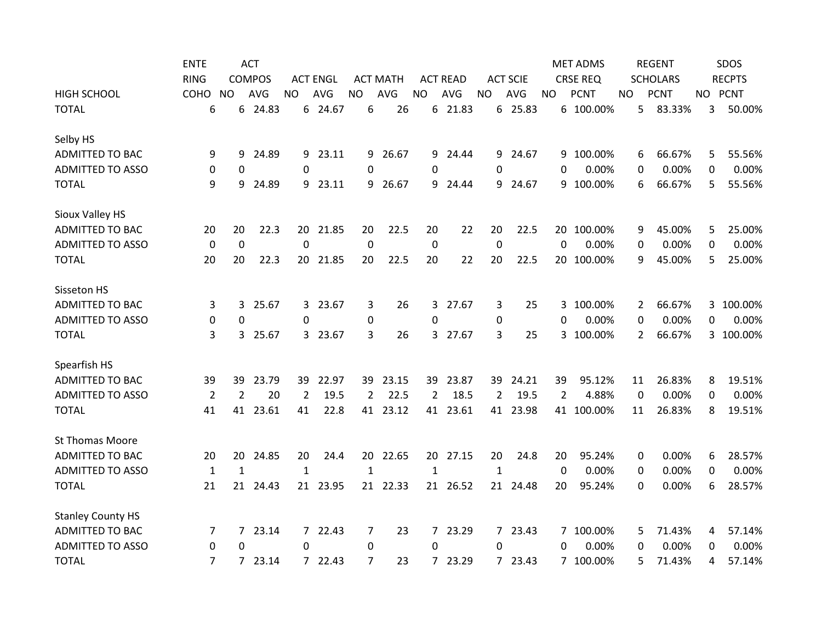|                          | <b>ENTE</b>    |              | <b>ACT</b>    |              |                 |                |                 |                |                 |                |                 |                | <b>MET ADMS</b> |     |    | <b>REGENT</b>   |    | SDOS          |
|--------------------------|----------------|--------------|---------------|--------------|-----------------|----------------|-----------------|----------------|-----------------|----------------|-----------------|----------------|-----------------|-----|----|-----------------|----|---------------|
|                          | <b>RING</b>    |              | <b>COMPOS</b> |              | <b>ACT ENGL</b> |                | <b>ACT MATH</b> |                | <b>ACT READ</b> |                | <b>ACT SCIE</b> |                | <b>CRSE REQ</b> |     |    | <b>SCHOLARS</b> |    | <b>RECPTS</b> |
| <b>HIGH SCHOOL</b>       | COHO           | <b>NO</b>    | <b>AVG</b>    | NO.          | <b>AVG</b>      | <b>NO</b>      | AVG             | <b>NO</b>      | AVG             | <b>NO</b>      | AVG             | NO.            | <b>PCNT</b>     | NO. |    | <b>PCNT</b>     |    | NO PCNT       |
| <b>TOTAL</b>             | 6              | 6            | 24.83         |              | 6 24.67         | 6              | 26              | 6              | 21.83           |                | 6 25.83         |                | 6 100.00%       |     | 5  | 83.33%          | 3  | 50.00%        |
| Selby HS                 |                |              |               |              |                 |                |                 |                |                 |                |                 |                |                 |     |    |                 |    |               |
| <b>ADMITTED TO BAC</b>   | 9              | 9            | 24.89         |              | 9 23.11         | 9              | 26.67           | 9              | 24.44           | 9              | 24.67           |                | 9 100.00%       |     | 6  | 66.67%          | 5  | 55.56%        |
| <b>ADMITTED TO ASSO</b>  | 0              | 0            |               | 0            |                 | 0              |                 | 0              |                 | 0              |                 | 0              | 0.00%           |     | 0  | 0.00%           | 0  | 0.00%         |
| <b>TOTAL</b>             | 9              | 9            | 24.89         |              | 9 23.11         | 9              | 26.67           | 9              | 24.44           | 9              | 24.67           | 9              | 100.00%         |     | 6  | 66.67%          | 5. | 55.56%        |
| Sioux Valley HS          |                |              |               |              |                 |                |                 |                |                 |                |                 |                |                 |     |    |                 |    |               |
| ADMITTED TO BAC          | 20             | 20           | 22.3          | 20           | 21.85           | 20             | 22.5            | 20             | 22              | 20             | 22.5            | 20             | 100.00%         |     | 9  | 45.00%          | 5  | 25.00%        |
| <b>ADMITTED TO ASSO</b>  | $\mathbf 0$    | $\mathbf 0$  |               | 0            |                 | 0              |                 | $\mathbf 0$    |                 | $\mathbf 0$    |                 | $\Omega$       | 0.00%           |     | 0  | 0.00%           | 0  | 0.00%         |
| <b>TOTAL</b>             | 20             | 20           | 22.3          | 20           | 21.85           | 20             | 22.5            | 20             | 22              | 20             | 22.5            | 20             | 100.00%         |     | 9  | 45.00%          | 5. | 25.00%        |
| Sisseton HS              |                |              |               |              |                 |                |                 |                |                 |                |                 |                |                 |     |    |                 |    |               |
| <b>ADMITTED TO BAC</b>   | 3              | 3            | 25.67         |              | 3 23.67         | 3              | 26              |                | 3 27.67         | 3              | 25              |                | 3 100.00%       |     | 2  | 66.67%          |    | 3 100.00%     |
| <b>ADMITTED TO ASSO</b>  | 0              | 0            |               | 0            |                 | 0              |                 | 0              |                 | 0              |                 | 0              | 0.00%           |     | 0  | 0.00%           | 0  | 0.00%         |
| <b>TOTAL</b>             | 3              | 3            | 25.67         |              | 3 23.67         | 3              | 26              | 3              | 27.67           | 3              | 25              | 3              | 100.00%         |     | 2  | 66.67%          |    | 3 100.00%     |
| Spearfish HS             |                |              |               |              |                 |                |                 |                |                 |                |                 |                |                 |     |    |                 |    |               |
| <b>ADMITTED TO BAC</b>   | 39             | 39           | 23.79         | 39           | 22.97           | 39             | 23.15           |                | 39 23.87        | 39             | 24.21           | 39             | 95.12%          |     | 11 | 26.83%          | 8  | 19.51%        |
| <b>ADMITTED TO ASSO</b>  | $\overline{2}$ | 2            | 20            | 2            | 19.5            | $\overline{2}$ | 22.5            | $\overline{2}$ | 18.5            | $\overline{2}$ | 19.5            | $\overline{2}$ | 4.88%           |     | 0  | 0.00%           | 0  | 0.00%         |
| <b>TOTAL</b>             | 41             | 41           | 23.61         | 41           | 22.8            | 41             | 23.12           | 41             | 23.61           | 41             | 23.98           | 41             | 100.00%         |     | 11 | 26.83%          | 8  | 19.51%        |
| <b>St Thomas Moore</b>   |                |              |               |              |                 |                |                 |                |                 |                |                 |                |                 |     |    |                 |    |               |
| ADMITTED TO BAC          | 20             | 20           | 24.85         | 20           | 24.4            | 20             | 22.65           | 20             | 27.15           | 20             | 24.8            | 20             | 95.24%          |     | 0  | 0.00%           | 6  | 28.57%        |
| <b>ADMITTED TO ASSO</b>  | $\mathbf{1}$   | $\mathbf{1}$ |               | $\mathbf{1}$ |                 | $\mathbf{1}$   |                 | $\mathbf{1}$   |                 | $\mathbf{1}$   |                 | $\Omega$       | 0.00%           |     | 0  | 0.00%           | 0  | 0.00%         |
| <b>TOTAL</b>             | 21             | 21           | 24.43         | 21           | 23.95           |                | 21 22.33        |                | 21 26.52        |                | 21 24.48        | 20             | 95.24%          |     | 0  | 0.00%           | 6  | 28.57%        |
| <b>Stanley County HS</b> |                |              |               |              |                 |                |                 |                |                 |                |                 |                |                 |     |    |                 |    |               |
| <b>ADMITTED TO BAC</b>   | 7              | $7^{\circ}$  | 23.14         |              | 7 22.43         | $\overline{7}$ | 23              |                | 7 23.29         |                | 7 23.43         |                | 7 100.00%       |     | 5  | 71.43%          | 4  | 57.14%        |
| <b>ADMITTED TO ASSO</b>  | 0              | $\Omega$     |               | 0            |                 | 0              |                 | 0              |                 | $\Omega$       |                 | 0              | 0.00%           |     | 0  | 0.00%           | 0  | 0.00%         |
| <b>TOTAL</b>             | $\overline{7}$ | $7^{\circ}$  | 23.14         |              | 7 22.43         | 7              | 23              |                | 7 23.29         |                | 7 23.43         |                | 7 100.00%       |     | 5  | 71.43%          | 4  | 57.14%        |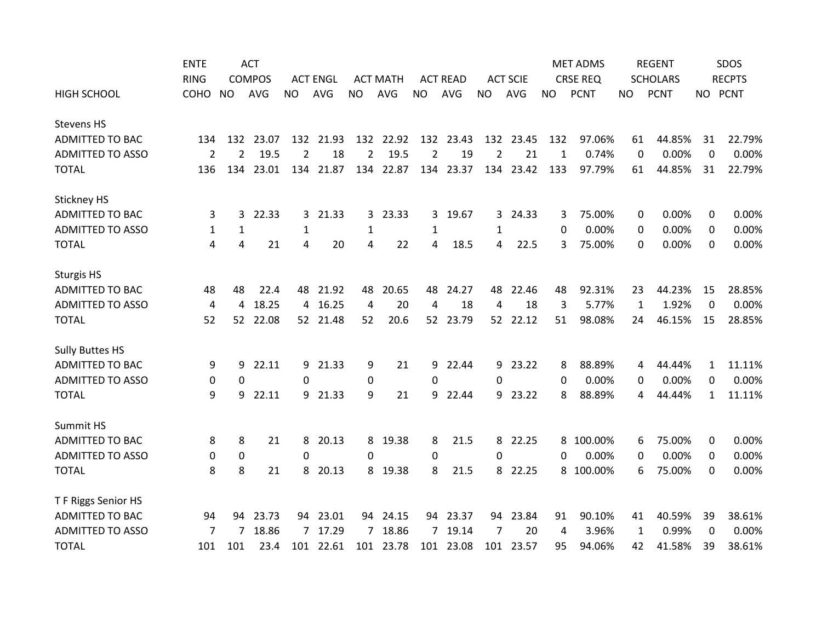|                         | <b>ENTE</b>    |                | <b>ACT</b>    |                |                 |                |                 |                |                 |           |                 |              | <b>MET ADMS</b> |              | <b>REGENT</b>   |          | SDOS          |
|-------------------------|----------------|----------------|---------------|----------------|-----------------|----------------|-----------------|----------------|-----------------|-----------|-----------------|--------------|-----------------|--------------|-----------------|----------|---------------|
|                         | <b>RING</b>    |                | <b>COMPOS</b> |                | <b>ACT ENGL</b> |                | <b>ACT MATH</b> |                | <b>ACT READ</b> |           | <b>ACT SCIE</b> |              | <b>CRSE REQ</b> |              | <b>SCHOLARS</b> |          | <b>RECPTS</b> |
| <b>HIGH SCHOOL</b>      | <b>COHO</b>    | <b>NO</b>      | <b>AVG</b>    | <b>NO</b>      | <b>AVG</b>      | <b>NO</b>      | <b>AVG</b>      | <b>NO</b>      | AVG             | <b>NO</b> | AVG             | <b>NO</b>    | <b>PCNT</b>     | NO           | <b>PCNT</b>     |          | NO PCNT       |
| <b>Stevens HS</b>       |                |                |               |                |                 |                |                 |                |                 |           |                 |              |                 |              |                 |          |               |
| <b>ADMITTED TO BAC</b>  | 134            |                | 132 23.07     |                | 132 21.93       |                | 132 22.92       |                | 132 23.43       |           | 132 23.45       | 132          | 97.06%          | 61           | 44.85%          | 31       | 22.79%        |
| <b>ADMITTED TO ASSO</b> | $\overline{2}$ | $\overline{2}$ | 19.5          | $\overline{2}$ | 18              | $\overline{2}$ | 19.5            | $\overline{2}$ | 19              | 2         | 21              | $\mathbf{1}$ | 0.74%           | $\mathbf{0}$ | 0.00%           | $\Omega$ | 0.00%         |
| <b>TOTAL</b>            | 136            | 134            | 23.01         | 134            | 21.87           | 134            | 22.87           | 134            | 23.37           | 134       | 23.42           | 133          | 97.79%          | 61           | 44.85%          | 31       | 22.79%        |
| <b>Stickney HS</b>      |                |                |               |                |                 |                |                 |                |                 |           |                 |              |                 |              |                 |          |               |
| <b>ADMITTED TO BAC</b>  | 3              | 3              | 22.33         | 3              | 21.33           | 3              | 23.33           | 3              | 19.67           | 3         | 24.33           | 3            | 75.00%          | 0            | 0.00%           | 0        | 0.00%         |
| <b>ADMITTED TO ASSO</b> | 1              | 1              |               | 1              |                 | 1              |                 | 1              |                 | 1         |                 | 0            | 0.00%           | 0            | 0.00%           | $\Omega$ | 0.00%         |
| <b>TOTAL</b>            | 4              | 4              | 21            | 4              | 20              | 4              | 22              | 4              | 18.5            | 4         | 22.5            | 3            | 75.00%          | 0            | 0.00%           | 0        | 0.00%         |
| <b>Sturgis HS</b>       |                |                |               |                |                 |                |                 |                |                 |           |                 |              |                 |              |                 |          |               |
| <b>ADMITTED TO BAC</b>  | 48             | 48             | 22.4          | 48             | 21.92           | 48             | 20.65           | 48             | 24.27           | 48        | 22.46           | 48           | 92.31%          | 23           | 44.23%          | 15       | 28.85%        |
| <b>ADMITTED TO ASSO</b> | 4              | 4              | 18.25         |                | 4 16.25         | 4              | 20              | 4              | 18              | 4         | 18              | 3            | 5.77%           | 1            | 1.92%           | 0        | 0.00%         |
| <b>TOTAL</b>            | 52             | 52             | 22.08         |                | 52 21.48        | 52             | 20.6            | 52             | 23.79           |           | 52 22.12        | 51           | 98.08%          | 24           | 46.15%          | 15       | 28.85%        |
| <b>Sully Buttes HS</b>  |                |                |               |                |                 |                |                 |                |                 |           |                 |              |                 |              |                 |          |               |
| ADMITTED TO BAC         | 9              | 9              | 22.11         | 9              | 21.33           | 9              | 21              | 9              | 22.44           | 9         | 23.22           | 8            | 88.89%          | 4            | 44.44%          | 1        | 11.11%        |
| <b>ADMITTED TO ASSO</b> | 0              | $\Omega$       |               | $\Omega$       |                 | 0              |                 | 0              |                 | 0         |                 | 0            | 0.00%           | 0            | 0.00%           | 0        | 0.00%         |
| <b>TOTAL</b>            | 9              | 9              | 22.11         | 9              | 21.33           | 9              | 21              | 9              | 22.44           | 9         | 23.22           | 8            | 88.89%          | 4            | 44.44%          | 1        | 11.11%        |
| Summit HS               |                |                |               |                |                 |                |                 |                |                 |           |                 |              |                 |              |                 |          |               |
| ADMITTED TO BAC         | 8              | 8              | 21            | 8              | 20.13           | 8              | 19.38           | 8              | 21.5            | 8         | 22.25           | 8            | 100.00%         | 6            | 75.00%          | 0        | 0.00%         |
| <b>ADMITTED TO ASSO</b> | 0              | 0              |               | 0              |                 | 0              |                 | 0              |                 | 0         |                 | 0            | 0.00%           | 0            | 0.00%           | 0        | 0.00%         |
| <b>TOTAL</b>            | 8              | 8              | 21            | 8              | 20.13           | 8              | 19.38           | 8              | 21.5            | 8         | 22.25           |              | 8 100.00%       | 6            | 75.00%          | $\Omega$ | 0.00%         |
| T F Riggs Senior HS     |                |                |               |                |                 |                |                 |                |                 |           |                 |              |                 |              |                 |          |               |
| <b>ADMITTED TO BAC</b>  | 94             | 94             | 23.73         |                | 94 23.01        | 94             | 24.15           | 94             | 23.37           | 94        | 23.84           | 91           | 90.10%          | 41           | 40.59%          | 39       | 38.61%        |
| <b>ADMITTED TO ASSO</b> | 7              | 7              | 18.86         |                | 7 17.29         | 7              | 18.86           | $\overline{7}$ | 19.14           | 7         | 20              | 4            | 3.96%           | 1            | 0.99%           | 0        | 0.00%         |
| <b>TOTAL</b>            | 101            | 101            | 23.4          |                | 101 22.61       |                | 101 23.78       |                | 101 23.08       |           | 101 23.57       | 95           | 94.06%          | 42           | 41.58%          | 39       | 38.61%        |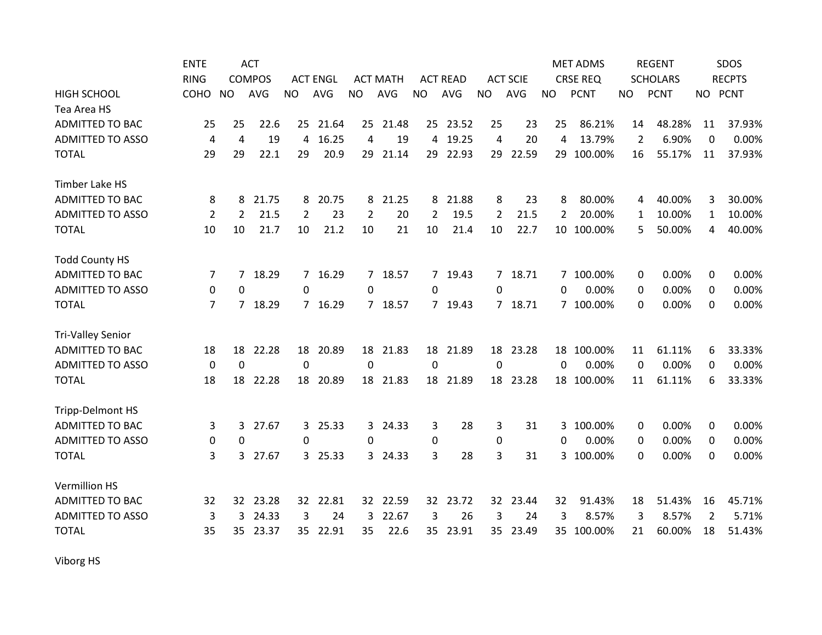|                          | <b>ENTE</b>    |             | <b>ACT</b>    |           |                 |                |                 |                 |                 |                 |                 |              | <b>MET ADMS</b> |                | <b>REGENT</b>   |                | SDOS          |
|--------------------------|----------------|-------------|---------------|-----------|-----------------|----------------|-----------------|-----------------|-----------------|-----------------|-----------------|--------------|-----------------|----------------|-----------------|----------------|---------------|
|                          | <b>RING</b>    |             | <b>COMPOS</b> |           | <b>ACT ENGL</b> |                | <b>ACT MATH</b> |                 | <b>ACT READ</b> |                 | <b>ACT SCIE</b> |              | <b>CRSE REQ</b> |                | <b>SCHOLARS</b> |                | <b>RECPTS</b> |
| <b>HIGH SCHOOL</b>       | COHO           | <b>NO</b>   | <b>AVG</b>    | <b>NO</b> | AVG             | <b>NO</b>      | <b>AVG</b>      | <b>NO</b>       | <b>AVG</b>      | <b>NO</b>       | <b>AVG</b>      | <b>NO</b>    | <b>PCNT</b>     | NO.            | <b>PCNT</b>     | NO PCNT        |               |
| Tea Area HS              |                |             |               |           |                 |                |                 |                 |                 |                 |                 |              |                 |                |                 |                |               |
| <b>ADMITTED TO BAC</b>   | 25             | 25          | 22.6          |           | 25 21.64        | 25             | 21.48           |                 | 25 23.52        | 25              | 23              | 25           | 86.21%          | 14             | 48.28%          | 11             | 37.93%        |
| <b>ADMITTED TO ASSO</b>  | 4              | 4           | 19            | 4         | 16.25           | 4              | 19              | 4               | 19.25           | 4               | 20              | 4            | 13.79%          | $\overline{2}$ | 6.90%           | $\Omega$       | 0.00%         |
| <b>TOTAL</b>             | 29             | 29          | 22.1          | 29        | 20.9            | 29             | 21.14           | 29              | 22.93           | 29              | 22.59           | 29           | 100.00%         | 16             | 55.17%          | 11             | 37.93%        |
| <b>Timber Lake HS</b>    |                |             |               |           |                 |                |                 |                 |                 |                 |                 |              |                 |                |                 |                |               |
| <b>ADMITTED TO BAC</b>   | 8              | 8           | 21.75         | 8         | 20.75           | 8              | 21.25           | 8               | 21.88           | 8               | 23              | 8            | 80.00%          | 4              | 40.00%          | 3              | 30.00%        |
| <b>ADMITTED TO ASSO</b>  | $\overline{2}$ | 2           | 21.5          | 2         | 23              | $\overline{2}$ | 20              | $\overline{2}$  | 19.5            | 2               | 21.5            | 2            | 20.00%          | 1              | 10.00%          | 1              | 10.00%        |
| <b>TOTAL</b>             | 10             | 10          | 21.7          | 10        | 21.2            | 10             | 21              | 10              | 21.4            | 10              | 22.7            |              | 10 100.00%      | 5              | 50.00%          | 4              | 40.00%        |
| <b>Todd County HS</b>    |                |             |               |           |                 |                |                 |                 |                 |                 |                 |              |                 |                |                 |                |               |
| <b>ADMITTED TO BAC</b>   | 7              |             | 7 18.29       |           | 7 16.29         |                | 7 18.57         |                 | 7 19.43         |                 | 7 18.71         |              | 7 100.00%       | 0              | 0.00%           | $\Omega$       | 0.00%         |
| <b>ADMITTED TO ASSO</b>  | 0              | 0           |               | $\Omega$  |                 | $\Omega$       |                 | $\Omega$        |                 | $\Omega$        |                 | $\Omega$     | 0.00%           | 0              | 0.00%           | $\Omega$       | 0.00%         |
| <b>TOTAL</b>             | 7              | 7           | 18.29         |           | 7 16.29         | $7^{\circ}$    | 18.57           |                 | 7 19.43         |                 | 7 18.71         |              | 7 100.00%       | 0              | 0.00%           | 0              | 0.00%         |
| <b>Tri-Valley Senior</b> |                |             |               |           |                 |                |                 |                 |                 |                 |                 |              |                 |                |                 |                |               |
| <b>ADMITTED TO BAC</b>   | 18             | 18          | 22.28         | 18        | 20.89           | 18             | 21.83           | 18              | 21.89           | 18              | 23.28           |              | 18 100.00%      | 11             | 61.11%          | 6              | 33.33%        |
| <b>ADMITTED TO ASSO</b>  | 0              | $\mathbf 0$ |               | 0         |                 | $\Omega$       |                 | $\Omega$        |                 | $\mathbf 0$     |                 | $\mathbf{0}$ | 0.00%           | $\Omega$       | 0.00%           | 0              | 0.00%         |
| <b>TOTAL</b>             | 18             | 18          | 22.28         |           | 18 20.89        |                | 18 21.83        |                 | 18 21.89        |                 | 18 23.28        |              | 18 100.00%      | 11             | 61.11%          | 6              | 33.33%        |
| <b>Tripp-Delmont HS</b>  |                |             |               |           |                 |                |                 |                 |                 |                 |                 |              |                 |                |                 |                |               |
| <b>ADMITTED TO BAC</b>   | 3              | 3           | 27.67         |           | 3 25.33         | 3              | 24.33           | 3               | 28              | 3               | 31              | 3.           | 100.00%         | 0              | 0.00%           | 0              | 0.00%         |
| <b>ADMITTED TO ASSO</b>  | 0              | 0           |               | 0         |                 | $\Omega$       |                 | 0               |                 | 0               |                 | $\Omega$     | 0.00%           | 0              | 0.00%           | $\Omega$       | 0.00%         |
| <b>TOTAL</b>             | 3              | 3           | 27.67         |           | 3 25.33         | 3              | 24.33           | 3               | 28              | 3               | 31              | 3            | 100.00%         | 0              | 0.00%           | 0              | 0.00%         |
| <b>Vermillion HS</b>     |                |             |               |           |                 |                |                 |                 |                 |                 |                 |              |                 |                |                 |                |               |
| <b>ADMITTED TO BAC</b>   | 32             | 32          | 23.28         |           | 32 22.81        | 32             | 22.59           | 32              | 23.72           | 32              | 23.44           | 32           | 91.43%          | 18             | 51.43%          | 16             | 45.71%        |
| <b>ADMITTED TO ASSO</b>  | 3              | 3           | 24.33         | 3         | 24              | 3              | 22.67           | 3               | 26              | 3               | 24              | 3            | 8.57%           | 3              | 8.57%           | $\overline{2}$ | 5.71%         |
| <b>TOTAL</b>             | 35             | 35          | 23.37         |           | 35 22.91        | 35             | 22.6            | 35 <sub>1</sub> | 23.91           | 35 <sub>2</sub> | 23.49           |              | 35 100.00%      | 21             | 60.00%          | 18             | 51.43%        |

Viborg HS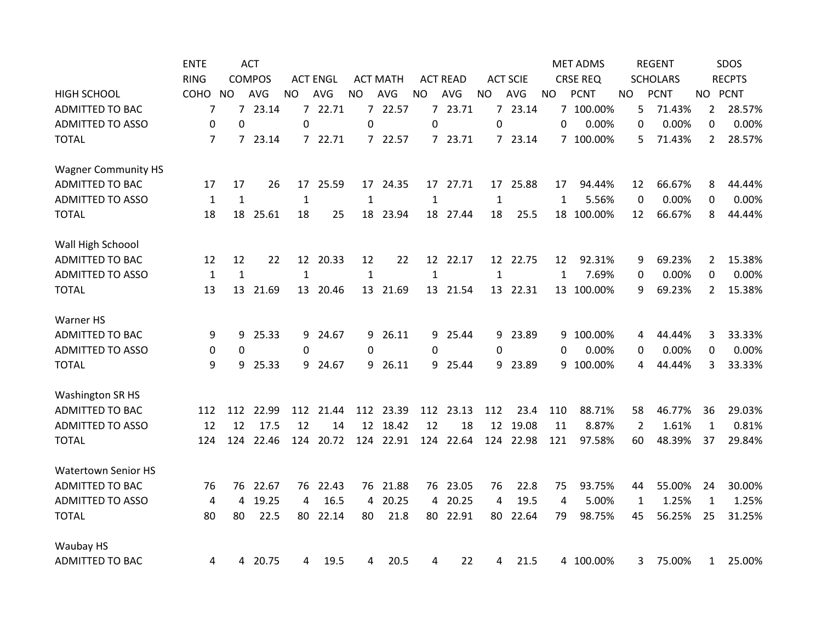|                            | <b>ENTE</b>    |              | <b>ACT</b>    |              |                 |              |                 |              |                 |              |                 |              | <b>MET ADMS</b> |     | <b>REGENT</b>   |                | SDOS          |
|----------------------------|----------------|--------------|---------------|--------------|-----------------|--------------|-----------------|--------------|-----------------|--------------|-----------------|--------------|-----------------|-----|-----------------|----------------|---------------|
|                            | <b>RING</b>    |              | <b>COMPOS</b> |              | <b>ACT ENGL</b> |              | <b>ACT MATH</b> |              | <b>ACT READ</b> |              | <b>ACT SCIE</b> |              | <b>CRSE REQ</b> |     | <b>SCHOLARS</b> |                | <b>RECPTS</b> |
| <b>HIGH SCHOOL</b>         | <b>COHO</b>    | <b>NO</b>    | <b>AVG</b>    | NO.          | <b>AVG</b>      | <b>NO</b>    | <b>AVG</b>      | <b>NO</b>    | AVG             | <b>NO</b>    | AVG             | <b>NO</b>    | <b>PCNT</b>     | NO. | <b>PCNT</b>     |                | NO PCNT       |
| <b>ADMITTED TO BAC</b>     | 7              |              | 7 23.14       |              | 7 22.71         |              | 7 22.57         |              | 7 23.71         |              | 7 23.14         |              | 7 100.00%       | 5   | 71.43%          | $\overline{2}$ | 28.57%        |
| <b>ADMITTED TO ASSO</b>    | 0              | 0            |               | $\Omega$     |                 | $\Omega$     |                 | 0            |                 | $\Omega$     |                 | 0            | 0.00%           | 0   | 0.00%           | 0              | 0.00%         |
| <b>TOTAL</b>               | 7              | $7^{\circ}$  | 23.14         |              | 7 22.71         | $7^{\circ}$  | 22.57           |              | 7 23.71         |              | 7 23.14         |              | 7 100.00%       | 5   | 71.43%          | $\overline{2}$ | 28.57%        |
| <b>Wagner Community HS</b> |                |              |               |              |                 |              |                 |              |                 |              |                 |              |                 |     |                 |                |               |
| ADMITTED TO BAC            | 17             | 17           | 26            |              | 17 25.59        |              | 17 24.35        |              | 17 27.71        |              | 17 25.88        | 17           | 94.44%          | 12  | 66.67%          | 8              | 44.44%        |
| <b>ADMITTED TO ASSO</b>    | $\mathbf{1}$   | $\mathbf{1}$ |               | $\mathbf{1}$ |                 | $\mathbf{1}$ |                 | $\mathbf{1}$ |                 | $\mathbf{1}$ |                 | 1            | 5.56%           | 0   | 0.00%           | 0              | 0.00%         |
| <b>TOTAL</b>               | 18             | 18           | 25.61         | 18           | 25              |              | 18 23.94        |              | 18 27.44        | 18           | 25.5            |              | 18 100.00%      | 12  | 66.67%          | 8              | 44.44%        |
| Wall High Schoool          |                |              |               |              |                 |              |                 |              |                 |              |                 |              |                 |     |                 |                |               |
| <b>ADMITTED TO BAC</b>     | 12             | 12           | 22            |              | 12 20.33        | 12           | 22              |              | 12 22.17        |              | 12 22.75        | 12           | 92.31%          | 9   | 69.23%          | $\mathbf{2}$   | 15.38%        |
| <b>ADMITTED TO ASSO</b>    | $1\,$          | $\mathbf{1}$ |               | $\mathbf{1}$ |                 | $\mathbf{1}$ |                 | $\mathbf{1}$ |                 | $\mathbf{1}$ |                 | $\mathbf{1}$ | 7.69%           | 0   | 0.00%           | 0              | 0.00%         |
| <b>TOTAL</b>               | 13             | 13           | 21.69         | 13           | 20.46           |              | 13 21.69        |              | 13 21.54        |              | 13 22.31        |              | 13 100.00%      | 9   | 69.23%          | $\overline{2}$ | 15.38%        |
| Warner HS                  |                |              |               |              |                 |              |                 |              |                 |              |                 |              |                 |     |                 |                |               |
| <b>ADMITTED TO BAC</b>     | 9              | 9            | 25.33         | 9            | 24.67           | 9            | 26.11           | 9.           | 25.44           | 9            | 23.89           | 9            | 100.00%         | 4   | 44.44%          | 3              | 33.33%        |
| <b>ADMITTED TO ASSO</b>    | 0              | 0            |               | $\Omega$     |                 | $\Omega$     |                 | $\Omega$     |                 | $\Omega$     |                 | $\Omega$     | 0.00%           | 0   | 0.00%           | 0              | 0.00%         |
| <b>TOTAL</b>               | 9              | 9            | 25.33         | 9            | 24.67           | 9            | 26.11           |              | 9 25.44         | 9            | 23.89           | 9            | 100.00%         | 4   | 44.44%          | 3              | 33.33%        |
| Washington SR HS           |                |              |               |              |                 |              |                 |              |                 |              |                 |              |                 |     |                 |                |               |
| <b>ADMITTED TO BAC</b>     | 112            | 112          | 22.99         | 112          | 21.44           |              | 112 23.39       |              | 112 23.13       | 112          | 23.4            | 110          | 88.71%          | 58  | 46.77%          | 36             | 29.03%        |
| <b>ADMITTED TO ASSO</b>    | 12             | 12           | 17.5          | 12           | 14              |              | 12 18.42        | 12           | 18              | 12           | 19.08           | 11           | 8.87%           | 2   | 1.61%           | 1              | 0.81%         |
| <b>TOTAL</b>               | 124            | 124          | 22.46         | 124          | 20.72           |              | 124 22.91       | 124          | 22.64           |              | 124 22.98       | 121          | 97.58%          | 60  | 48.39%          | 37             | 29.84%        |
| <b>Watertown Senior HS</b> |                |              |               |              |                 |              |                 |              |                 |              |                 |              |                 |     |                 |                |               |
| <b>ADMITTED TO BAC</b>     | 76             | 76           | 22.67         | 76           | 22.43           | 76           | 21.88           | 76           | 23.05           | 76           | 22.8            | 75           | 93.75%          | 44  | 55.00%          | 24             | 30.00%        |
| <b>ADMITTED TO ASSO</b>    | $\overline{4}$ | 4            | 19.25         | 4            | 16.5            | 4            | 20.25           | 4            | 20.25           | 4            | 19.5            | 4            | 5.00%           | 1   | 1.25%           | 1              | 1.25%         |
| <b>TOTAL</b>               | 80             | 80           | 22.5          | 80           | 22.14           | 80           | 21.8            | 80           | 22.91           | 80           | 22.64           | 79           | 98.75%          | 45  | 56.25%          | 25             | 31.25%        |
| Waubay HS                  |                |              |               |              |                 |              |                 |              |                 |              |                 |              |                 |     |                 |                |               |
| <b>ADMITTED TO BAC</b>     | 4              | 4            | 20.75         | 4            | 19.5            | 4            | 20.5            | 4            | 22              | 4            | 21.5            |              | 4 100.00%       | 3   | 75.00%          | $\mathbf{1}$   | 25.00%        |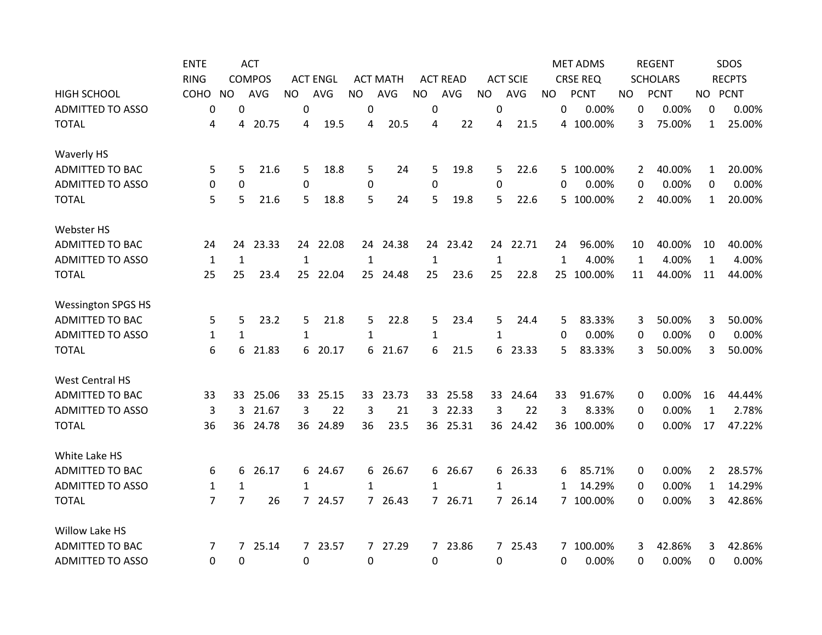|                           | <b>ENTE</b>    |                | <b>ACT</b>    |                  |                 |              |                 |              |                 |                |                 |              | <b>MET ADMS</b> |     | <b>REGENT</b>   |              | SDOS          |
|---------------------------|----------------|----------------|---------------|------------------|-----------------|--------------|-----------------|--------------|-----------------|----------------|-----------------|--------------|-----------------|-----|-----------------|--------------|---------------|
|                           | <b>RING</b>    |                | <b>COMPOS</b> |                  | <b>ACT ENGL</b> |              | <b>ACT MATH</b> |              | <b>ACT READ</b> |                | <b>ACT SCIE</b> |              | <b>CRSE REQ</b> |     | <b>SCHOLARS</b> |              | <b>RECPTS</b> |
| <b>HIGH SCHOOL</b>        | COHO           | <b>NO</b>      | <b>AVG</b>    | <b>NO</b>        | <b>AVG</b>      | <b>NO</b>    | AVG             | <b>NO</b>    | AVG             | <b>NO</b>      | AVG             | <b>NO</b>    | <b>PCNT</b>     | NO. | <b>PCNT</b>     |              | NO PCNT       |
| <b>ADMITTED TO ASSO</b>   | 0              | $\Omega$       |               | 0                |                 | 0            |                 | 0            |                 | $\overline{0}$ |                 | 0            | 0.00%           | 0   | 0.00%           | 0            | 0.00%         |
| <b>TOTAL</b>              | 4              | 4              | 20.75         | 4                | 19.5            | 4            | 20.5            | 4            | 22              | 4              | 21.5            |              | 4 100.00%       | 3   | 75.00%          | $\mathbf{1}$ | 25.00%        |
| Waverly HS                |                |                |               |                  |                 |              |                 |              |                 |                |                 |              |                 |     |                 |              |               |
| <b>ADMITTED TO BAC</b>    | 5              | 5              | 21.6          | 5                | 18.8            | 5            | 24              | 5            | 19.8            | 5              | 22.6            |              | 5 100.00%       | 2   | 40.00%          | $\mathbf{1}$ | 20.00%        |
| <b>ADMITTED TO ASSO</b>   | 0              | $\mathbf 0$    |               | 0                |                 | 0            |                 | 0            |                 | 0              |                 | 0            | 0.00%           | 0   | 0.00%           | 0            | 0.00%         |
| <b>TOTAL</b>              | 5              | 5              | 21.6          | 5                | 18.8            | 5            | 24              | 5            | 19.8            | 5              | 22.6            | 5            | 100.00%         | 2   | 40.00%          | $\mathbf{1}$ | 20.00%        |
| Webster HS                |                |                |               |                  |                 |              |                 |              |                 |                |                 |              |                 |     |                 |              |               |
| <b>ADMITTED TO BAC</b>    | 24             | 24             | 23.33         |                  | 24 22.08        |              | 24 24.38        |              | 24 23.42        |                | 24 22.71        | 24           | 96.00%          | 10  | 40.00%          | 10           | 40.00%        |
| <b>ADMITTED TO ASSO</b>   | 1              | $\mathbf{1}$   |               | 1                |                 | $\mathbf{1}$ |                 | $\mathbf{1}$ |                 | $\mathbf{1}$   |                 | $\mathbf{1}$ | 4.00%           | 1   | 4.00%           | 1            | 4.00%         |
| <b>TOTAL</b>              | 25             | 25             | 23.4          | 25               | 22.04           | 25           | 24.48           | 25           | 23.6            | 25             | 22.8            | 25           | 100.00%         | 11  | 44.00%          | 11           | 44.00%        |
| <b>Wessington SPGS HS</b> |                |                |               |                  |                 |              |                 |              |                 |                |                 |              |                 |     |                 |              |               |
| <b>ADMITTED TO BAC</b>    | 5              | 5              | 23.2          | 5                | 21.8            | 5            | 22.8            | 5            | 23.4            | 5              | 24.4            | 5            | 83.33%          | 3   | 50.00%          | 3            | 50.00%        |
| <b>ADMITTED TO ASSO</b>   | 1              | 1              |               | $\mathbf{1}$     |                 | $\mathbf{1}$ |                 | 1            |                 | 1              |                 | 0            | 0.00%           | 0   | 0.00%           | 0            | 0.00%         |
| <b>TOTAL</b>              | 6              | 6              | 21.83         | 6                | 20.17           | 6            | 21.67           | 6            | 21.5            | 6              | 23.33           | 5            | 83.33%          | 3   | 50.00%          | 3            | 50.00%        |
| <b>West Central HS</b>    |                |                |               |                  |                 |              |                 |              |                 |                |                 |              |                 |     |                 |              |               |
| <b>ADMITTED TO BAC</b>    | 33             | 33             | 25.06         |                  | 33 25.15        |              | 33 23.73        |              | 33 25.58        |                | 33 24.64        | 33           | 91.67%          | 0   | 0.00%           | 16           | 44.44%        |
| <b>ADMITTED TO ASSO</b>   | 3              | 3              | 21.67         | 3                | 22              | 3            | 21              | 3            | 22.33           | 3              | 22              | 3            | 8.33%           | 0   | 0.00%           | $\mathbf{1}$ | 2.78%         |
| <b>TOTAL</b>              | 36             | 36             | 24.78         | 36               | 24.89           | 36           | 23.5            | 36           | 25.31           | 36             | 24.42           | 36           | 100.00%         | 0   | 0.00%           | 17           | 47.22%        |
| White Lake HS             |                |                |               |                  |                 |              |                 |              |                 |                |                 |              |                 |     |                 |              |               |
| <b>ADMITTED TO BAC</b>    | 6              | 6              | 26.17         |                  | 6 24.67         | 6            | 26.67           |              | 6 26.67         |                | 6 26.33         | 6            | 85.71%          | 0   | 0.00%           | $\mathbf{2}$ | 28.57%        |
| <b>ADMITTED TO ASSO</b>   | 1              | $\mathbf{1}$   |               | $\mathbf{1}$     |                 | $\mathbf{1}$ |                 | 1            |                 | $\mathbf{1}$   |                 | 1            | 14.29%          | 0   | 0.00%           | $\mathbf{1}$ | 14.29%        |
| <b>TOTAL</b>              | $\overline{7}$ | $\overline{7}$ | 26            |                  | 7 24.57         | $7^{\circ}$  | 26.43           |              | 7 26.71         |                | 7 26.14         |              | 7 100.00%       | 0   | 0.00%           | 3            | 42.86%        |
| Willow Lake HS            |                |                |               |                  |                 |              |                 |              |                 |                |                 |              |                 |     |                 |              |               |
| <b>ADMITTED TO BAC</b>    | 7              | $\overline{7}$ | 25.14         |                  | 7 23.57         | $7^{\circ}$  | 27.29           |              | 7 23.86         |                | 7 25.43         |              | 7 100.00%       | 3   | 42.86%          | 3            | 42.86%        |
| <b>ADMITTED TO ASSO</b>   | 0              | 0              |               | $\boldsymbol{0}$ |                 | 0            |                 | 0            |                 | 0              |                 | 0            | 0.00%           | 0   | 0.00%           | 0            | 0.00%         |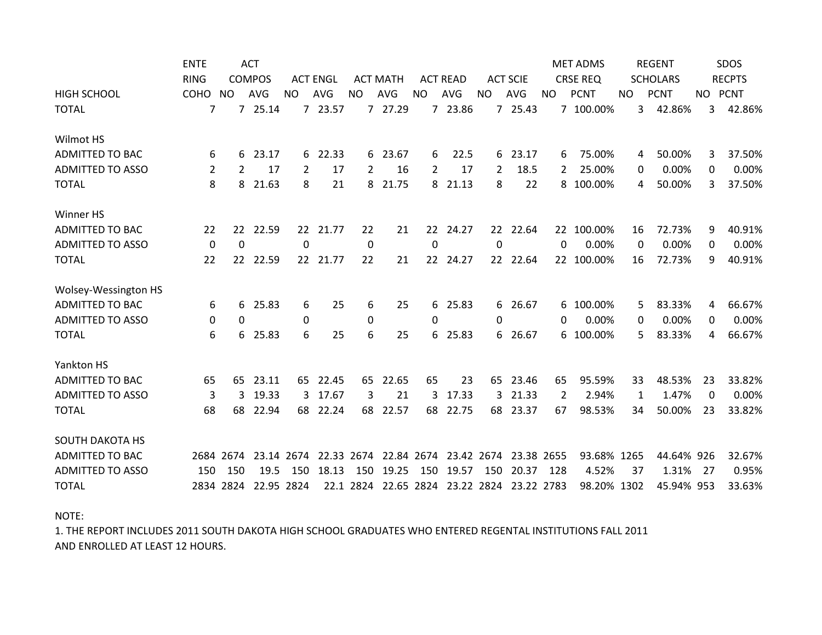|                         | <b>ENTE</b>    | <b>ACT</b>    |            |                 |          |                 |            |                 |                       |                 | <b>MET ADMS</b> |                 | <b>REGENT</b> |                 | SDOS        |               |        |
|-------------------------|----------------|---------------|------------|-----------------|----------|-----------------|------------|-----------------|-----------------------|-----------------|-----------------|-----------------|---------------|-----------------|-------------|---------------|--------|
|                         | <b>RING</b>    | <b>COMPOS</b> |            | <b>ACT ENGL</b> |          | <b>ACT MATH</b> |            | <b>ACT READ</b> |                       | <b>ACT SCIE</b> |                 | <b>CRSE REQ</b> |               | <b>SCHOLARS</b> |             | <b>RECPTS</b> |        |
| <b>HIGH SCHOOL</b>      | COHO           | <b>NO</b>     | <b>AVG</b> | <b>NO</b>       | AVG      | <b>NO</b>       | <b>AVG</b> | <b>NO</b>       | AVG                   | <b>NO</b>       | <b>AVG</b>      | <b>NO</b>       | <b>PCNT</b>   | <b>NO</b>       | <b>PCNT</b> | NO PCNT       |        |
| <b>TOTAL</b>            | 7              |               | 7 25.14    |                 | 7 23.57  | $\overline{7}$  | 27.29      |                 | 7 23.86               |                 | 7 25.43         |                 | 7 100.00%     | 3               | 42.86%      | 3             | 42.86% |
| Wilmot HS               |                |               |            |                 |          |                 |            |                 |                       |                 |                 |                 |               |                 |             |               |        |
| <b>ADMITTED TO BAC</b>  | 6              | 6             | 23.17      |                 | 6 22.33  | 6               | 23.67      | 6               | 22.5                  | 6               | 23.17           | 6               | 75.00%        | 4               | 50.00%      | 3             | 37.50% |
| <b>ADMITTED TO ASSO</b> | $\overline{2}$ | 2             | 17         | 2               | 17       | $\overline{2}$  | 16         | 2               | 17                    | 2               | 18.5            | 2               | 25.00%        | 0               | 0.00%       | 0             | 0.00%  |
| <b>TOTAL</b>            | 8              | 8             | 21.63      | 8               | 21       | 8               | 21.75      | 8               | 21.13                 | 8               | 22              |                 | 8 100.00%     | 4               | 50.00%      | 3             | 37.50% |
| Winner HS               |                |               |            |                 |          |                 |            |                 |                       |                 |                 |                 |               |                 |             |               |        |
| <b>ADMITTED TO BAC</b>  | 22             | 22            | 22.59      |                 | 22 21.77 | 22              | 21         | 22              | 24.27                 | 22 <sub>2</sub> | 22.64           |                 | 22 100.00%    | 16              | 72.73%      | 9             | 40.91% |
| <b>ADMITTED TO ASSO</b> | 0              | 0             |            | $\Omega$        |          | 0               |            | 0               |                       | $\Omega$        |                 | $\Omega$        | 0.00%         | $\Omega$        | 0.00%       | $\Omega$      | 0.00%  |
| <b>TOTAL</b>            | 22             | 22            | 22.59      |                 | 22 21.77 | 22              | 21         | 22 <sub>2</sub> | 24.27                 | 22 <sub>2</sub> | 22.64           |                 | 22 100.00%    | 16              | 72.73%      | 9             | 40.91% |
| Wolsey-Wessington HS    |                |               |            |                 |          |                 |            |                 |                       |                 |                 |                 |               |                 |             |               |        |
| <b>ADMITTED TO BAC</b>  | 6              | 6             | 25.83      | 6               | 25       | 6               | 25         |                 | 6 25.83               | 6               | 26.67           |                 | 6 100.00%     | 5               | 83.33%      | 4             | 66.67% |
| <b>ADMITTED TO ASSO</b> | 0              | 0             |            | 0               |          | 0               |            | 0               |                       | 0               |                 | 0               | 0.00%         | 0               | 0.00%       | 0             | 0.00%  |
| <b>TOTAL</b>            | 6              | 6             | 25.83      | 6               | 25       | 6               | 25         |                 | 6 25.83               | 6               | 26.67           |                 | 6 100.00%     | 5               | 83.33%      | 4             | 66.67% |
| Yankton HS              |                |               |            |                 |          |                 |            |                 |                       |                 |                 |                 |               |                 |             |               |        |
| <b>ADMITTED TO BAC</b>  | 65             | 65            | 23.11      |                 | 65 22.45 | 65              | 22.65      | 65              | 23                    | 65              | 23.46           | 65              | 95.59%        | 33              | 48.53%      | 23            | 33.82% |
| <b>ADMITTED TO ASSO</b> | 3              | 3             | 19.33      |                 | 3 17.67  | 3               | 21         | 3               | 17.33                 | 3               | 21.33           | 2               | 2.94%         | 1               | 1.47%       | $\Omega$      | 0.00%  |
| <b>TOTAL</b>            | 68             | 68            | 22.94      |                 | 68 22.24 | 68              | 22.57      |                 | 68 22.75              | 68              | 23.37           | 67              | 98.53%        | 34              | 50.00%      | 23            | 33.82% |
| <b>SOUTH DAKOTA HS</b>  |                |               |            |                 |          |                 |            |                 |                       |                 |                 |                 |               |                 |             |               |        |
| <b>ADMITTED TO BAC</b>  |                | 2684 2674     | 23.14 2674 |                 |          | 22.33 2674      |            |                 | 22.84 2674 23.42 2674 |                 | 23.38 2655      |                 | 93.68% 1265   |                 | 44.64% 926  |               | 32.67% |
| <b>ADMITTED TO ASSO</b> | 150            | 150           | 19.5       | 150             | 18.13    | 150             | 19.25      | 150             | 19.57                 | 150             | 20.37           | 128             | 4.52%         | 37              | 1.31%       | -27           | 0.95%  |
| <b>TOTAL</b>            |                | 2834 2824     | 22.95 2824 |                 |          | 22.1 2824       |            |                 | 22.65 2824 23.22 2824 |                 | 23.22 2783      |                 | 98.20% 1302   |                 | 45.94% 953  |               | 33.63% |

NOTE:

AND ENROLLED AT LEAST 12 HOURS. 1. THE REPORT INCLUDES 2011 SOUTH DAKOTA HIGH SCHOOL GRADUATES WHO ENTERED REGENTAL INSTITUTIONS FALL 2011